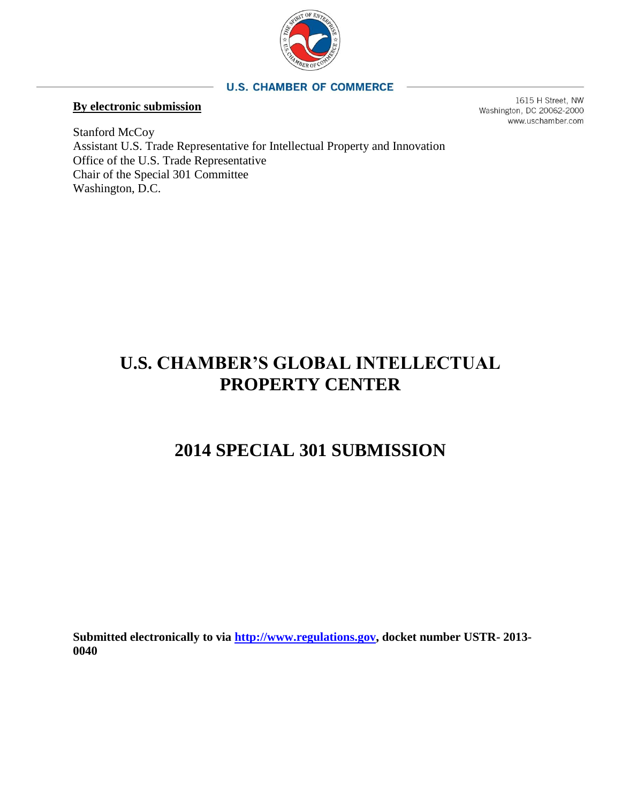

## **U.S. CHAMBER OF COMMERCE**

## **By electronic submission**

1615 H Street, NW Washington, DC 20062-2000 www.uschamber.com

Stanford McCoy Assistant U.S. Trade Representative for Intellectual Property and Innovation Office of the U.S. Trade Representative Chair of the Special 301 Committee Washington, D.C.

# **U.S. CHAMBER'S GLOBAL INTELLECTUAL PROPERTY CENTER**

# **2014 SPECIAL 301 SUBMISSION**

**Submitted electronically to via [http://www.regulations.gov,](http://www.regulations.gov/) docket number USTR- 2013- 0040**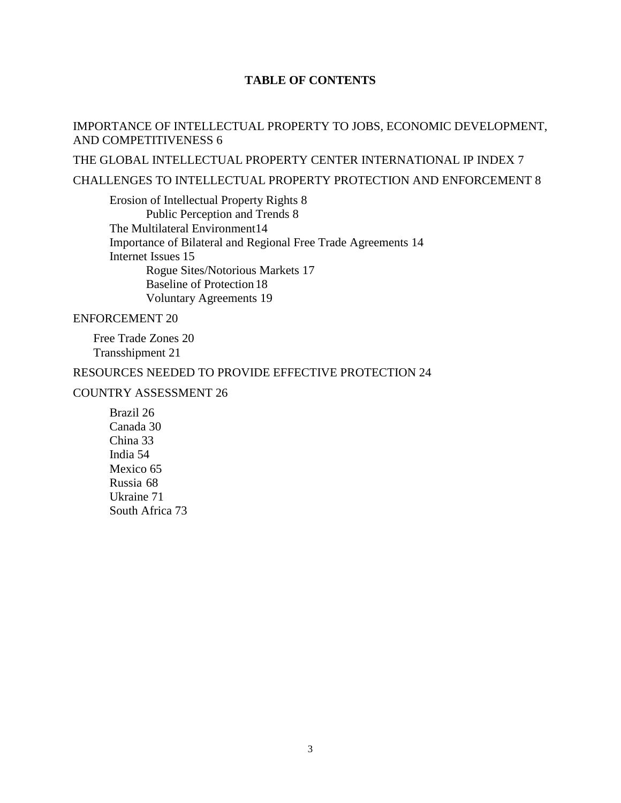# **TABLE OF CONTENTS**

## [IMPORTANCE OF INTELLECTUAL PROPERTY TO JOBS, ECONOMIC DEVELOPMENT,](#page-4-0)  [AND COMPETITIVENESS](#page-4-0) 6

[THE GLOBAL INTELLECTUAL PROPERTY CENTER INTERNATIONAL IP INDEX](#page-5-0) 7

## [CHALLENGES TO INTELLECTUAL PROPERTY PROTECTION AND](#page-6-0) ENFORCEMENT 8

[Erosion of Intellectual Property Rights](#page-6-1) 8 [Public Perception and Trends](#page-6-2) 8 [The Multilateral Environment14](#page-12-0) [Importance of Bilateral and Regional Free Trade Agreements 14](#page-12-1) [Internet Issues](#page-13-0) 15 [Rogue Sites/Notorious Markets](#page-15-0) 17 [Baseline of Protection](#page-16-0) 18 [Voluntary Agreements](#page-17-0) 19

## [ENFORCEMENT](#page-18-0) 20

[Free Trade Zones](#page-18-1) 20 [Transshipment](#page-19-0) 21

## [RESOURCES NEEDED TO PROVIDE EFFECTIVE PROTECTION](#page-22-0) 24

## COUNTRY ASSESSMENT 26

[Brazil](#page-24-0) 26 [Canada](#page-28-0) 30 [China](#page-31-0) 33 [India](#page-52-0) 54 [Mexico](#page-63-0) 65 [Russia](#page-66-0) 68 [Ukraine](#page-69-0) 71 [South Africa](#page-71-0) 73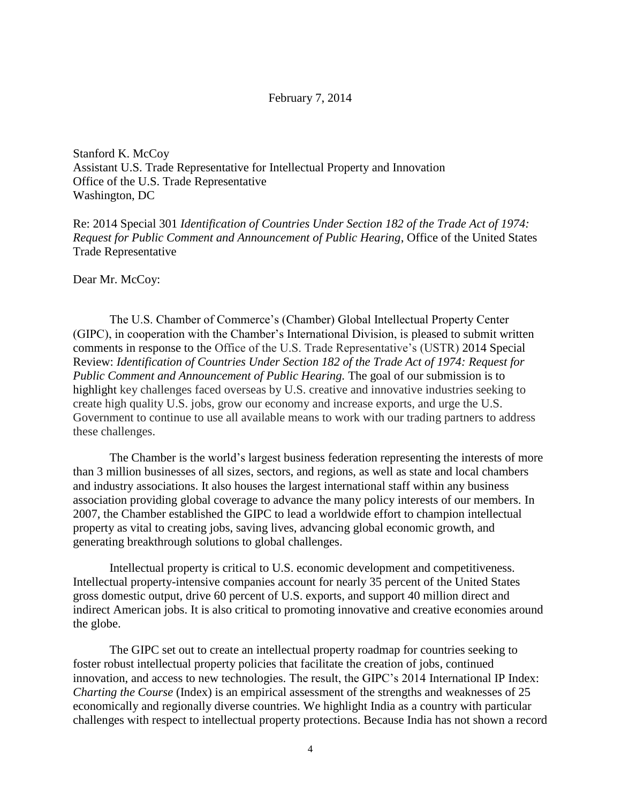#### February 7, 2014

Stanford K. McCoy Assistant U.S. Trade Representative for Intellectual Property and Innovation Office of the U.S. Trade Representative Washington, DC

Re: 2014 Special 301 *Identification of Countries Under Section 182 of the Trade Act of 1974: Request for Public Comment and Announcement of Public Hearing*, Office of the United States Trade Representative

Dear Mr. McCoy:

The U.S. Chamber of Commerce's (Chamber) Global Intellectual Property Center (GIPC), in cooperation with the Chamber's International Division, is pleased to submit written comments in response to the Office of the U.S. Trade Representative's (USTR) 2014 Special Review: *Identification of Countries Under Section 182 of the Trade Act of 1974: Request for Public Comment and Announcement of Public Hearing.* The goal of our submission is to highlight key challenges faced overseas by U.S. creative and innovative industries seeking to create high quality U.S. jobs, grow our economy and increase exports, and urge the U.S. Government to continue to use all available means to work with our trading partners to address these challenges.

The Chamber is the world's largest business federation representing the interests of more than 3 million businesses of all sizes, sectors, and regions, as well as state and local chambers and industry associations. It also houses the largest international staff within any business association providing global coverage to advance the many policy interests of our members. In 2007, the Chamber established the GIPC to lead a worldwide effort to champion intellectual property as vital to creating jobs, saving lives, advancing global economic growth, and generating breakthrough solutions to global challenges.

Intellectual property is critical to U.S. economic development and competitiveness. Intellectual property-intensive companies account for nearly 35 percent of the United States gross domestic output, drive 60 percent of U.S. exports, and support 40 million direct and indirect American jobs. It is also critical to promoting innovative and creative economies around the globe.

The GIPC set out to create an intellectual property roadmap for countries seeking to foster robust intellectual property policies that facilitate the creation of jobs, continued innovation, and access to new technologies. The result, the GIPC's 2014 International IP Index: *Charting the Course* (Index) is an empirical assessment of the strengths and weaknesses of 25 economically and regionally diverse countries. We highlight India as a country with particular challenges with respect to intellectual property protections. Because India has not shown a record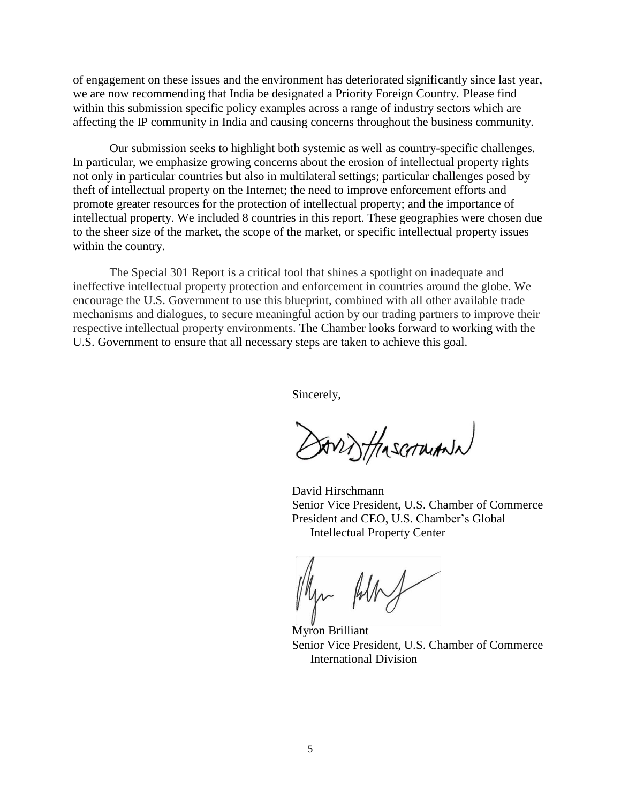of engagement on these issues and the environment has deteriorated significantly since last year, we are now recommending that India be designated a Priority Foreign Country. Please find within this submission specific policy examples across a range of industry sectors which are affecting the IP community in India and causing concerns throughout the business community.

Our submission seeks to highlight both systemic as well as country-specific challenges. In particular, we emphasize growing concerns about the erosion of intellectual property rights not only in particular countries but also in multilateral settings; particular challenges posed by theft of intellectual property on the Internet; the need to improve enforcement efforts and promote greater resources for the protection of intellectual property; and the importance of intellectual property. We included 8 countries in this report. These geographies were chosen due to the sheer size of the market, the scope of the market, or specific intellectual property issues within the country.

The Special 301 Report is a critical tool that shines a spotlight on inadequate and ineffective intellectual property protection and enforcement in countries around the globe. We encourage the U.S. Government to use this blueprint, combined with all other available trade mechanisms and dialogues, to secure meaningful action by our trading partners to improve their respective intellectual property environments. The Chamber looks forward to working with the U.S. Government to ensure that all necessary steps are taken to achieve this goal.

Sincerely,

ANT HASCARIANN

David Hirschmann Senior Vice President, U.S. Chamber of Commerce President and CEO, U.S. Chamber's Global Intellectual Property Center

Myron Brilliant Senior Vice President, U.S. Chamber of Commerce International Division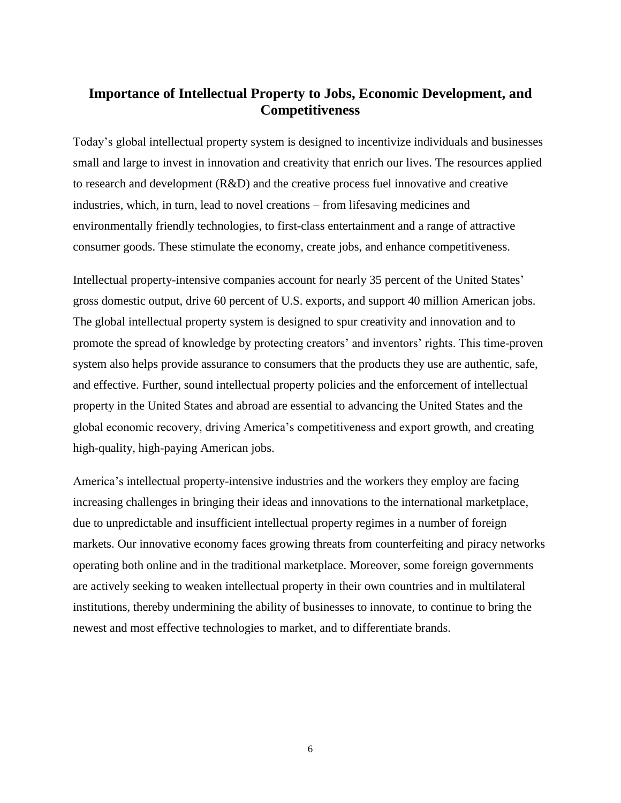# <span id="page-4-0"></span>**Importance of Intellectual Property to Jobs, Economic Development, and Competitiveness**

Today's global intellectual property system is designed to incentivize individuals and businesses small and large to invest in innovation and creativity that enrich our lives. The resources applied to research and development (R&D) and the creative process fuel innovative and creative industries, which, in turn, lead to novel creations – from lifesaving medicines and environmentally friendly technologies, to first-class entertainment and a range of attractive consumer goods. These stimulate the economy, create jobs, and enhance competitiveness.

Intellectual property-intensive companies account for nearly 35 percent of the United States' gross domestic output, drive 60 percent of U.S. exports, and support 40 million American jobs. The global intellectual property system is designed to spur creativity and innovation and to promote the spread of knowledge by protecting creators' and inventors' rights. This time-proven system also helps provide assurance to consumers that the products they use are authentic, safe, and effective. Further, sound intellectual property policies and the enforcement of intellectual property in the United States and abroad are essential to advancing the United States and the global economic recovery, driving America's competitiveness and export growth, and creating high-quality, high-paying American jobs.

America's intellectual property-intensive industries and the workers they employ are facing increasing challenges in bringing their ideas and innovations to the international marketplace, due to unpredictable and insufficient intellectual property regimes in a number of foreign markets. Our innovative economy faces growing threats from counterfeiting and piracy networks operating both online and in the traditional marketplace. Moreover, some foreign governments are actively seeking to weaken intellectual property in their own countries and in multilateral institutions, thereby undermining the ability of businesses to innovate, to continue to bring the newest and most effective technologies to market, and to differentiate brands.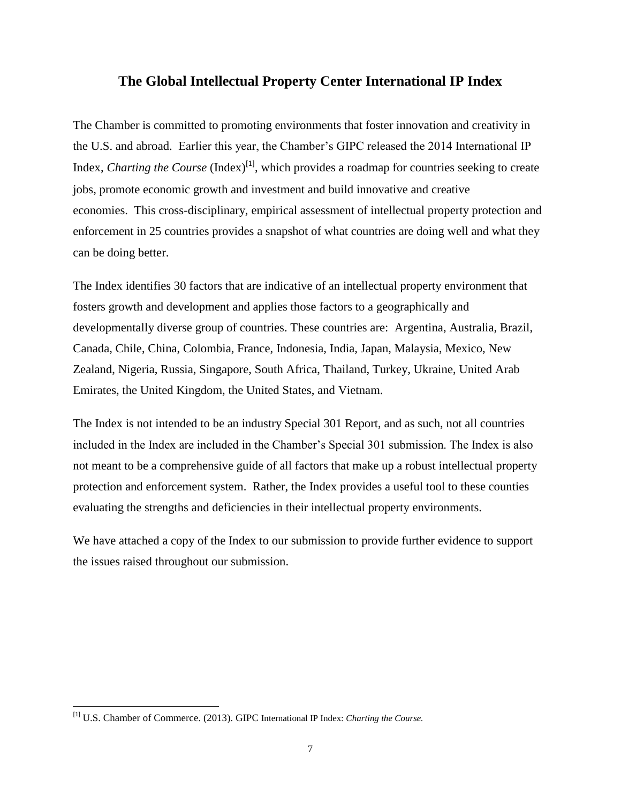# <span id="page-5-0"></span>**The Global Intellectual Property Center International IP Index**

The Chamber is committed to promoting environments that foster innovation and creativity in the U.S. and abroad. Earlier this year, the Chamber's GIPC released the 2014 International IP Index, *Charting the Course* (Index)<sup>[1]</sup>, which provides a roadmap for countries seeking to create jobs, promote economic growth and investment and build innovative and creative economies. This cross-disciplinary, empirical assessment of intellectual property protection and enforcement in 25 countries provides a snapshot of what countries are doing well and what they can be doing better.

The Index identifies 30 factors that are indicative of an intellectual property environment that fosters growth and development and applies those factors to a geographically and developmentally diverse group of countries. These countries are: Argentina, Australia, Brazil, Canada, Chile, China, Colombia, France, Indonesia, India, Japan, Malaysia, Mexico, New Zealand, Nigeria, Russia, Singapore, South Africa, Thailand, Turkey, Ukraine, United Arab Emirates, the United Kingdom, the United States, and Vietnam.

The Index is not intended to be an industry Special 301 Report, and as such, not all countries included in the Index are included in the Chamber's Special 301 submission. The Index is also not meant to be a comprehensive guide of all factors that make up a robust intellectual property protection and enforcement system. Rather, the Index provides a useful tool to these counties evaluating the strengths and deficiencies in their intellectual property environments.

We have attached a copy of the Index to our submission to provide further evidence to support the issues raised throughout our submission.

l

<sup>[1]</sup> U.S. Chamber of Commerce. (2013). GIPC International IP Index: *Charting the Course.*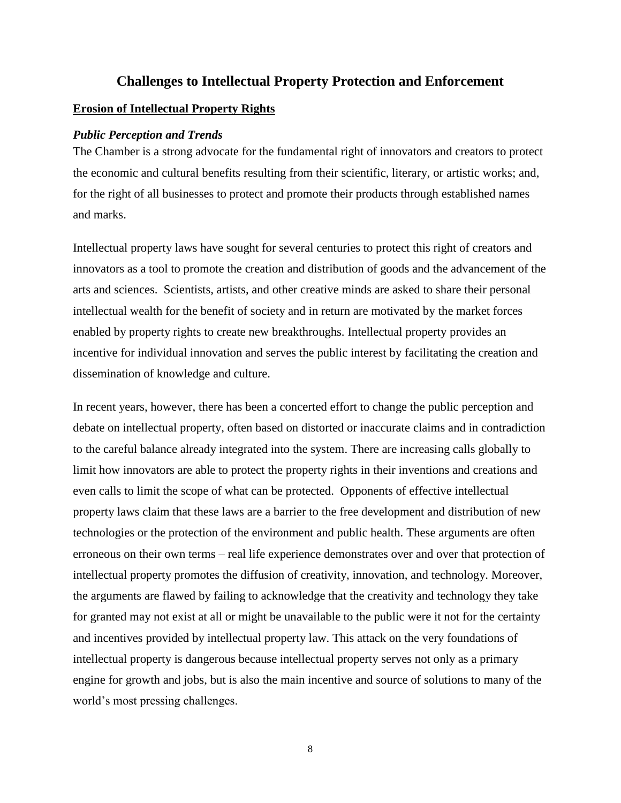## **Challenges to Intellectual Property Protection and Enforcement**

#### <span id="page-6-1"></span><span id="page-6-0"></span>**Erosion of Intellectual Property Rights**

#### <span id="page-6-2"></span>*Public Perception and Trends*

The Chamber is a strong advocate for the fundamental right of innovators and creators to protect the economic and cultural benefits resulting from their scientific, literary, or artistic works; and, for the right of all businesses to protect and promote their products through established names and marks.

Intellectual property laws have sought for several centuries to protect this right of creators and innovators as a tool to promote the creation and distribution of goods and the advancement of the arts and sciences. Scientists, artists, and other creative minds are asked to share their personal intellectual wealth for the benefit of society and in return are motivated by the market forces enabled by property rights to create new breakthroughs. Intellectual property provides an incentive for individual innovation and serves the public interest by facilitating the creation and dissemination of knowledge and culture.

In recent years, however, there has been a concerted effort to change the public perception and debate on intellectual property, often based on distorted or inaccurate claims and in contradiction to the careful balance already integrated into the system. There are increasing calls globally to limit how innovators are able to protect the property rights in their inventions and creations and even calls to limit the scope of what can be protected. Opponents of effective intellectual property laws claim that these laws are a barrier to the free development and distribution of new technologies or the protection of the environment and public health. These arguments are often erroneous on their own terms – real life experience demonstrates over and over that protection of intellectual property promotes the diffusion of creativity, innovation, and technology. Moreover, the arguments are flawed by failing to acknowledge that the creativity and technology they take for granted may not exist at all or might be unavailable to the public were it not for the certainty and incentives provided by intellectual property law. This attack on the very foundations of intellectual property is dangerous because intellectual property serves not only as a primary engine for growth and jobs, but is also the main incentive and source of solutions to many of the world's most pressing challenges.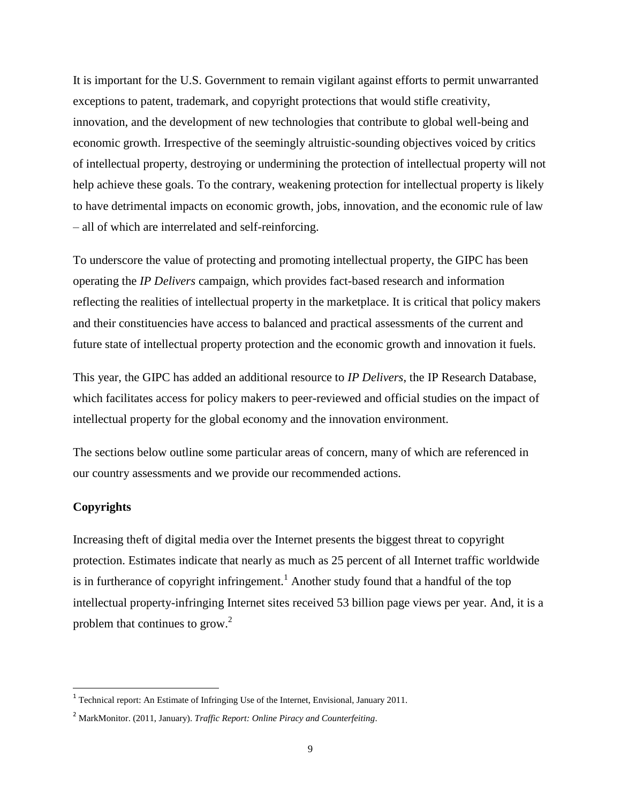It is important for the U.S. Government to remain vigilant against efforts to permit unwarranted exceptions to patent, trademark, and copyright protections that would stifle creativity, innovation, and the development of new technologies that contribute to global well-being and economic growth. Irrespective of the seemingly altruistic-sounding objectives voiced by critics of intellectual property, destroying or undermining the protection of intellectual property will not help achieve these goals. To the contrary, weakening protection for intellectual property is likely to have detrimental impacts on economic growth, jobs, innovation, and the economic rule of law – all of which are interrelated and self-reinforcing.

To underscore the value of protecting and promoting intellectual property, the GIPC has been operating the *IP Delivers* campaign, which provides fact-based research and information reflecting the realities of intellectual property in the marketplace. It is critical that policy makers and their constituencies have access to balanced and practical assessments of the current and future state of intellectual property protection and the economic growth and innovation it fuels.

This year, the GIPC has added an additional resource to *IP Delivers*, the IP Research Database, which facilitates access for policy makers to peer-reviewed and official studies on the impact of intellectual property for the global economy and the innovation environment.

The sections below outline some particular areas of concern, many of which are referenced in our country assessments and we provide our recommended actions.

## **Copyrights**

l

Increasing theft of digital media over the Internet presents the biggest threat to copyright protection. Estimates indicate that nearly as much as 25 percent of all Internet traffic worldwide is in furtherance of copyright infringement.<sup>1</sup> Another study found that a handful of the top intellectual property-infringing Internet sites received 53 billion page views per year. And, it is a problem that continues to grow. $2^2$ 

<sup>&</sup>lt;sup>1</sup> Technical report: An Estimate of Infringing Use of the Internet, Envisional, January 2011.

<sup>2</sup> MarkMonitor. (2011, January). *Traffic Report: Online Piracy and Counterfeiting*.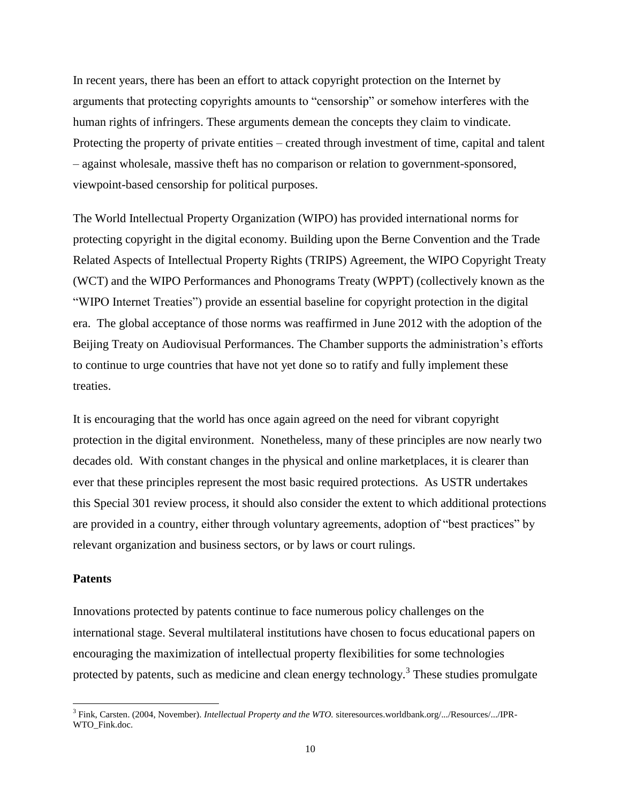In recent years, there has been an effort to attack copyright protection on the Internet by arguments that protecting copyrights amounts to "censorship" or somehow interferes with the human rights of infringers. These arguments demean the concepts they claim to vindicate. Protecting the property of private entities – created through investment of time, capital and talent – against wholesale, massive theft has no comparison or relation to government-sponsored, viewpoint-based censorship for political purposes.

The World Intellectual Property Organization (WIPO) has provided international norms for protecting copyright in the digital economy. Building upon the Berne Convention and the Trade Related Aspects of Intellectual Property Rights (TRIPS) Agreement, the WIPO Copyright Treaty (WCT) and the WIPO Performances and Phonograms Treaty (WPPT) (collectively known as the "WIPO Internet Treaties") provide an essential baseline for copyright protection in the digital era. The global acceptance of those norms was reaffirmed in June 2012 with the adoption of the Beijing Treaty on Audiovisual Performances. The Chamber supports the administration's efforts to continue to urge countries that have not yet done so to ratify and fully implement these treaties.

It is encouraging that the world has once again agreed on the need for vibrant copyright protection in the digital environment. Nonetheless, many of these principles are now nearly two decades old. With constant changes in the physical and online marketplaces, it is clearer than ever that these principles represent the most basic required protections. As USTR undertakes this Special 301 review process, it should also consider the extent to which additional protections are provided in a country, either through voluntary agreements, adoption of "best practices" by relevant organization and business sectors, or by laws or court rulings.

#### **Patents**

 $\overline{a}$ 

Innovations protected by patents continue to face numerous policy challenges on the international stage. Several multilateral institutions have chosen to focus educational papers on encouraging the maximization of intellectual property flexibilities for some technologies protected by patents, such as medicine and clean energy technology.<sup>3</sup> These studies promulgate

<sup>3</sup> Fink, Carsten. (2004, November). *Intellectual Property and the WTO.* siteresources.worldbank.org/.../Resources/.../IPR-WTO\_Fink.doc.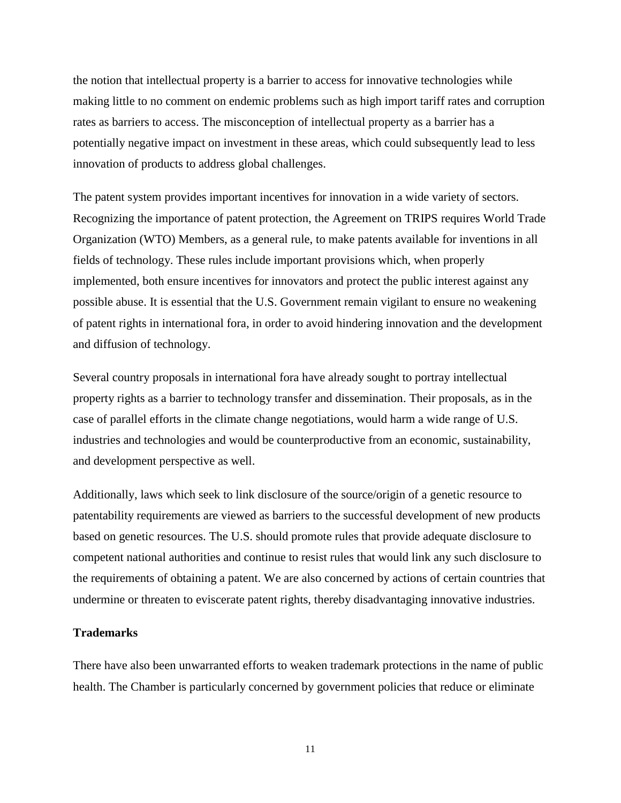the notion that intellectual property is a barrier to access for innovative technologies while making little to no comment on endemic problems such as high import tariff rates and corruption rates as barriers to access. The misconception of intellectual property as a barrier has a potentially negative impact on investment in these areas, which could subsequently lead to less innovation of products to address global challenges.

The patent system provides important incentives for innovation in a wide variety of sectors. Recognizing the importance of patent protection, the Agreement on TRIPS requires World Trade Organization (WTO) Members, as a general rule, to make patents available for inventions in all fields of technology. These rules include important provisions which, when properly implemented, both ensure incentives for innovators and protect the public interest against any possible abuse. It is essential that the U.S. Government remain vigilant to ensure no weakening of patent rights in international fora, in order to avoid hindering innovation and the development and diffusion of technology.

Several country proposals in international fora have already sought to portray intellectual property rights as a barrier to technology transfer and dissemination. Their proposals, as in the case of parallel efforts in the climate change negotiations, would harm a wide range of U.S. industries and technologies and would be counterproductive from an economic, sustainability, and development perspective as well.

Additionally, laws which seek to link disclosure of the source/origin of a genetic resource to patentability requirements are viewed as barriers to the successful development of new products based on genetic resources. The U.S. should promote rules that provide adequate disclosure to competent national authorities and continue to resist rules that would link any such disclosure to the requirements of obtaining a patent. We are also concerned by actions of certain countries that undermine or threaten to eviscerate patent rights, thereby disadvantaging innovative industries.

#### **Trademarks**

There have also been unwarranted efforts to weaken trademark protections in the name of public health. The Chamber is particularly concerned by government policies that reduce or eliminate

11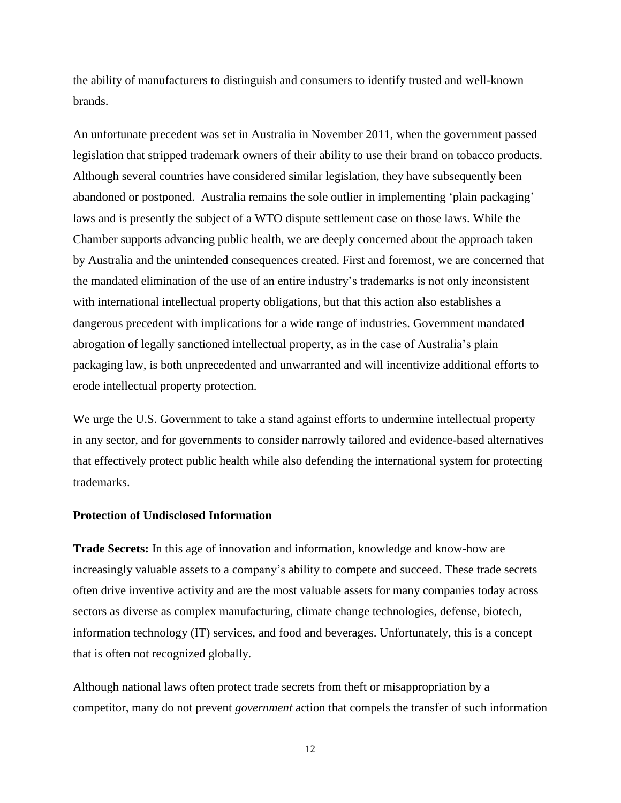the ability of manufacturers to distinguish and consumers to identify trusted and well-known brands.

An unfortunate precedent was set in Australia in November 2011, when the government passed legislation that stripped trademark owners of their ability to use their brand on tobacco products. Although several countries have considered similar legislation, they have subsequently been abandoned or postponed. Australia remains the sole outlier in implementing 'plain packaging' laws and is presently the subject of a WTO dispute settlement case on those laws. While the Chamber supports advancing public health, we are deeply concerned about the approach taken by Australia and the unintended consequences created. First and foremost, we are concerned that the mandated elimination of the use of an entire industry's trademarks is not only inconsistent with international intellectual property obligations, but that this action also establishes a dangerous precedent with implications for a wide range of industries. Government mandated abrogation of legally sanctioned intellectual property, as in the case of Australia's plain packaging law, is both unprecedented and unwarranted and will incentivize additional efforts to erode intellectual property protection.

We urge the U.S. Government to take a stand against efforts to undermine intellectual property in any sector, and for governments to consider narrowly tailored and evidence-based alternatives that effectively protect public health while also defending the international system for protecting trademarks.

#### **Protection of Undisclosed Information**

**Trade Secrets:** In this age of innovation and information, knowledge and know-how are increasingly valuable assets to a company's ability to compete and succeed. These trade secrets often drive inventive activity and are the most valuable assets for many companies today across sectors as diverse as complex manufacturing, climate change technologies, defense, biotech, information technology (IT) services, and food and beverages. Unfortunately, this is a concept that is often not recognized globally.

Although national laws often protect trade secrets from theft or misappropriation by a competitor, many do not prevent *government* action that compels the transfer of such information

12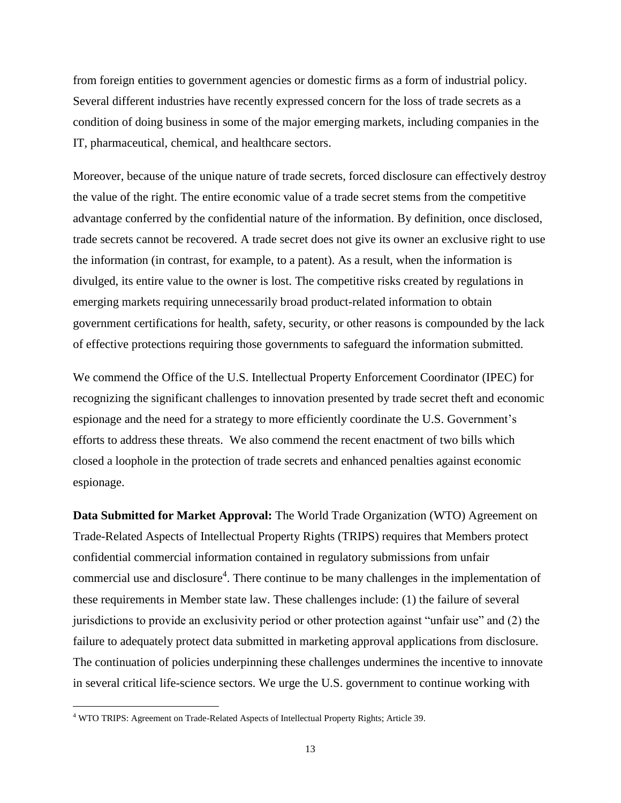from foreign entities to government agencies or domestic firms as a form of industrial policy. Several different industries have recently expressed concern for the loss of trade secrets as a condition of doing business in some of the major emerging markets, including companies in the IT, pharmaceutical, chemical, and healthcare sectors.

Moreover, because of the unique nature of trade secrets, forced disclosure can effectively destroy the value of the right. The entire economic value of a trade secret stems from the competitive advantage conferred by the confidential nature of the information. By definition, once disclosed, trade secrets cannot be recovered. A trade secret does not give its owner an exclusive right to use the information (in contrast, for example, to a patent). As a result, when the information is divulged, its entire value to the owner is lost. The competitive risks created by regulations in emerging markets requiring unnecessarily broad product-related information to obtain government certifications for health, safety, security, or other reasons is compounded by the lack of effective protections requiring those governments to safeguard the information submitted.

We commend the Office of the U.S. Intellectual Property Enforcement Coordinator (IPEC) for recognizing the significant challenges to innovation presented by trade secret theft and economic espionage and the need for a strategy to more efficiently coordinate the U.S. Government's efforts to address these threats. We also commend the recent enactment of two bills which closed a loophole in the protection of trade secrets and enhanced penalties against economic espionage.

**Data Submitted for Market Approval:** The World Trade Organization (WTO) Agreement on Trade-Related Aspects of Intellectual Property Rights (TRIPS) requires that Members protect confidential commercial information contained in regulatory submissions from unfair commercial use and disclosure<sup>4</sup>. There continue to be many challenges in the implementation of these requirements in Member state law. These challenges include: (1) the failure of several jurisdictions to provide an exclusivity period or other protection against "unfair use" and (2) the failure to adequately protect data submitted in marketing approval applications from disclosure. The continuation of policies underpinning these challenges undermines the incentive to innovate in several critical life-science sectors. We urge the U.S. government to continue working with

l

<sup>&</sup>lt;sup>4</sup> WTO TRIPS: Agreement on Trade-Related Aspects of Intellectual Property Rights; Article 39.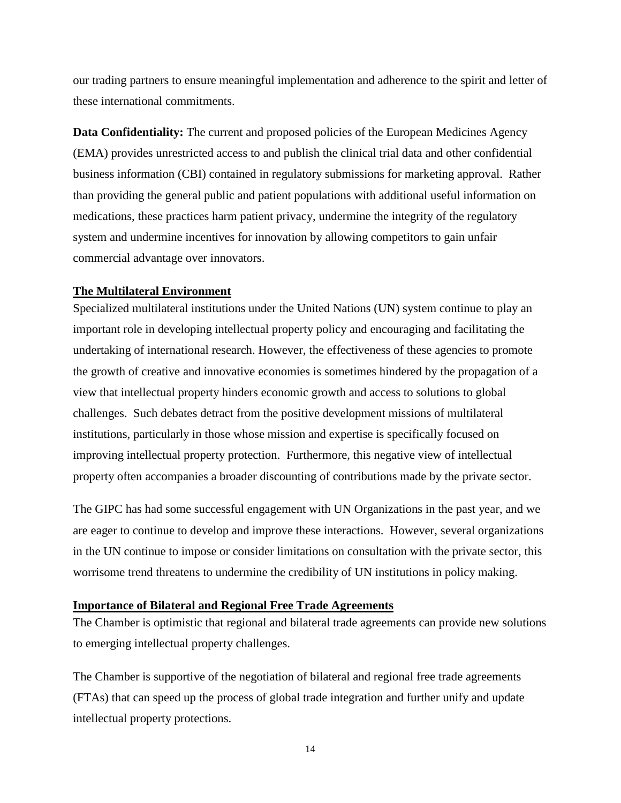our trading partners to ensure meaningful implementation and adherence to the spirit and letter of these international commitments.

**Data Confidentiality:** The current and proposed policies of the European Medicines Agency (EMA) provides unrestricted access to and publish the clinical trial data and other confidential business information (CBI) contained in regulatory submissions for marketing approval. Rather than providing the general public and patient populations with additional useful information on medications, these practices harm patient privacy, undermine the integrity of the regulatory system and undermine incentives for innovation by allowing competitors to gain unfair commercial advantage over innovators.

#### <span id="page-12-0"></span>**The Multilateral Environment**

Specialized multilateral institutions under the United Nations (UN) system continue to play an important role in developing intellectual property policy and encouraging and facilitating the undertaking of international research. However, the effectiveness of these agencies to promote the growth of creative and innovative economies is sometimes hindered by the propagation of a view that intellectual property hinders economic growth and access to solutions to global challenges. Such debates detract from the positive development missions of multilateral institutions, particularly in those whose mission and expertise is specifically focused on improving intellectual property protection. Furthermore, this negative view of intellectual property often accompanies a broader discounting of contributions made by the private sector.

The GIPC has had some successful engagement with UN Organizations in the past year, and we are eager to continue to develop and improve these interactions. However, several organizations in the UN continue to impose or consider limitations on consultation with the private sector, this worrisome trend threatens to undermine the credibility of UN institutions in policy making.

## <span id="page-12-1"></span>**Importance of Bilateral and Regional Free Trade Agreements**

The Chamber is optimistic that regional and bilateral trade agreements can provide new solutions to emerging intellectual property challenges.

The Chamber is supportive of the negotiation of bilateral and regional free trade agreements (FTAs) that can speed up the process of global trade integration and further unify and update intellectual property protections.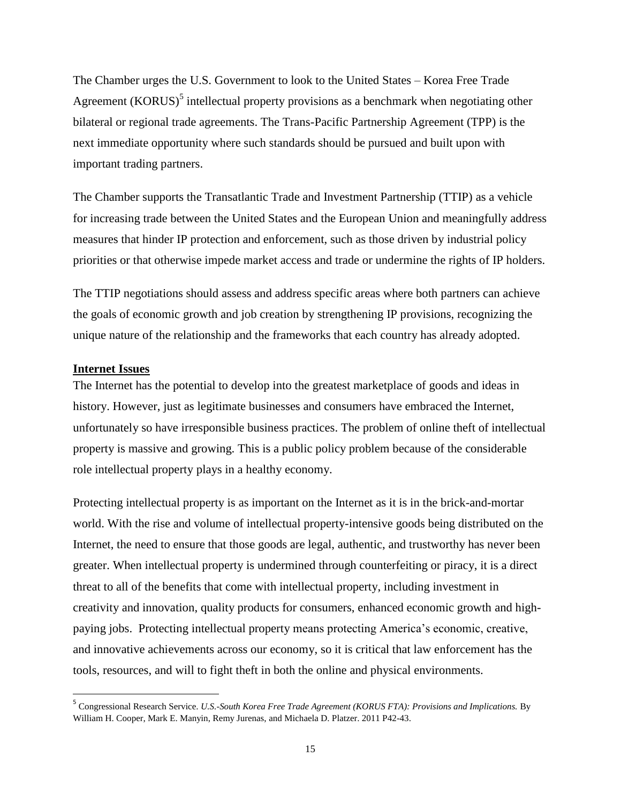The Chamber urges the U.S. Government to look to the United States – Korea Free Trade Agreement (KORUS) $<sup>5</sup>$  intellectual property provisions as a benchmark when negotiating other</sup> bilateral or regional trade agreements. The Trans-Pacific Partnership Agreement (TPP) is the next immediate opportunity where such standards should be pursued and built upon with important trading partners.

The Chamber supports the Transatlantic Trade and Investment Partnership (TTIP) as a vehicle for increasing trade between the United States and the European Union and meaningfully address measures that hinder IP protection and enforcement, such as those driven by industrial policy priorities or that otherwise impede market access and trade or undermine the rights of IP holders.

The TTIP negotiations should assess and address specific areas where both partners can achieve the goals of economic growth and job creation by strengthening IP provisions, recognizing the unique nature of the relationship and the frameworks that each country has already adopted.

#### <span id="page-13-0"></span>**Internet Issues**

l

The Internet has the potential to develop into the greatest marketplace of goods and ideas in history. However, just as legitimate businesses and consumers have embraced the Internet, unfortunately so have irresponsible business practices. The problem of online theft of intellectual property is massive and growing. This is a public policy problem because of the considerable role intellectual property plays in a healthy economy.

Protecting intellectual property is as important on the Internet as it is in the brick-and-mortar world. With the rise and volume of intellectual property-intensive goods being distributed on the Internet, the need to ensure that those goods are legal, authentic, and trustworthy has never been greater. When intellectual property is undermined through counterfeiting or piracy, it is a direct threat to all of the benefits that come with intellectual property, including investment in creativity and innovation, quality products for consumers, enhanced economic growth and highpaying jobs. Protecting intellectual property means protecting America's economic, creative, and innovative achievements across our economy, so it is critical that law enforcement has the tools, resources, and will to fight theft in both the online and physical environments.

<sup>5</sup> Congressional Research Service. *U.S.-South Korea Free Trade Agreement (KORUS FTA): Provisions and Implications.* By William H. Cooper, Mark E. Manyin, Remy Jurenas, and Michaela D. Platzer. 2011 P42-43.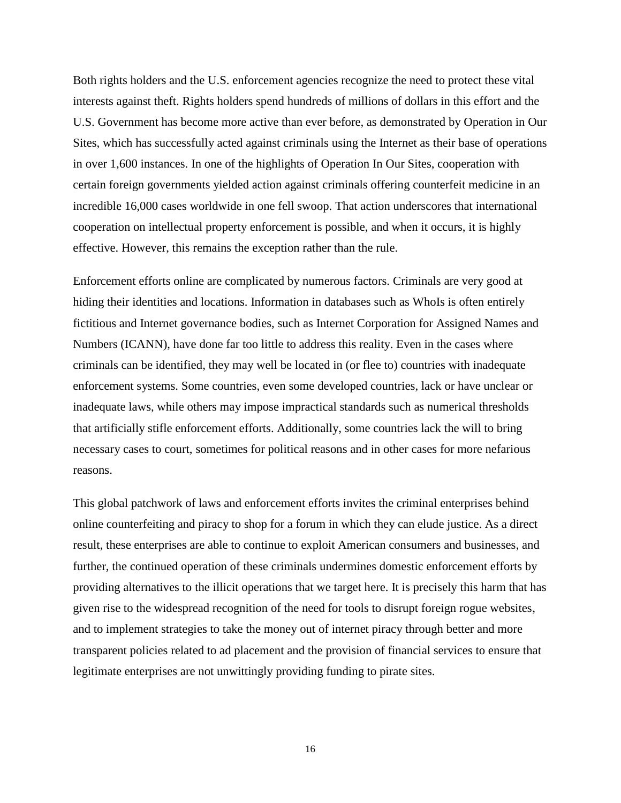Both rights holders and the U.S. enforcement agencies recognize the need to protect these vital interests against theft. Rights holders spend hundreds of millions of dollars in this effort and the U.S. Government has become more active than ever before, as demonstrated by Operation in Our Sites, which has successfully acted against criminals using the Internet as their base of operations in over 1,600 instances. In one of the highlights of Operation In Our Sites, cooperation with certain foreign governments yielded action against criminals offering counterfeit medicine in an incredible 16,000 cases worldwide in one fell swoop. That action underscores that international cooperation on intellectual property enforcement is possible, and when it occurs, it is highly effective. However, this remains the exception rather than the rule.

Enforcement efforts online are complicated by numerous factors. Criminals are very good at hiding their identities and locations. Information in databases such as WhoIs is often entirely fictitious and Internet governance bodies, such as Internet Corporation for Assigned Names and Numbers (ICANN), have done far too little to address this reality. Even in the cases where criminals can be identified, they may well be located in (or flee to) countries with inadequate enforcement systems. Some countries, even some developed countries, lack or have unclear or inadequate laws, while others may impose impractical standards such as numerical thresholds that artificially stifle enforcement efforts. Additionally, some countries lack the will to bring necessary cases to court, sometimes for political reasons and in other cases for more nefarious reasons.

This global patchwork of laws and enforcement efforts invites the criminal enterprises behind online counterfeiting and piracy to shop for a forum in which they can elude justice. As a direct result, these enterprises are able to continue to exploit American consumers and businesses, and further, the continued operation of these criminals undermines domestic enforcement efforts by providing alternatives to the illicit operations that we target here. It is precisely this harm that has given rise to the widespread recognition of the need for tools to disrupt foreign rogue websites, and to implement strategies to take the money out of internet piracy through better and more transparent policies related to ad placement and the provision of financial services to ensure that legitimate enterprises are not unwittingly providing funding to pirate sites.

16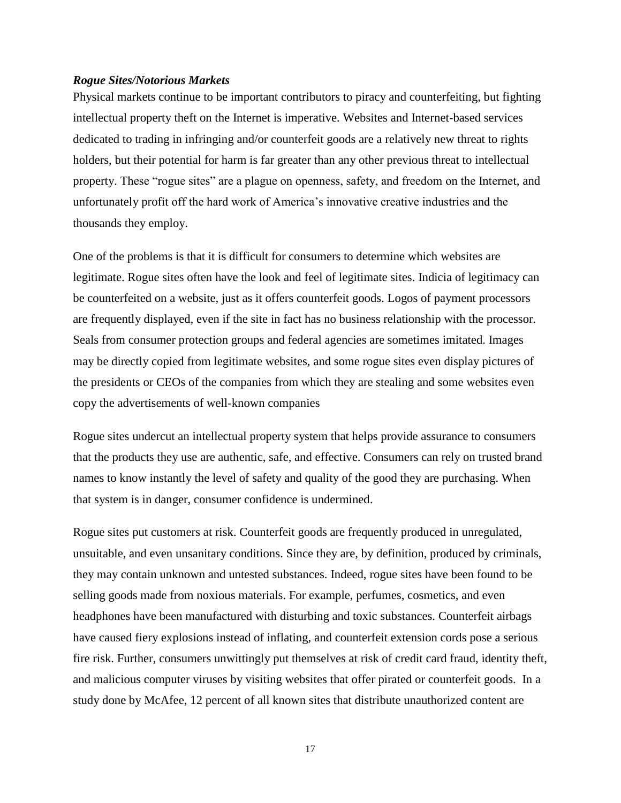#### <span id="page-15-0"></span>*Rogue Sites/Notorious Markets*

Physical markets continue to be important contributors to piracy and counterfeiting, but fighting intellectual property theft on the Internet is imperative. Websites and Internet-based services dedicated to trading in infringing and/or counterfeit goods are a relatively new threat to rights holders, but their potential for harm is far greater than any other previous threat to intellectual property. These "rogue sites" are a plague on openness, safety, and freedom on the Internet, and unfortunately profit off the hard work of America's innovative creative industries and the thousands they employ.

One of the problems is that it is difficult for consumers to determine which websites are legitimate. Rogue sites often have the look and feel of legitimate sites. Indicia of legitimacy can be counterfeited on a website, just as it offers counterfeit goods. Logos of payment processors are frequently displayed, even if the site in fact has no business relationship with the processor. Seals from consumer protection groups and federal agencies are sometimes imitated. Images may be directly copied from legitimate websites, and some rogue sites even display pictures of the presidents or CEOs of the companies from which they are stealing and some websites even copy the advertisements of well-known companies

Rogue sites undercut an intellectual property system that helps provide assurance to consumers that the products they use are authentic, safe, and effective. Consumers can rely on trusted brand names to know instantly the level of safety and quality of the good they are purchasing. When that system is in danger, consumer confidence is undermined.

Rogue sites put customers at risk. Counterfeit goods are frequently produced in unregulated, unsuitable, and even unsanitary conditions. Since they are, by definition, produced by criminals, they may contain unknown and untested substances. Indeed, rogue sites have been found to be selling goods made from noxious materials. For example, perfumes, cosmetics, and even headphones have been manufactured with disturbing and toxic substances. Counterfeit airbags have caused fiery explosions instead of inflating, and counterfeit extension cords pose a serious fire risk. Further, consumers unwittingly put themselves at risk of credit card fraud, identity theft, and malicious computer viruses by visiting websites that offer pirated or counterfeit goods. In a study done by McAfee, 12 percent of all known sites that distribute unauthorized content are

17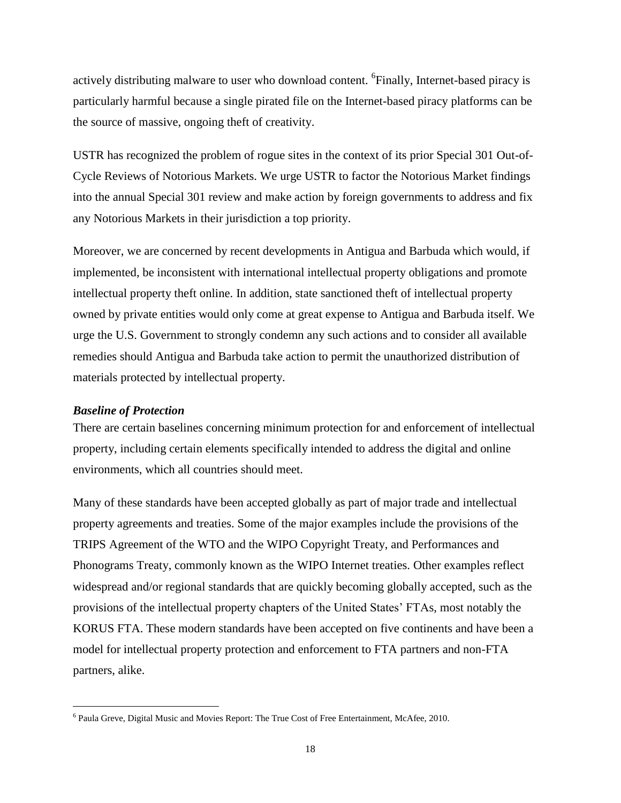actively distributing malware to user who download content. <sup>6</sup>Finally, Internet-based piracy is particularly harmful because a single pirated file on the Internet-based piracy platforms can be the source of massive, ongoing theft of creativity.

USTR has recognized the problem of rogue sites in the context of its prior Special 301 Out-of-Cycle Reviews of Notorious Markets. We urge USTR to factor the Notorious Market findings into the annual Special 301 review and make action by foreign governments to address and fix any Notorious Markets in their jurisdiction a top priority.

Moreover, we are concerned by recent developments in Antigua and Barbuda which would, if implemented, be inconsistent with international intellectual property obligations and promote intellectual property theft online. In addition, state sanctioned theft of intellectual property owned by private entities would only come at great expense to Antigua and Barbuda itself. We urge the U.S. Government to strongly condemn any such actions and to consider all available remedies should Antigua and Barbuda take action to permit the unauthorized distribution of materials protected by intellectual property.

#### <span id="page-16-0"></span>*Baseline of Protection*

l

There are certain baselines concerning minimum protection for and enforcement of intellectual property, including certain elements specifically intended to address the digital and online environments, which all countries should meet.

Many of these standards have been accepted globally as part of major trade and intellectual property agreements and treaties. Some of the major examples include the provisions of the TRIPS Agreement of the WTO and the WIPO Copyright Treaty, and Performances and Phonograms Treaty, commonly known as the WIPO Internet treaties. Other examples reflect widespread and/or regional standards that are quickly becoming globally accepted, such as the provisions of the intellectual property chapters of the United States' FTAs, most notably the KORUS FTA. These modern standards have been accepted on five continents and have been a model for intellectual property protection and enforcement to FTA partners and non-FTA partners, alike.

<sup>&</sup>lt;sup>6</sup> Paula Greve, Digital Music and Movies Report: The True Cost of Free Entertainment, McAfee, 2010.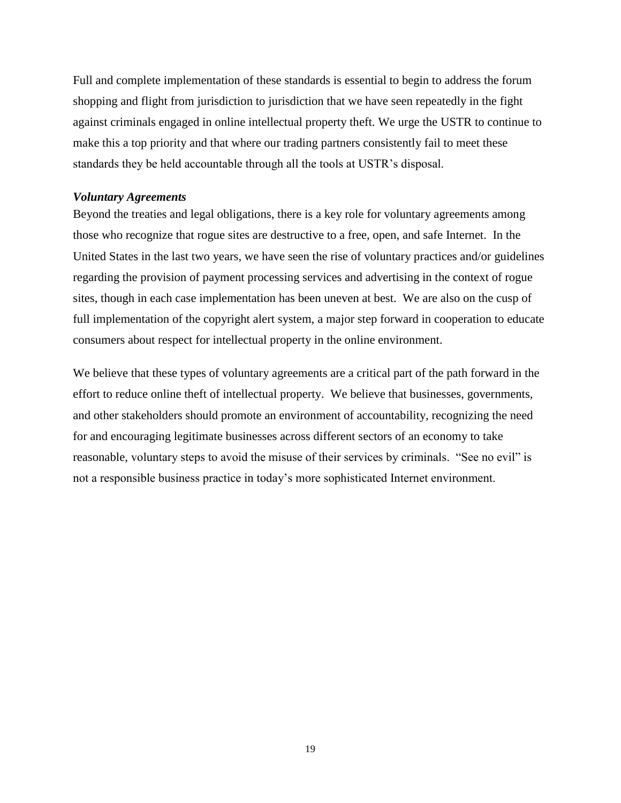Full and complete implementation of these standards is essential to begin to address the forum shopping and flight from jurisdiction to jurisdiction that we have seen repeatedly in the fight against criminals engaged in online intellectual property theft. We urge the USTR to continue to make this a top priority and that where our trading partners consistently fail to meet these standards they be held accountable through all the tools at USTR's disposal.

#### <span id="page-17-0"></span>*Voluntary Agreements*

Beyond the treaties and legal obligations, there is a key role for voluntary agreements among those who recognize that rogue sites are destructive to a free, open, and safe Internet. In the United States in the last two years, we have seen the rise of voluntary practices and/or guidelines regarding the provision of payment processing services and advertising in the context of rogue sites, though in each case implementation has been uneven at best. We are also on the cusp of full implementation of the copyright alert system, a major step forward in cooperation to educate consumers about respect for intellectual property in the online environment.

We believe that these types of voluntary agreements are a critical part of the path forward in the effort to reduce online theft of intellectual property. We believe that businesses, governments, and other stakeholders should promote an environment of accountability, recognizing the need for and encouraging legitimate businesses across different sectors of an economy to take reasonable, voluntary steps to avoid the misuse of their services by criminals. "See no evil" is not a responsible business practice in today's more sophisticated Internet environment.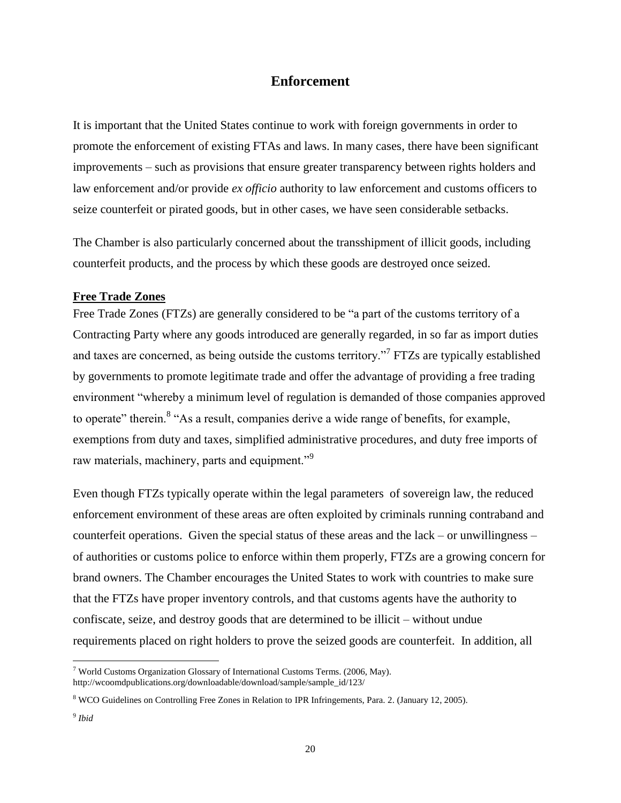# **Enforcement**

<span id="page-18-0"></span>It is important that the United States continue to work with foreign governments in order to promote the enforcement of existing FTAs and laws. In many cases, there have been significant improvements – such as provisions that ensure greater transparency between rights holders and law enforcement and/or provide *ex officio* authority to law enforcement and customs officers to seize counterfeit or pirated goods, but in other cases, we have seen considerable setbacks.

The Chamber is also particularly concerned about the transshipment of illicit goods, including counterfeit products, and the process by which these goods are destroyed once seized.

## <span id="page-18-1"></span>**Free Trade Zones**

Free Trade Zones (FTZs) are generally considered to be "a part of the customs territory of a Contracting Party where any goods introduced are generally regarded, in so far as import duties and taxes are concerned, as being outside the customs territory."<sup>7</sup> FTZs are typically established by governments to promote legitimate trade and offer the advantage of providing a free trading environment "whereby a minimum level of regulation is demanded of those companies approved to operate" therein.<sup>8</sup> "As a result, companies derive a wide range of benefits, for example, exemptions from duty and taxes, simplified administrative procedures, and duty free imports of raw materials, machinery, parts and equipment."<sup>9</sup>

Even though FTZs typically operate within the legal parameters of sovereign law, the reduced enforcement environment of these areas are often exploited by criminals running contraband and counterfeit operations. Given the special status of these areas and the lack – or unwillingness – of authorities or customs police to enforce within them properly, FTZs are a growing concern for brand owners. The Chamber encourages the United States to work with countries to make sure that the FTZs have proper inventory controls, and that customs agents have the authority to confiscate, seize, and destroy goods that are determined to be illicit – without undue requirements placed on right holders to prove the seized goods are counterfeit. In addition, all

l

<sup>&</sup>lt;sup>7</sup> World Customs Organization Glossary of International Customs Terms. (2006, May). http://wcoomdpublications.org/downloadable/download/sample/sample\_id/123/

<sup>8</sup> WCO Guidelines on Controlling Free Zones in Relation to IPR Infringements, Para. 2. (January 12, 2005).

<sup>9</sup> *Ibid*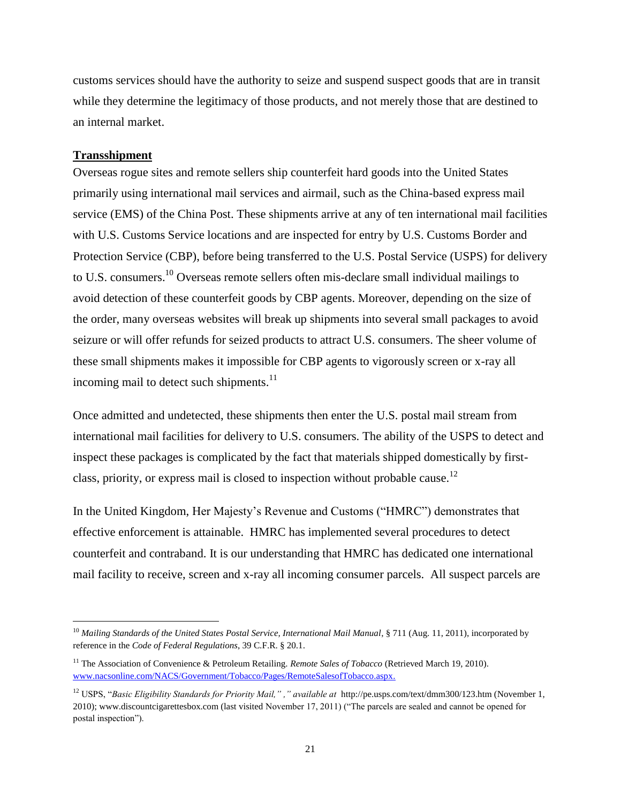customs services should have the authority to seize and suspend suspect goods that are in transit while they determine the legitimacy of those products, and not merely those that are destined to an internal market.

#### <span id="page-19-0"></span>**Transshipment**

l

Overseas rogue sites and remote sellers ship counterfeit hard goods into the United States primarily using international mail services and airmail, such as the China-based express mail service (EMS) of the China Post. These shipments arrive at any of ten international mail facilities with U.S. Customs Service locations and are inspected for entry by U.S. Customs Border and Protection Service (CBP), before being transferred to the U.S. Postal Service (USPS) for delivery to U.S. consumers.<sup>10</sup> Overseas remote sellers often mis-declare small individual mailings to avoid detection of these counterfeit goods by CBP agents. Moreover, depending on the size of the order, many overseas websites will break up shipments into several small packages to avoid seizure or will offer refunds for seized products to attract U.S. consumers. The sheer volume of these small shipments makes it impossible for CBP agents to vigorously screen or x-ray all incoming mail to detect such shipments.<sup>11</sup>

Once admitted and undetected, these shipments then enter the U.S. postal mail stream from international mail facilities for delivery to U.S. consumers. The ability of the USPS to detect and inspect these packages is complicated by the fact that materials shipped domestically by firstclass, priority, or express mail is closed to inspection without probable cause.<sup>12</sup>

In the United Kingdom, Her Majesty's Revenue and Customs ("HMRC") demonstrates that effective enforcement is attainable. HMRC has implemented several procedures to detect counterfeit and contraband. It is our understanding that HMRC has dedicated one international mail facility to receive, screen and x-ray all incoming consumer parcels. All suspect parcels are

<sup>&</sup>lt;sup>10</sup> Mailing Standards of the United States Postal Service, International Mail Manual, § 711 (Aug. 11, 2011), incorporated by reference in the *Code of Federal Regulations*, 39 C.F.R. § 20.1.

<sup>&</sup>lt;sup>11</sup> The Association of Convenience & Petroleum Retailing. *Remote Sales of Tobacco* (Retrieved March 19, 2010). [www.nacsonline.com/NACS/Government/Tobacco/Pages/RemoteSalesofTobacco.aspx.](http://www.nacsonline.com/NACS/Government/Tobacco/Pages/RemoteSalesofTobacco.aspx)

<sup>12</sup> USPS, "*Basic Eligibility Standards for Priority Mail," ," available at* http://pe.usps.com/text/dmm300/123.htm (November 1, 2010); www.discountcigarettesbox.com (last visited November 17, 2011) ("The parcels are sealed and cannot be opened for postal inspection").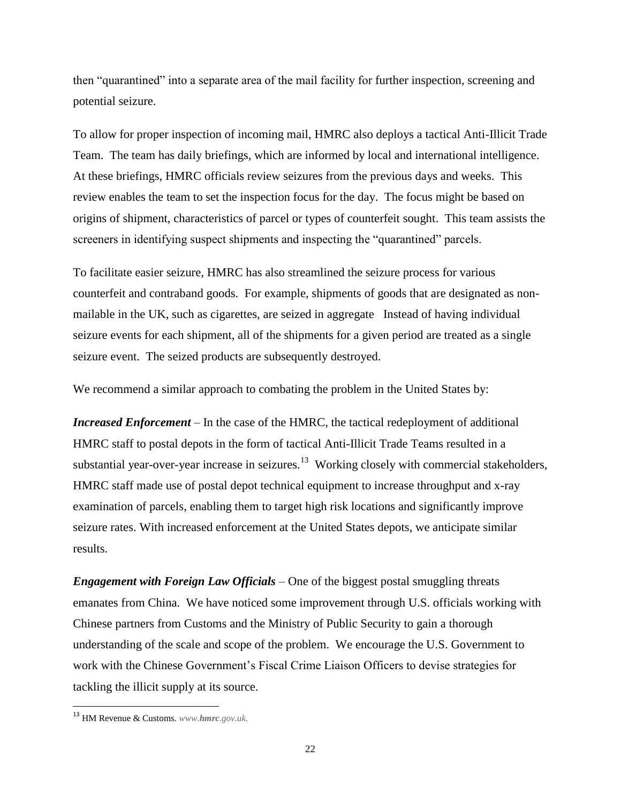then "quarantined" into a separate area of the mail facility for further inspection, screening and potential seizure.

To allow for proper inspection of incoming mail, HMRC also deploys a tactical Anti-Illicit Trade Team. The team has daily briefings, which are informed by local and international intelligence. At these briefings, HMRC officials review seizures from the previous days and weeks. This review enables the team to set the inspection focus for the day. The focus might be based on origins of shipment, characteristics of parcel or types of counterfeit sought. This team assists the screeners in identifying suspect shipments and inspecting the "quarantined" parcels.

To facilitate easier seizure, HMRC has also streamlined the seizure process for various counterfeit and contraband goods. For example, shipments of goods that are designated as nonmailable in the UK, such as cigarettes, are seized in aggregate Instead of having individual seizure events for each shipment, all of the shipments for a given period are treated as a single seizure event. The seized products are subsequently destroyed.

We recommend a similar approach to combating the problem in the United States by:

*Increased Enforcement* – In the case of the HMRC, the tactical redeployment of additional HMRC staff to postal depots in the form of tactical Anti-Illicit Trade Teams resulted in a substantial year-over-year increase in seizures.<sup>13</sup> Working closely with commercial stakeholders, HMRC staff made use of postal depot technical equipment to increase throughput and x-ray examination of parcels, enabling them to target high risk locations and significantly improve seizure rates. With increased enforcement at the United States depots, we anticipate similar results.

*Engagement with Foreign Law Officials* – One of the biggest postal smuggling threats emanates from China. We have noticed some improvement through U.S. officials working with Chinese partners from Customs and the Ministry of Public Security to gain a thorough understanding of the scale and scope of the problem. We encourage the U.S. Government to work with the Chinese Government's Fiscal Crime Liaison Officers to devise strategies for tackling the illicit supply at its source.

l

<sup>13</sup> HM Revenue & Customs. *www.hmrc.gov.uk.*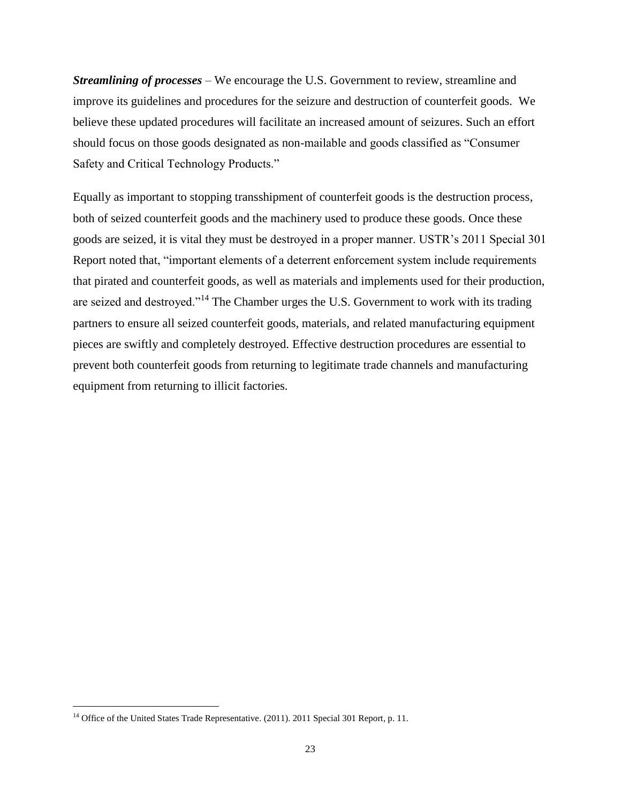*Streamlining of processes* – We encourage the U.S. Government to review, streamline and improve its guidelines and procedures for the seizure and destruction of counterfeit goods. We believe these updated procedures will facilitate an increased amount of seizures. Such an effort should focus on those goods designated as non-mailable and goods classified as "Consumer Safety and Critical Technology Products."

Equally as important to stopping transshipment of counterfeit goods is the destruction process, both of seized counterfeit goods and the machinery used to produce these goods. Once these goods are seized, it is vital they must be destroyed in a proper manner. USTR's 2011 Special 301 Report noted that, "important elements of a deterrent enforcement system include requirements that pirated and counterfeit goods, as well as materials and implements used for their production, are seized and destroyed."<sup>14</sup> The Chamber urges the U.S. Government to work with its trading partners to ensure all seized counterfeit goods, materials, and related manufacturing equipment pieces are swiftly and completely destroyed. Effective destruction procedures are essential to prevent both counterfeit goods from returning to legitimate trade channels and manufacturing equipment from returning to illicit factories.

l

<sup>&</sup>lt;sup>14</sup> Office of the United States Trade Representative. (2011). 2011 Special 301 Report, p. 11.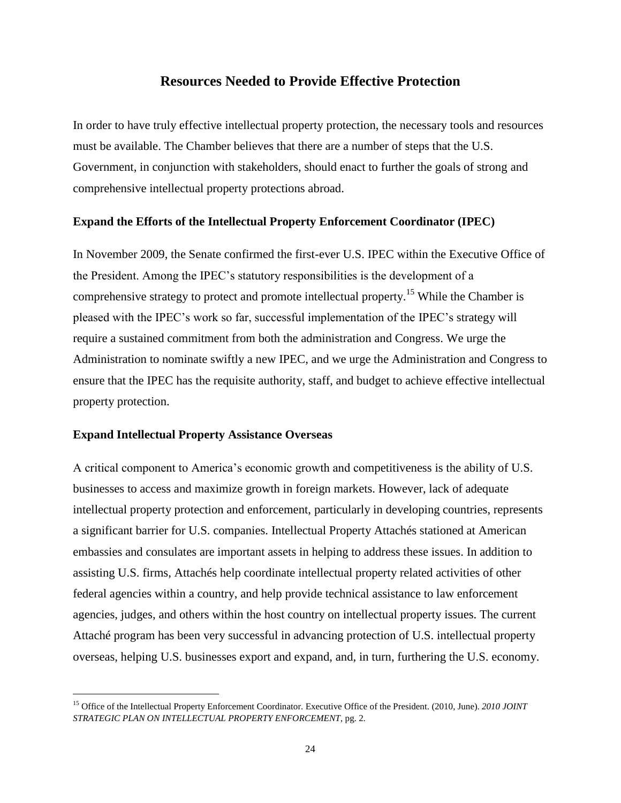# **Resources Needed to Provide Effective Protection**

<span id="page-22-0"></span>In order to have truly effective intellectual property protection, the necessary tools and resources must be available. The Chamber believes that there are a number of steps that the U.S. Government, in conjunction with stakeholders, should enact to further the goals of strong and comprehensive intellectual property protections abroad.

## **Expand the Efforts of the Intellectual Property Enforcement Coordinator (IPEC)**

In November 2009, the Senate confirmed the first-ever U.S. IPEC within the Executive Office of the President. Among the IPEC's statutory responsibilities is the development of a comprehensive strategy to protect and promote intellectual property.<sup>15</sup> While the Chamber is pleased with the IPEC's work so far, successful implementation of the IPEC's strategy will require a sustained commitment from both the administration and Congress. We urge the Administration to nominate swiftly a new IPEC, and we urge the Administration and Congress to ensure that the IPEC has the requisite authority, staff, and budget to achieve effective intellectual property protection.

## **Expand Intellectual Property Assistance Overseas**

l

A critical component to America's economic growth and competitiveness is the ability of U.S. businesses to access and maximize growth in foreign markets. However, lack of adequate intellectual property protection and enforcement, particularly in developing countries, represents a significant barrier for U.S. companies. Intellectual Property Attachés stationed at American embassies and consulates are important assets in helping to address these issues. In addition to assisting U.S. firms, Attachés help coordinate intellectual property related activities of other federal agencies within a country, and help provide technical assistance to law enforcement agencies, judges, and others within the host country on intellectual property issues. The current Attaché program has been very successful in advancing protection of U.S. intellectual property overseas, helping U.S. businesses export and expand, and, in turn, furthering the U.S. economy.

<sup>15</sup> Office of the Intellectual Property Enforcement Coordinator. Executive Office of the President. (2010, June). *2010 JOINT STRATEGIC PLAN ON INTELLECTUAL PROPERTY ENFORCEMENT*, pg. 2.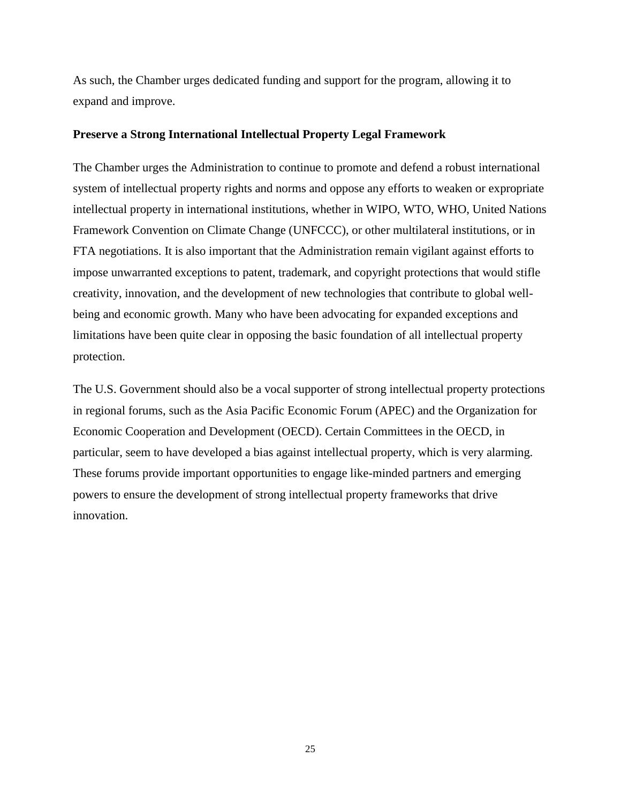As such, the Chamber urges dedicated funding and support for the program, allowing it to expand and improve.

### **Preserve a Strong International Intellectual Property Legal Framework**

The Chamber urges the Administration to continue to promote and defend a robust international system of intellectual property rights and norms and oppose any efforts to weaken or expropriate intellectual property in international institutions, whether in WIPO, WTO, WHO, United Nations Framework Convention on Climate Change (UNFCCC), or other multilateral institutions, or in FTA negotiations. It is also important that the Administration remain vigilant against efforts to impose unwarranted exceptions to patent, trademark, and copyright protections that would stifle creativity, innovation, and the development of new technologies that contribute to global wellbeing and economic growth. Many who have been advocating for expanded exceptions and limitations have been quite clear in opposing the basic foundation of all intellectual property protection.

The U.S. Government should also be a vocal supporter of strong intellectual property protections in regional forums, such as the Asia Pacific Economic Forum (APEC) and the Organization for Economic Cooperation and Development (OECD). Certain Committees in the OECD, in particular, seem to have developed a bias against intellectual property, which is very alarming. These forums provide important opportunities to engage like-minded partners and emerging powers to ensure the development of strong intellectual property frameworks that drive innovation.

25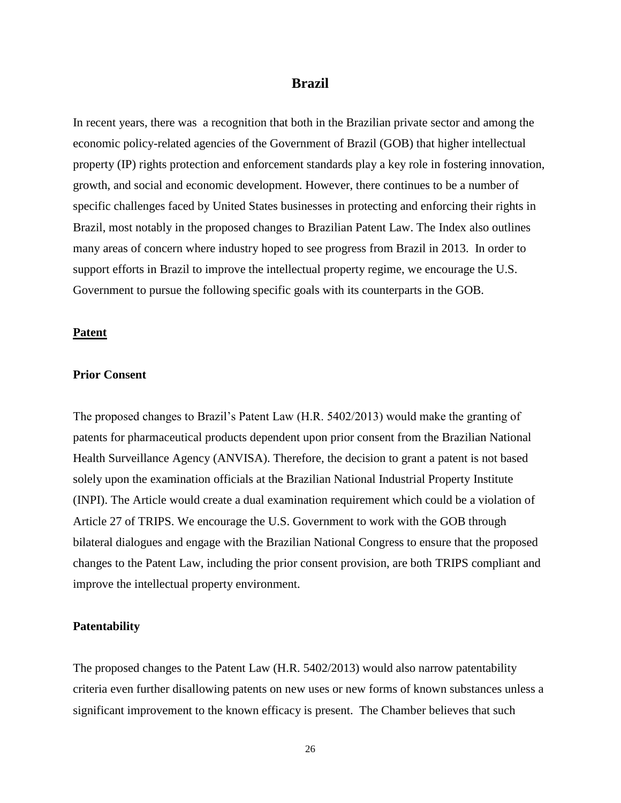## **Brazil**

<span id="page-24-0"></span>In recent years, there was a recognition that both in the Brazilian private sector and among the economic policy-related agencies of the Government of Brazil (GOB) that higher intellectual property (IP) rights protection and enforcement standards play a key role in fostering innovation, growth, and social and economic development. However, there continues to be a number of specific challenges faced by United States businesses in protecting and enforcing their rights in Brazil, most notably in the proposed changes to Brazilian Patent Law. The Index also outlines many areas of concern where industry hoped to see progress from Brazil in 2013. In order to support efforts in Brazil to improve the intellectual property regime, we encourage the U.S. Government to pursue the following specific goals with its counterparts in the GOB.

#### **Patent**

#### **Prior Consent**

The proposed changes to Brazil's Patent Law (H.R. 5402/2013) would make the granting of patents for pharmaceutical products dependent upon prior consent from the Brazilian National Health Surveillance Agency (ANVISA). Therefore, the decision to grant a patent is not based solely upon the examination officials at the Brazilian National Industrial Property Institute (INPI). The Article would create a dual examination requirement which could be a violation of Article 27 of TRIPS. We encourage the U.S. Government to work with the GOB through bilateral dialogues and engage with the Brazilian National Congress to ensure that the proposed changes to the Patent Law, including the prior consent provision, are both TRIPS compliant and improve the intellectual property environment.

#### **Patentability**

The proposed changes to the Patent Law (H.R. 5402/2013) would also narrow patentability criteria even further disallowing patents on new uses or new forms of known substances unless a significant improvement to the known efficacy is present. The Chamber believes that such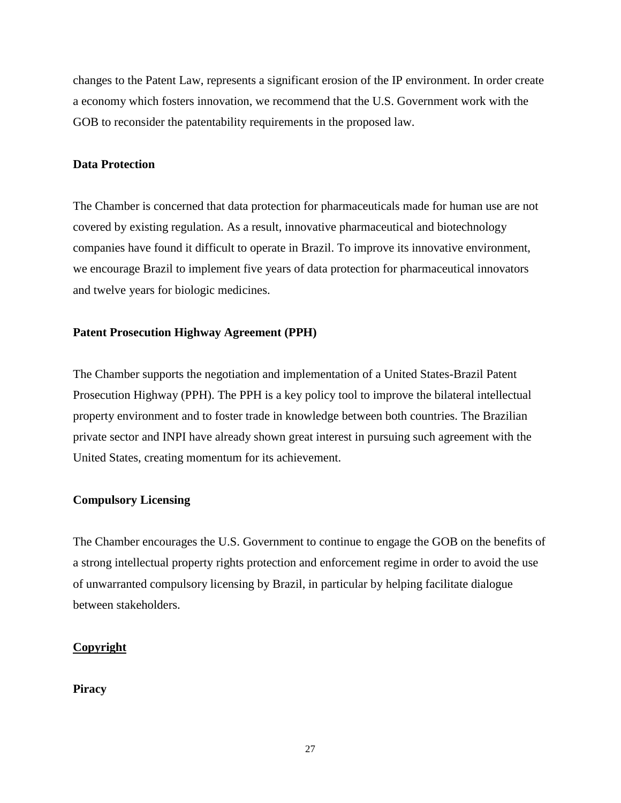changes to the Patent Law, represents a significant erosion of the IP environment. In order create a economy which fosters innovation, we recommend that the U.S. Government work with the GOB to reconsider the patentability requirements in the proposed law.

## **Data Protection**

The Chamber is concerned that data protection for pharmaceuticals made for human use are not covered by existing regulation. As a result, innovative pharmaceutical and biotechnology companies have found it difficult to operate in Brazil. To improve its innovative environment, we encourage Brazil to implement five years of data protection for pharmaceutical innovators and twelve years for biologic medicines.

## **Patent Prosecution Highway Agreement (PPH)**

The Chamber supports the negotiation and implementation of a United States-Brazil Patent Prosecution Highway (PPH). The PPH is a key policy tool to improve the bilateral intellectual property environment and to foster trade in knowledge between both countries. The Brazilian private sector and INPI have already shown great interest in pursuing such agreement with the United States, creating momentum for its achievement.

## **Compulsory Licensing**

The Chamber encourages the U.S. Government to continue to engage the GOB on the benefits of a strong intellectual property rights protection and enforcement regime in order to avoid the use of unwarranted compulsory licensing by Brazil, in particular by helping facilitate dialogue between stakeholders.

## **Copyright**

## **Piracy**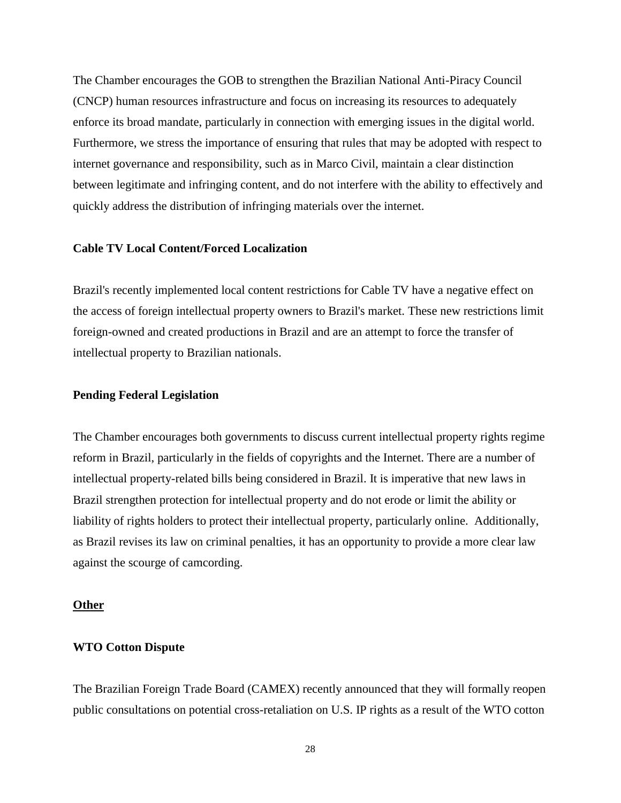The Chamber encourages the GOB to strengthen the Brazilian National Anti-Piracy Council (CNCP) human resources infrastructure and focus on increasing its resources to adequately enforce its broad mandate, particularly in connection with emerging issues in the digital world. Furthermore, we stress the importance of ensuring that rules that may be adopted with respect to internet governance and responsibility, such as in Marco Civil, maintain a clear distinction between legitimate and infringing content, and do not interfere with the ability to effectively and quickly address the distribution of infringing materials over the internet.

#### **Cable TV Local Content/Forced Localization**

Brazil's recently implemented local content restrictions for Cable TV have a negative effect on the access of foreign intellectual property owners to Brazil's market. These new restrictions limit foreign-owned and created productions in Brazil and are an attempt to force the transfer of intellectual property to Brazilian nationals.

## **Pending Federal Legislation**

The Chamber encourages both governments to discuss current intellectual property rights regime reform in Brazil, particularly in the fields of copyrights and the Internet. There are a number of intellectual property-related bills being considered in Brazil. It is imperative that new laws in Brazil strengthen protection for intellectual property and do not erode or limit the ability or liability of rights holders to protect their intellectual property, particularly online. Additionally, as Brazil revises its law on criminal penalties, it has an opportunity to provide a more clear law against the scourge of camcording.

#### **Other**

## **WTO Cotton Dispute**

The Brazilian Foreign Trade Board (CAMEX) recently announced that they will formally reopen public consultations on potential cross-retaliation on U.S. IP rights as a result of the WTO cotton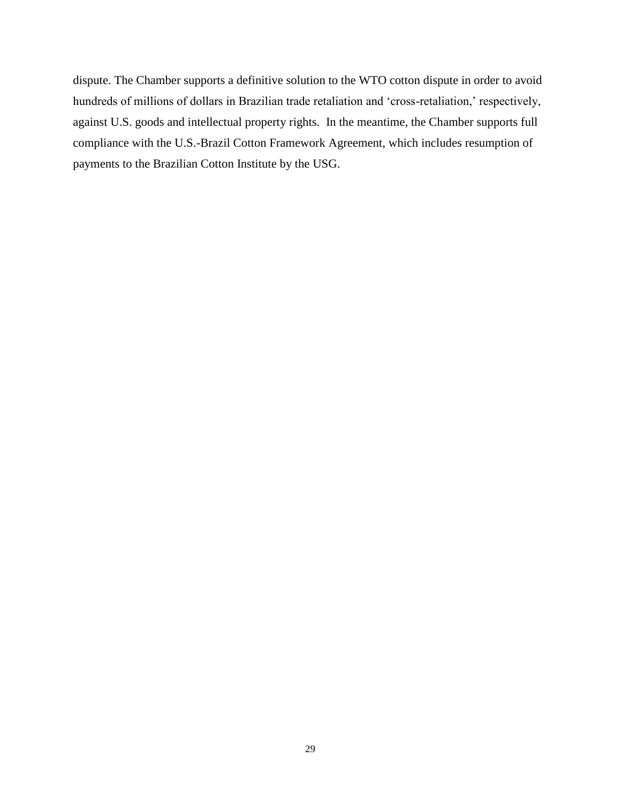dispute. The Chamber supports a definitive solution to the WTO cotton dispute in order to avoid hundreds of millions of dollars in Brazilian trade retaliation and 'cross-retaliation,' respectively, against U.S. goods and intellectual property rights. In the meantime, the Chamber supports full compliance with the U.S.-Brazil Cotton Framework Agreement, which includes resumption of payments to the Brazilian Cotton Institute by the USG.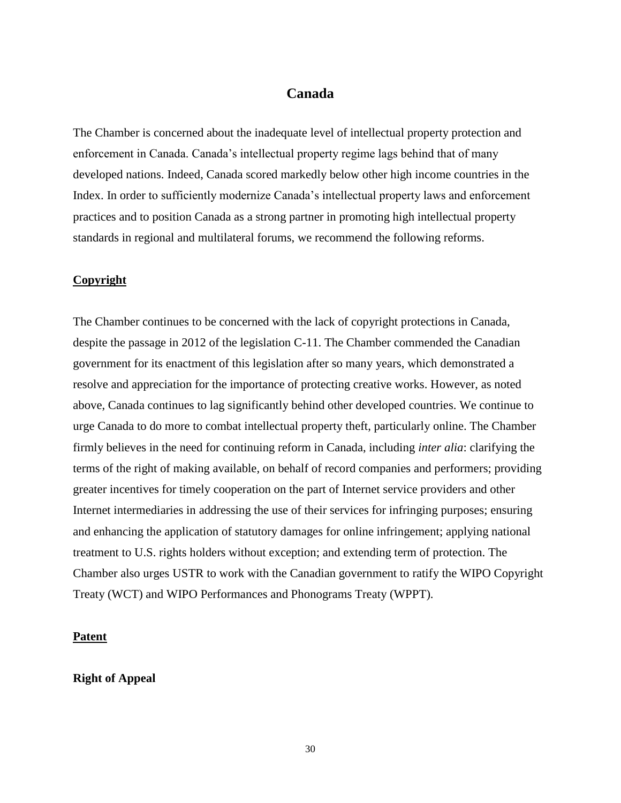# **Canada**

<span id="page-28-0"></span>The Chamber is concerned about the inadequate level of intellectual property protection and enforcement in Canada. Canada's intellectual property regime lags behind that of many developed nations. Indeed, Canada scored markedly below other high income countries in the Index. In order to sufficiently modernize Canada's intellectual property laws and enforcement practices and to position Canada as a strong partner in promoting high intellectual property standards in regional and multilateral forums, we recommend the following reforms.

## **Copyright**

The Chamber continues to be concerned with the lack of copyright protections in Canada, despite the passage in 2012 of the legislation C-11. The Chamber commended the Canadian government for its enactment of this legislation after so many years, which demonstrated a resolve and appreciation for the importance of protecting creative works. However, as noted above, Canada continues to lag significantly behind other developed countries. We continue to urge Canada to do more to combat intellectual property theft, particularly online. The Chamber firmly believes in the need for continuing reform in Canada, including *inter alia*: clarifying the terms of the right of making available, on behalf of record companies and performers; providing greater incentives for timely cooperation on the part of Internet service providers and other Internet intermediaries in addressing the use of their services for infringing purposes; ensuring and enhancing the application of statutory damages for online infringement; applying national treatment to U.S. rights holders without exception; and extending term of protection. The Chamber also urges USTR to work with the Canadian government to ratify the WIPO Copyright Treaty (WCT) and WIPO Performances and Phonograms Treaty (WPPT).

#### **Patent**

## **Right of Appeal**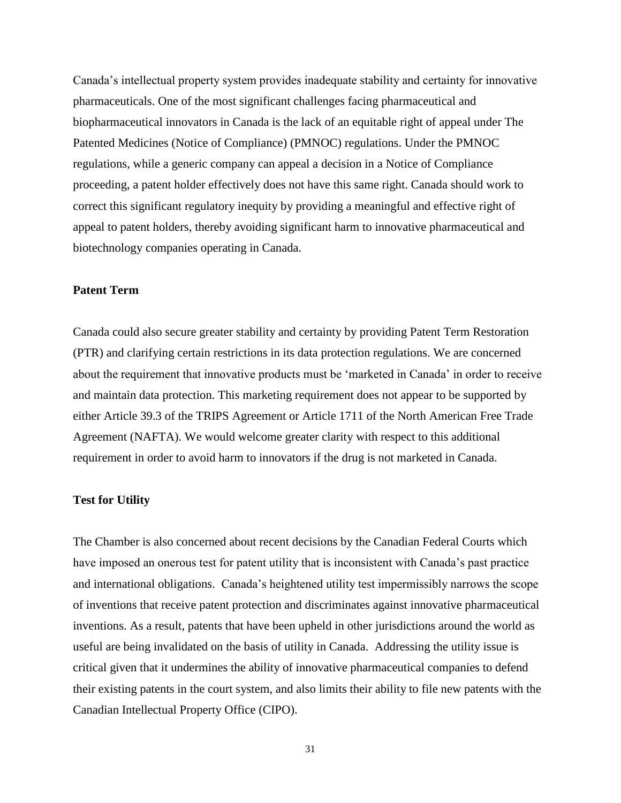Canada's intellectual property system provides inadequate stability and certainty for innovative pharmaceuticals. One of the most significant challenges facing pharmaceutical and biopharmaceutical innovators in Canada is the lack of an equitable right of appeal under The Patented Medicines (Notice of Compliance) (PMNOC) regulations. Under the PMNOC regulations, while a generic company can appeal a decision in a Notice of Compliance proceeding, a patent holder effectively does not have this same right. Canada should work to correct this significant regulatory inequity by providing a meaningful and effective right of appeal to patent holders, thereby avoiding significant harm to innovative pharmaceutical and biotechnology companies operating in Canada.

## **Patent Term**

Canada could also secure greater stability and certainty by providing Patent Term Restoration (PTR) and clarifying certain restrictions in its data protection regulations. We are concerned about the requirement that innovative products must be 'marketed in Canada' in order to receive and maintain data protection. This marketing requirement does not appear to be supported by either Article 39.3 of the TRIPS Agreement or Article 1711 of the North American Free Trade Agreement (NAFTA). We would welcome greater clarity with respect to this additional requirement in order to avoid harm to innovators if the drug is not marketed in Canada.

#### **Test for Utility**

The Chamber is also concerned about recent decisions by the Canadian Federal Courts which have imposed an onerous test for patent utility that is inconsistent with Canada's past practice and international obligations. Canada's heightened utility test impermissibly narrows the scope of inventions that receive patent protection and discriminates against innovative pharmaceutical inventions. As a result, patents that have been upheld in other jurisdictions around the world as useful are being invalidated on the basis of utility in Canada. Addressing the utility issue is critical given that it undermines the ability of innovative pharmaceutical companies to defend their existing patents in the court system, and also limits their ability to file new patents with the Canadian Intellectual Property Office (CIPO).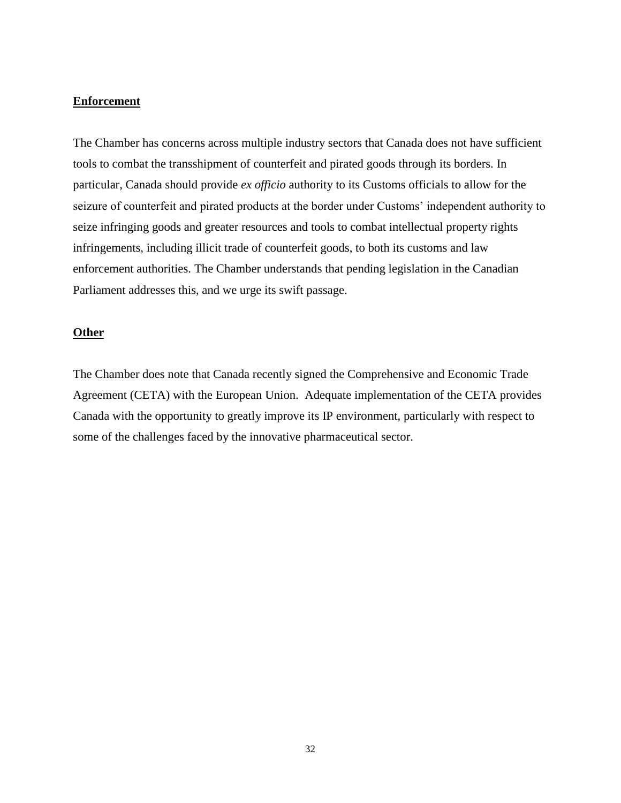### **Enforcement**

The Chamber has concerns across multiple industry sectors that Canada does not have sufficient tools to combat the transshipment of counterfeit and pirated goods through its borders. In particular, Canada should provide *ex officio* authority to its Customs officials to allow for the seizure of counterfeit and pirated products at the border under Customs' independent authority to seize infringing goods and greater resources and tools to combat intellectual property rights infringements, including illicit trade of counterfeit goods, to both its customs and law enforcement authorities. The Chamber understands that pending legislation in the Canadian Parliament addresses this, and we urge its swift passage.

## **Other**

The Chamber does note that Canada recently signed the Comprehensive and Economic Trade Agreement (CETA) with the European Union. Adequate implementation of the CETA provides Canada with the opportunity to greatly improve its IP environment, particularly with respect to some of the challenges faced by the innovative pharmaceutical sector.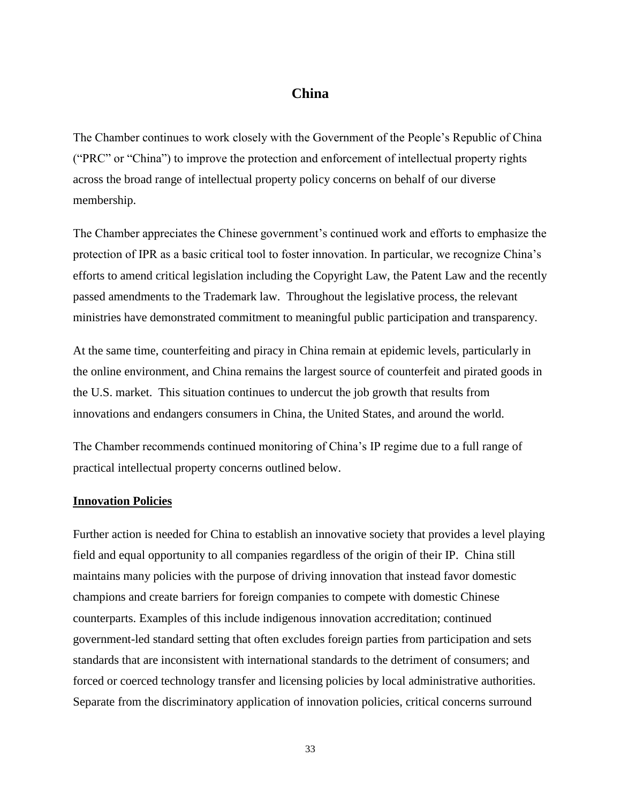# **China**

<span id="page-31-0"></span>The Chamber continues to work closely with the Government of the People's Republic of China ("PRC" or "China") to improve the protection and enforcement of intellectual property rights across the broad range of intellectual property policy concerns on behalf of our diverse membership.

The Chamber appreciates the Chinese government's continued work and efforts to emphasize the protection of IPR as a basic critical tool to foster innovation. In particular, we recognize China's efforts to amend critical legislation including the Copyright Law, the Patent Law and the recently passed amendments to the Trademark law. Throughout the legislative process, the relevant ministries have demonstrated commitment to meaningful public participation and transparency.

At the same time, counterfeiting and piracy in China remain at epidemic levels, particularly in the online environment, and China remains the largest source of counterfeit and pirated goods in the U.S. market. This situation continues to undercut the job growth that results from innovations and endangers consumers in China, the United States, and around the world.

The Chamber recommends continued monitoring of China's IP regime due to a full range of practical intellectual property concerns outlined below.

## **Innovation Policies**

Further action is needed for China to establish an innovative society that provides a level playing field and equal opportunity to all companies regardless of the origin of their IP. China still maintains many policies with the purpose of driving innovation that instead favor domestic champions and create barriers for foreign companies to compete with domestic Chinese counterparts. Examples of this include indigenous innovation accreditation; continued government-led standard setting that often excludes foreign parties from participation and sets standards that are inconsistent with international standards to the detriment of consumers; and forced or coerced technology transfer and licensing policies by local administrative authorities. Separate from the discriminatory application of innovation policies, critical concerns surround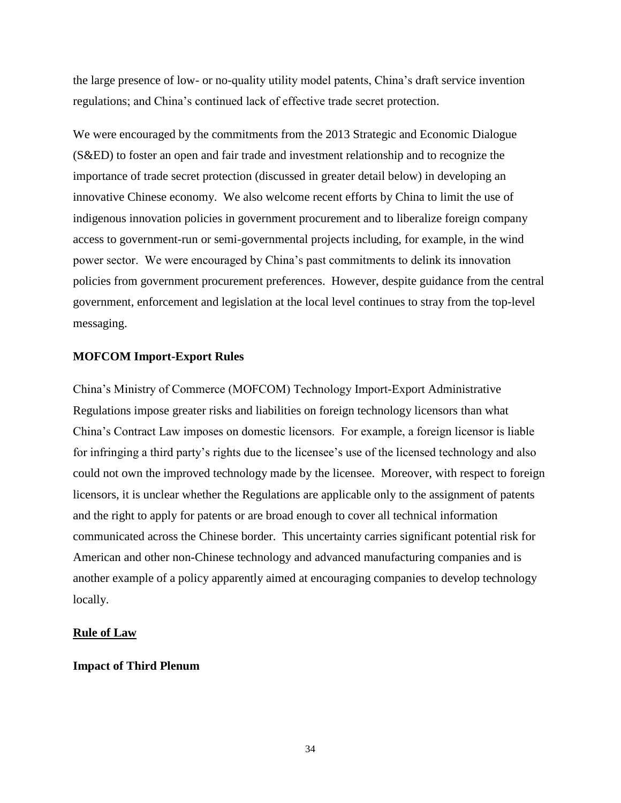the large presence of low- or no-quality utility model patents, China's draft service invention regulations; and China's continued lack of effective trade secret protection.

We were encouraged by the commitments from the 2013 Strategic and Economic Dialogue (S&ED) to foster an open and fair trade and investment relationship and to recognize the importance of trade secret protection (discussed in greater detail below) in developing an innovative Chinese economy. We also welcome recent efforts by China to limit the use of indigenous innovation policies in government procurement and to liberalize foreign company access to government-run or semi-governmental projects including, for example, in the wind power sector. We were encouraged by China's past commitments to delink its innovation policies from government procurement preferences. However, despite guidance from the central government, enforcement and legislation at the local level continues to stray from the top-level messaging.

## **MOFCOM Import-Export Rules**

China's Ministry of Commerce (MOFCOM) Technology Import-Export Administrative Regulations impose greater risks and liabilities on foreign technology licensors than what China's Contract Law imposes on domestic licensors. For example, a foreign licensor is liable for infringing a third party's rights due to the licensee's use of the licensed technology and also could not own the improved technology made by the licensee. Moreover, with respect to foreign licensors, it is unclear whether the Regulations are applicable only to the assignment of patents and the right to apply for patents or are broad enough to cover all technical information communicated across the Chinese border. This uncertainty carries significant potential risk for American and other non-Chinese technology and advanced manufacturing companies and is another example of a policy apparently aimed at encouraging companies to develop technology locally.

## **Rule of Law**

## **Impact of Third Plenum**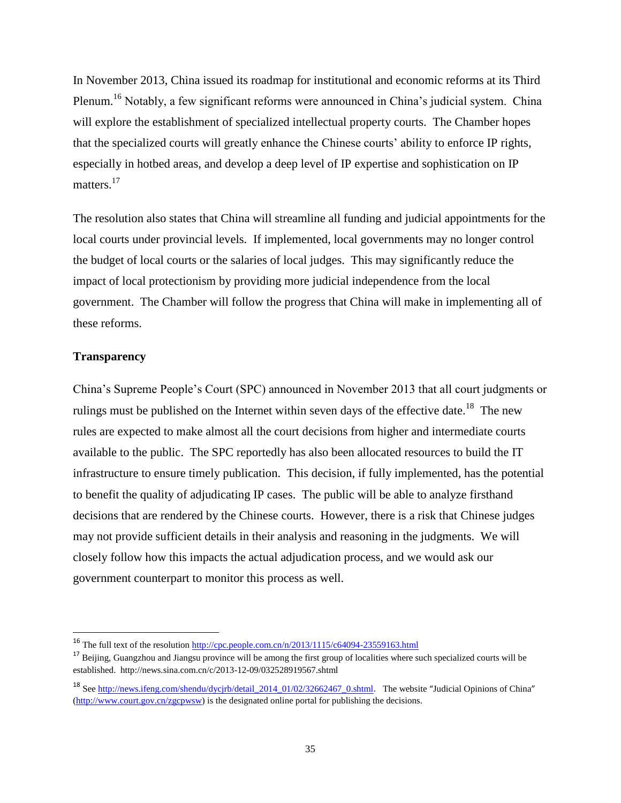In November 2013, China issued its roadmap for institutional and economic reforms at its Third Plenum.<sup>16</sup> Notably, a few significant reforms were announced in China's judicial system. China will explore the establishment of specialized intellectual property courts. The Chamber hopes that the specialized courts will greatly enhance the Chinese courts' ability to enforce IP rights, especially in hotbed areas, and develop a deep level of IP expertise and sophistication on IP matters.<sup>17</sup>

The resolution also states that China will streamline all funding and judicial appointments for the local courts under provincial levels. If implemented, local governments may no longer control the budget of local courts or the salaries of local judges. This may significantly reduce the impact of local protectionism by providing more judicial independence from the local government. The Chamber will follow the progress that China will make in implementing all of these reforms.

## **Transparency**

 $\overline{\phantom{a}}$ 

China's Supreme People's Court (SPC) announced in November 2013 that all court judgments or rulings must be published on the Internet within seven days of the effective date.<sup>18</sup> The new rules are expected to make almost all the court decisions from higher and intermediate courts available to the public. The SPC reportedly has also been allocated resources to build the IT infrastructure to ensure timely publication. This decision, if fully implemented, has the potential to benefit the quality of adjudicating IP cases. The public will be able to analyze firsthand decisions that are rendered by the Chinese courts. However, there is a risk that Chinese judges may not provide sufficient details in their analysis and reasoning in the judgments. We will closely follow how this impacts the actual adjudication process, and we would ask our government counterpart to monitor this process as well.

<sup>&</sup>lt;sup>16</sup> The full text of the resolution <u>http://cpc.people.com.cn/n/2013/1115/c64094-23559163.html</u>

<sup>&</sup>lt;sup>17</sup> Beijing, Guangzhou and Jiangsu province will be among the first group of localities where such specialized courts will be established. http://news.sina.com.cn/c/2013-12-09/032528919567.shtml

<sup>&</sup>lt;sup>18</sup> See http://news.ifeng.com/shendu/dvcirb/detail 2014 01/02/32662467 0.shtml. The website "Judicial Opinions of China" [\(http://www.court.gov.cn/zgcpwsw\)](http://www.court.gov.cn/zgcpwsw) is the designated online portal for publishing the decisions.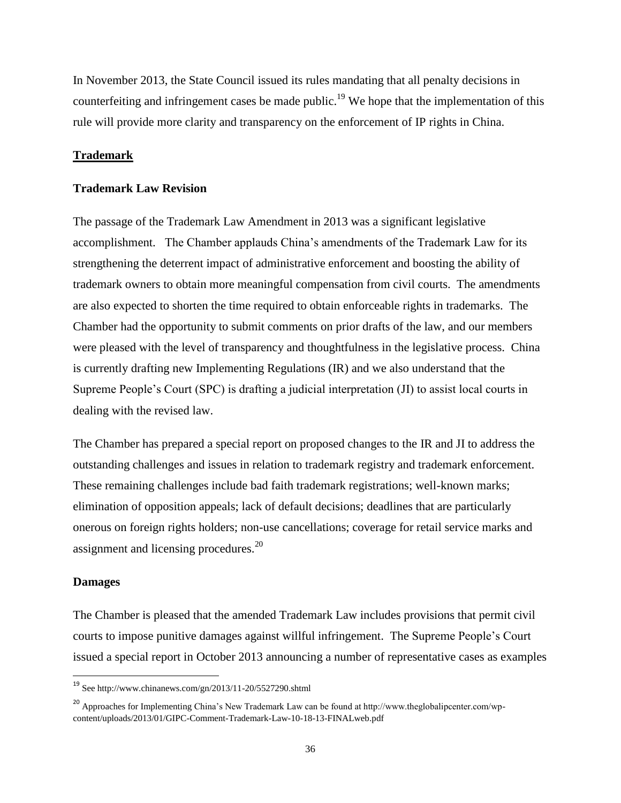In November 2013, the State Council issued its rules mandating that all penalty decisions in counterfeiting and infringement cases be made public.<sup>19</sup> We hope that the implementation of this rule will provide more clarity and transparency on the enforcement of IP rights in China.

## **Trademark**

### **Trademark Law Revision**

The passage of the Trademark Law Amendment in 2013 was a significant legislative accomplishment. The Chamber applauds China's amendments of the Trademark Law for its strengthening the deterrent impact of administrative enforcement and boosting the ability of trademark owners to obtain more meaningful compensation from civil courts. The amendments are also expected to shorten the time required to obtain enforceable rights in trademarks. The Chamber had the opportunity to submit comments on prior drafts of the law, and our members were pleased with the level of transparency and thoughtfulness in the legislative process. China is currently drafting new Implementing Regulations (IR) and we also understand that the Supreme People's Court (SPC) is drafting a judicial interpretation (JI) to assist local courts in dealing with the revised law.

The Chamber has prepared a special report on proposed changes to the IR and JI to address the outstanding challenges and issues in relation to trademark registry and trademark enforcement. These remaining challenges include bad faith trademark registrations; well-known marks; elimination of opposition appeals; lack of default decisions; deadlines that are particularly onerous on foreign rights holders; non-use cancellations; coverage for retail service marks and assignment and licensing procedures.<sup>20</sup>

#### **Damages**

l

The Chamber is pleased that the amended Trademark Law includes provisions that permit civil courts to impose punitive damages against willful infringement. The Supreme People's Court issued a special report in October 2013 announcing a number of representative cases as examples

<sup>&</sup>lt;sup>19</sup> See http://www.chinanews.com/gn/2013/11-20/5527290.shtml

<sup>&</sup>lt;sup>20</sup> Approaches for Implementing China's New Trademark Law can be found at http://www.theglobalipcenter.com/wpcontent/uploads/2013/01/GIPC-Comment-Trademark-Law-10-18-13-FINALweb.pdf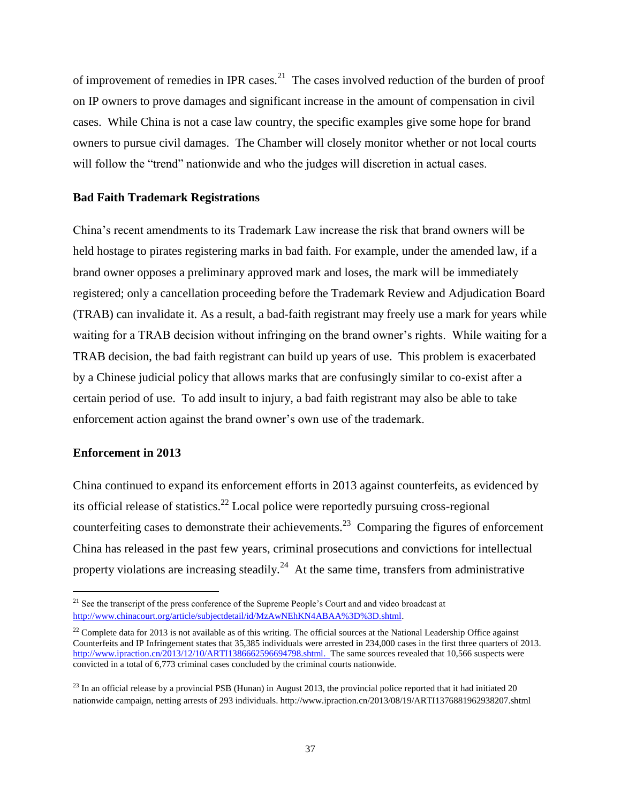of improvement of remedies in IPR cases.<sup>21</sup> The cases involved reduction of the burden of proof on IP owners to prove damages and significant increase in the amount of compensation in civil cases. While China is not a case law country, the specific examples give some hope for brand owners to pursue civil damages. The Chamber will closely monitor whether or not local courts will follow the "trend" nationwide and who the judges will discretion in actual cases.

## **Bad Faith Trademark Registrations**

China's recent amendments to its Trademark Law increase the risk that brand owners will be held hostage to pirates registering marks in bad faith. For example, under the amended law, if a brand owner opposes a preliminary approved mark and loses, the mark will be immediately registered; only a cancellation proceeding before the Trademark Review and Adjudication Board (TRAB) can invalidate it. As a result, a bad-faith registrant may freely use a mark for years while waiting for a TRAB decision without infringing on the brand owner's rights. While waiting for a TRAB decision, the bad faith registrant can build up years of use. This problem is exacerbated by a Chinese judicial policy that allows marks that are confusingly similar to co-exist after a certain period of use. To add insult to injury, a bad faith registrant may also be able to take enforcement action against the brand owner's own use of the trademark.

## **Enforcement in 2013**

 $\overline{\phantom{a}}$ 

China continued to expand its enforcement efforts in 2013 against counterfeits, as evidenced by its official release of statistics.<sup>22</sup> Local police were reportedly pursuing cross-regional counterfeiting cases to demonstrate their achievements.<sup>23</sup> Comparing the figures of enforcement China has released in the past few years, criminal prosecutions and convictions for intellectual property violations are increasing steadily.<sup>24</sup> At the same time, transfers from administrative

<sup>&</sup>lt;sup>21</sup> See the transcript of the press conference of the Supreme People's Court and and video broadcast at [http://www.chinacourt.org/article/subjectdetail/id/MzAwNEhKN4ABAA%3D%3D.shtml.](http://www.chinacourt.org/article/subjectdetail/id/MzAwNEhKN4ABAA%3D%3D.shtml)

 $^{22}$  Complete data for 2013 is not available as of this writing. The official sources at the National Leadership Office against Counterfeits and IP Infringement states that 35,385 individuals were arrested in 234,000 cases in the first three quarters of 2013. [http://www.ipraction.cn/2013/12/10/ARTI1386662596694798.shtml.](http://www.ipraction.cn/2013/12/10/ARTI1386662596694798.shtml) The same sources revealed that 10,566 suspects were convicted in a total of 6,773 criminal cases concluded by the criminal courts nationwide.

 $^{23}$  In an official release by a provincial PSB (Hunan) in August 2013, the provincial police reported that it had initiated 20 nationwide campaign, netting arrests of 293 individuals. http://www.ipraction.cn/2013/08/19/ARTI1376881962938207.shtml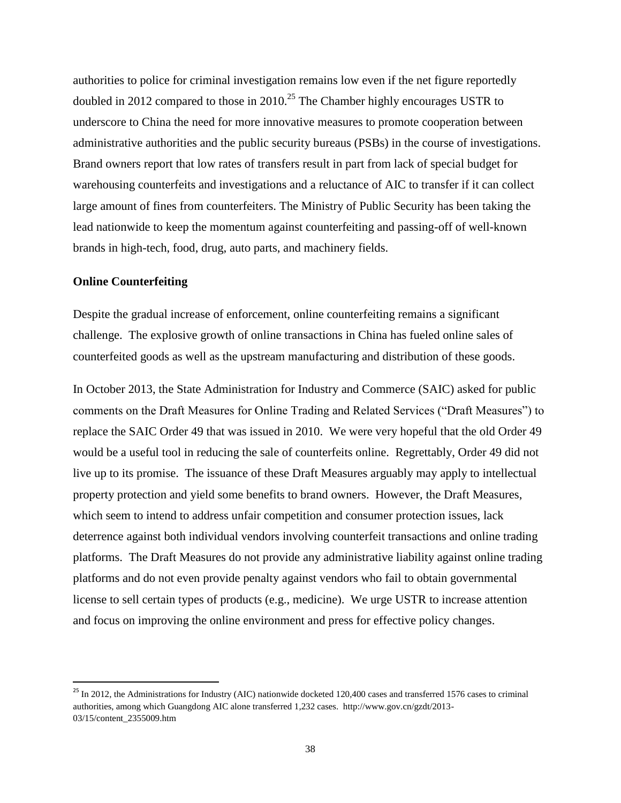authorities to police for criminal investigation remains low even if the net figure reportedly doubled in 2012 compared to those in 2010.<sup>25</sup> The Chamber highly encourages USTR to underscore to China the need for more innovative measures to promote cooperation between administrative authorities and the public security bureaus (PSBs) in the course of investigations. Brand owners report that low rates of transfers result in part from lack of special budget for warehousing counterfeits and investigations and a reluctance of AIC to transfer if it can collect large amount of fines from counterfeiters. The Ministry of Public Security has been taking the lead nationwide to keep the momentum against counterfeiting and passing-off of well-known brands in high-tech, food, drug, auto parts, and machinery fields.

# **Online Counterfeiting**

l

Despite the gradual increase of enforcement, online counterfeiting remains a significant challenge. The explosive growth of online transactions in China has fueled online sales of counterfeited goods as well as the upstream manufacturing and distribution of these goods.

In October 2013, the State Administration for Industry and Commerce (SAIC) asked for public comments on the Draft Measures for Online Trading and Related Services ("Draft Measures") to replace the SAIC Order 49 that was issued in 2010. We were very hopeful that the old Order 49 would be a useful tool in reducing the sale of counterfeits online. Regrettably, Order 49 did not live up to its promise. The issuance of these Draft Measures arguably may apply to intellectual property protection and yield some benefits to brand owners. However, the Draft Measures, which seem to intend to address unfair competition and consumer protection issues, lack deterrence against both individual vendors involving counterfeit transactions and online trading platforms. The Draft Measures do not provide any administrative liability against online trading platforms and do not even provide penalty against vendors who fail to obtain governmental license to sell certain types of products (e.g., medicine). We urge USTR to increase attention and focus on improving the online environment and press for effective policy changes.

 $^{25}$  In 2012, the Administrations for Industry (AIC) nationwide docketed 120,400 cases and transferred 1576 cases to criminal authorities, among which Guangdong AIC alone transferred 1,232 cases. http://www.gov.cn/gzdt/2013- 03/15/content\_2355009.htm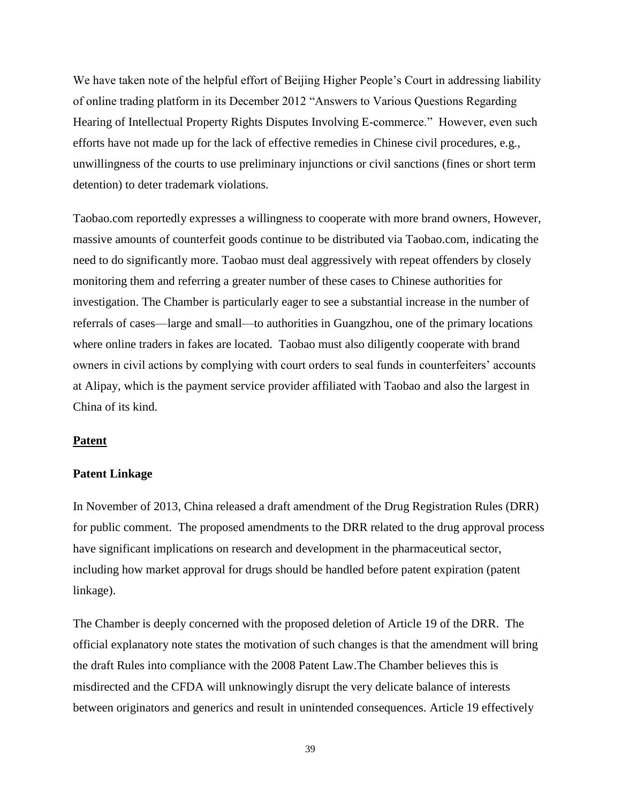We have taken note of the helpful effort of Beijing Higher People's Court in addressing liability of online trading platform in its December 2012 "Answers to Various Questions Regarding Hearing of Intellectual Property Rights Disputes Involving E-commerce." However, even such efforts have not made up for the lack of effective remedies in Chinese civil procedures, e.g., unwillingness of the courts to use preliminary injunctions or civil sanctions (fines or short term detention) to deter trademark violations.

Taobao.com reportedly expresses a willingness to cooperate with more brand owners, However, massive amounts of counterfeit goods continue to be distributed via Taobao.com, indicating the need to do significantly more. Taobao must deal aggressively with repeat offenders by closely monitoring them and referring a greater number of these cases to Chinese authorities for investigation. The Chamber is particularly eager to see a substantial increase in the number of referrals of cases—large and small—to authorities in Guangzhou, one of the primary locations where online traders in fakes are located. Taobao must also diligently cooperate with brand owners in civil actions by complying with court orders to seal funds in counterfeiters' accounts at Alipay, which is the payment service provider affiliated with Taobao and also the largest in China of its kind.

### **Patent**

# **Patent Linkage**

In November of 2013, China released a draft amendment of the Drug Registration Rules (DRR) for public comment. The proposed amendments to the DRR related to the drug approval process have significant implications on research and development in the pharmaceutical sector, including how market approval for drugs should be handled before patent expiration (patent linkage).

The Chamber is deeply concerned with the proposed deletion of Article 19 of the DRR. The official explanatory note states the motivation of such changes is that the amendment will bring the draft Rules into compliance with the 2008 Patent Law.The Chamber believes this is misdirected and the CFDA will unknowingly disrupt the very delicate balance of interests between originators and generics and result in unintended consequences. Article 19 effectively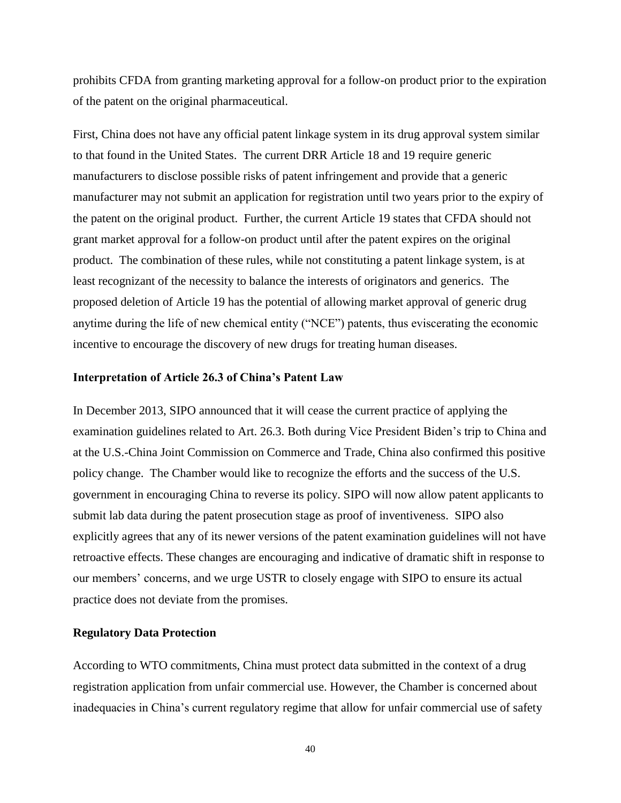prohibits CFDA from granting marketing approval for a follow-on product prior to the expiration of the patent on the original pharmaceutical.

First, China does not have any official patent linkage system in its drug approval system similar to that found in the United States. The current DRR Article 18 and 19 require generic manufacturers to disclose possible risks of patent infringement and provide that a generic manufacturer may not submit an application for registration until two years prior to the expiry of the patent on the original product. Further, the current Article 19 states that CFDA should not grant market approval for a follow-on product until after the patent expires on the original product. The combination of these rules, while not constituting a patent linkage system, is at least recognizant of the necessity to balance the interests of originators and generics. The proposed deletion of Article 19 has the potential of allowing market approval of generic drug anytime during the life of new chemical entity ("NCE") patents, thus eviscerating the economic incentive to encourage the discovery of new drugs for treating human diseases.

#### **Interpretation of Article 26.3 of China's Patent Law**

In December 2013, SIPO announced that it will cease the current practice of applying the examination guidelines related to Art. 26.3. Both during Vice President Biden's trip to China and at the U.S.-China Joint Commission on Commerce and Trade, China also confirmed this positive policy change. The Chamber would like to recognize the efforts and the success of the U.S. government in encouraging China to reverse its policy. SIPO will now allow patent applicants to submit lab data during the patent prosecution stage as proof of inventiveness. SIPO also explicitly agrees that any of its newer versions of the patent examination guidelines will not have retroactive effects. These changes are encouraging and indicative of dramatic shift in response to our members' concerns, and we urge USTR to closely engage with SIPO to ensure its actual practice does not deviate from the promises.

# **Regulatory Data Protection**

According to WTO commitments, China must protect data submitted in the context of a drug registration application from unfair commercial use. However, the Chamber is concerned about inadequacies in China's current regulatory regime that allow for unfair commercial use of safety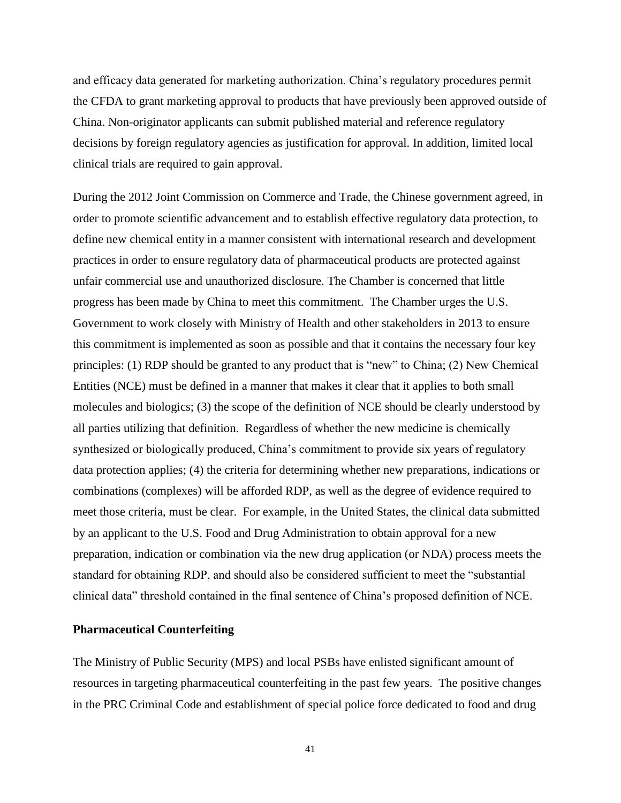and efficacy data generated for marketing authorization. China's regulatory procedures permit the CFDA to grant marketing approval to products that have previously been approved outside of China. Non-originator applicants can submit published material and reference regulatory decisions by foreign regulatory agencies as justification for approval. In addition, limited local clinical trials are required to gain approval.

During the 2012 Joint Commission on Commerce and Trade, the Chinese government agreed, in order to promote scientific advancement and to establish effective regulatory data protection, to define new chemical entity in a manner consistent with international research and development practices in order to ensure regulatory data of pharmaceutical products are protected against unfair commercial use and unauthorized disclosure. The Chamber is concerned that little progress has been made by China to meet this commitment. The Chamber urges the U.S. Government to work closely with Ministry of Health and other stakeholders in 2013 to ensure this commitment is implemented as soon as possible and that it contains the necessary four key principles: (1) RDP should be granted to any product that is "new" to China; (2) New Chemical Entities (NCE) must be defined in a manner that makes it clear that it applies to both small molecules and biologics; (3) the scope of the definition of NCE should be clearly understood by all parties utilizing that definition. Regardless of whether the new medicine is chemically synthesized or biologically produced, China's commitment to provide six years of regulatory data protection applies; (4) the criteria for determining whether new preparations, indications or combinations (complexes) will be afforded RDP, as well as the degree of evidence required to meet those criteria, must be clear. For example, in the United States, the clinical data submitted by an applicant to the U.S. Food and Drug Administration to obtain approval for a new preparation, indication or combination via the new drug application (or NDA) process meets the standard for obtaining RDP, and should also be considered sufficient to meet the "substantial clinical data" threshold contained in the final sentence of China's proposed definition of NCE.

# **Pharmaceutical Counterfeiting**

The Ministry of Public Security (MPS) and local PSBs have enlisted significant amount of resources in targeting pharmaceutical counterfeiting in the past few years. The positive changes in the PRC Criminal Code and establishment of special police force dedicated to food and drug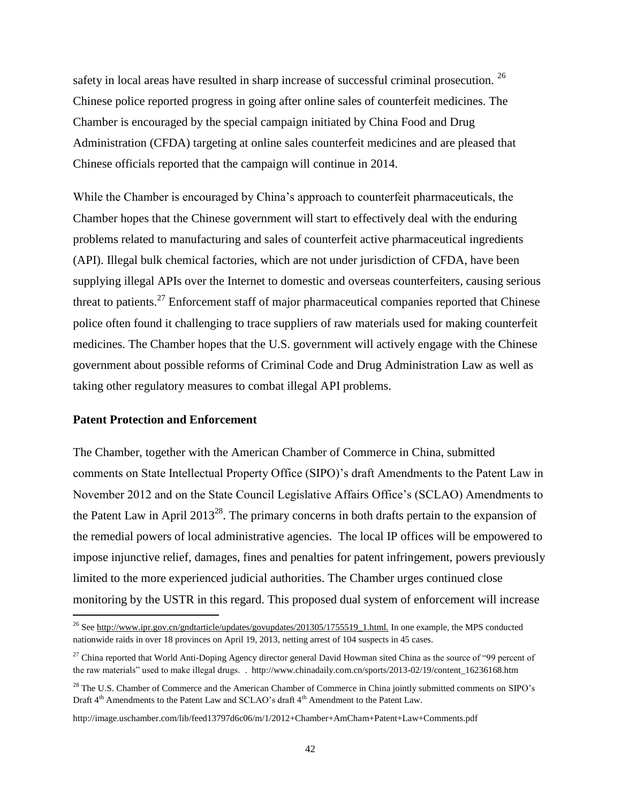safety in local areas have resulted in sharp increase of successful criminal prosecution. <sup>26</sup> Chinese police reported progress in going after online sales of counterfeit medicines. The Chamber is encouraged by the special campaign initiated by China Food and Drug Administration (CFDA) targeting at online sales counterfeit medicines and are pleased that Chinese officials reported that the campaign will continue in 2014.

While the Chamber is encouraged by China's approach to counterfeit pharmaceuticals, the Chamber hopes that the Chinese government will start to effectively deal with the enduring problems related to manufacturing and sales of counterfeit active pharmaceutical ingredients (API). Illegal bulk chemical factories, which are not under jurisdiction of CFDA, have been supplying illegal APIs over the Internet to domestic and overseas counterfeiters, causing serious threat to patients.<sup>27</sup> Enforcement staff of major pharmaceutical companies reported that Chinese police often found it challenging to trace suppliers of raw materials used for making counterfeit medicines. The Chamber hopes that the U.S. government will actively engage with the Chinese government about possible reforms of Criminal Code and Drug Administration Law as well as taking other regulatory measures to combat illegal API problems.

# **Patent Protection and Enforcement**

l

The Chamber, together with the American Chamber of Commerce in China, submitted comments on State Intellectual Property Office (SIPO)'s draft Amendments to the Patent Law in November 2012 and on the State Council Legislative Affairs Office's (SCLAO) Amendments to the Patent Law in April  $2013^{28}$ . The primary concerns in both drafts pertain to the expansion of the remedial powers of local administrative agencies. The local IP offices will be empowered to impose injunctive relief, damages, fines and penalties for patent infringement, powers previously limited to the more experienced judicial authorities. The Chamber urges continued close monitoring by the USTR in this regard. This proposed dual system of enforcement will increase

<sup>&</sup>lt;sup>26</sup> See http://www.ipr.gov.cn/gndtarticle/updates/govupdates/201305/1755519\_1.html. In one example, the MPS conducted nationwide raids in over 18 provinces on April 19, 2013, netting arrest of 104 suspects in 45 cases.

<sup>&</sup>lt;sup>27</sup> China reported that World Anti-Doping Agency director general David Howman sited China as the source of "99 percent of the raw materials" used to make illegal drugs. . http://www.chinadaily.com.cn/sports/2013-02/19/content\_16236168.htm

<sup>&</sup>lt;sup>28</sup> The U.S. Chamber of Commerce and the American Chamber of Commerce in China jointly submitted comments on SIPO's Draft 4<sup>th</sup> Amendments to the Patent Law and SCLAO's draft 4<sup>th</sup> Amendment to the Patent Law.

http://image.uschamber.com/lib/feed13797d6c06/m/1/2012+Chamber+AmCham+Patent+Law+Comments.pdf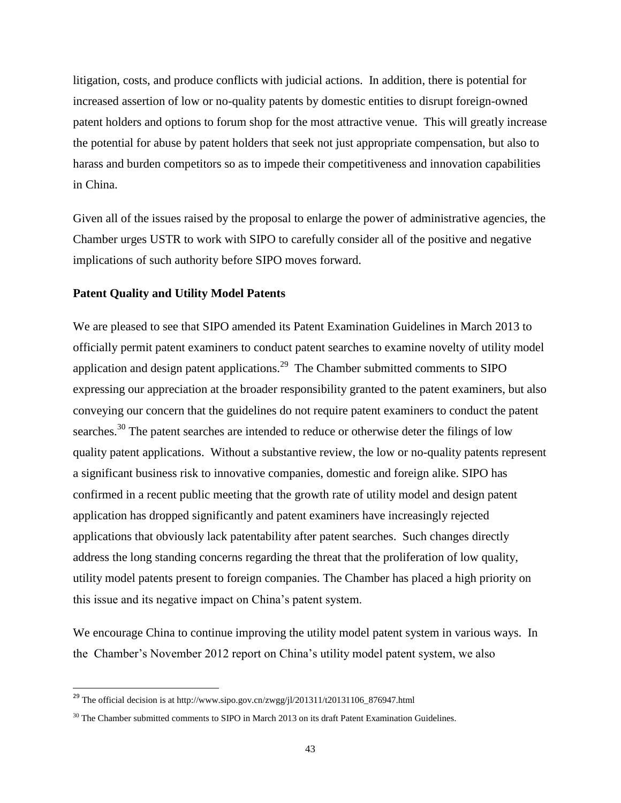litigation, costs, and produce conflicts with judicial actions. In addition, there is potential for increased assertion of low or no-quality patents by domestic entities to disrupt foreign-owned patent holders and options to forum shop for the most attractive venue. This will greatly increase the potential for abuse by patent holders that seek not just appropriate compensation, but also to harass and burden competitors so as to impede their competitiveness and innovation capabilities in China.

Given all of the issues raised by the proposal to enlarge the power of administrative agencies, the Chamber urges USTR to work with SIPO to carefully consider all of the positive and negative implications of such authority before SIPO moves forward.

## **Patent Quality and Utility Model Patents**

We are pleased to see that SIPO amended its Patent Examination Guidelines in March 2013 to officially permit patent examiners to conduct patent searches to examine novelty of utility model application and design patent applications.<sup>29</sup> The Chamber submitted comments to SIPO expressing our appreciation at the broader responsibility granted to the patent examiners, but also conveying our concern that the guidelines do not require patent examiners to conduct the patent searches.<sup>30</sup> The patent searches are intended to reduce or otherwise deter the filings of low quality patent applications. Without a substantive review, the low or no-quality patents represent a significant business risk to innovative companies, domestic and foreign alike. SIPO has confirmed in a recent public meeting that the growth rate of utility model and design patent application has dropped significantly and patent examiners have increasingly rejected applications that obviously lack patentability after patent searches. Such changes directly address the long standing concerns regarding the threat that the proliferation of low quality, utility model patents present to foreign companies. The Chamber has placed a high priority on this issue and its negative impact on China's patent system.

We encourage China to continue improving the utility model patent system in various ways. In the Chamber's November 2012 report on China's utility model patent system, we also

l

<sup>&</sup>lt;sup>29</sup> The official decision is at http://www.sipo.gov.cn/zwgg/jl/201311/t20131106\_876947.html

 $30$  The Chamber submitted comments to SIPO in March 2013 on its draft Patent Examination Guidelines.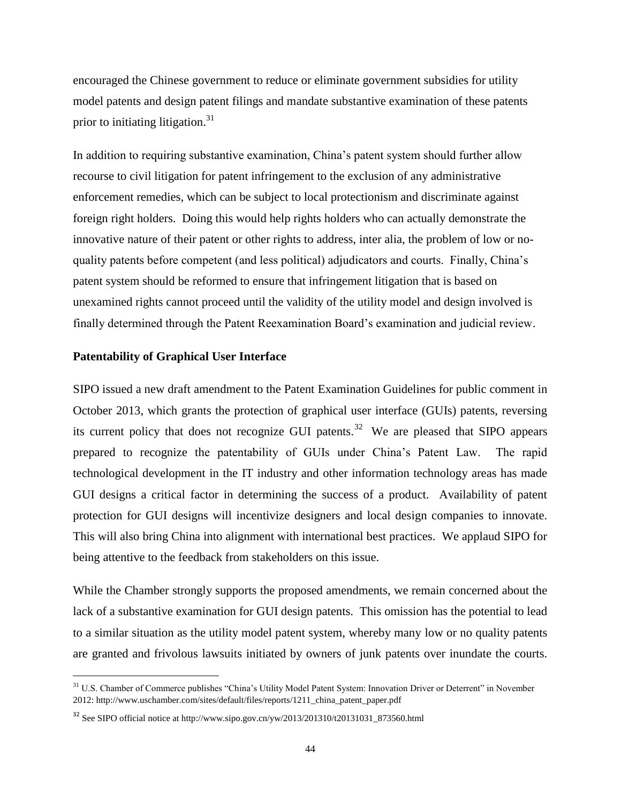encouraged the Chinese government to reduce or eliminate government subsidies for utility model patents and design patent filings and mandate substantive examination of these patents prior to initiating litigation.<sup>31</sup>

In addition to requiring substantive examination, China's patent system should further allow recourse to civil litigation for patent infringement to the exclusion of any administrative enforcement remedies, which can be subject to local protectionism and discriminate against foreign right holders. Doing this would help rights holders who can actually demonstrate the innovative nature of their patent or other rights to address, inter alia, the problem of low or noquality patents before competent (and less political) adjudicators and courts. Finally, China's patent system should be reformed to ensure that infringement litigation that is based on unexamined rights cannot proceed until the validity of the utility model and design involved is finally determined through the Patent Reexamination Board's examination and judicial review.

### **Patentability of Graphical User Interface**

l

SIPO issued a new draft amendment to the Patent Examination Guidelines for public comment in October 2013, which grants the protection of graphical user interface (GUIs) patents, reversing its current policy that does not recognize GUI patents.<sup>32</sup> We are pleased that SIPO appears prepared to recognize the patentability of GUIs under China's Patent Law. The rapid technological development in the IT industry and other information technology areas has made GUI designs a critical factor in determining the success of a product. Availability of patent protection for GUI designs will incentivize designers and local design companies to innovate. This will also bring China into alignment with international best practices. We applaud SIPO for being attentive to the feedback from stakeholders on this issue.

While the Chamber strongly supports the proposed amendments, we remain concerned about the lack of a substantive examination for GUI design patents. This omission has the potential to lead to a similar situation as the utility model patent system, whereby many low or no quality patents are granted and frivolous lawsuits initiated by owners of junk patents over inundate the courts.

<sup>&</sup>lt;sup>31</sup> U.S. Chamber of Commerce publishes "China's Utility Model Patent System: Innovation Driver or Deterrent" in November 2012: http://www.uschamber.com/sites/default/files/reports/1211\_china\_patent\_paper.pdf

<sup>32</sup> See SIPO official notice at http://www.sipo.gov.cn/yw/2013/201310/t20131031\_873560.html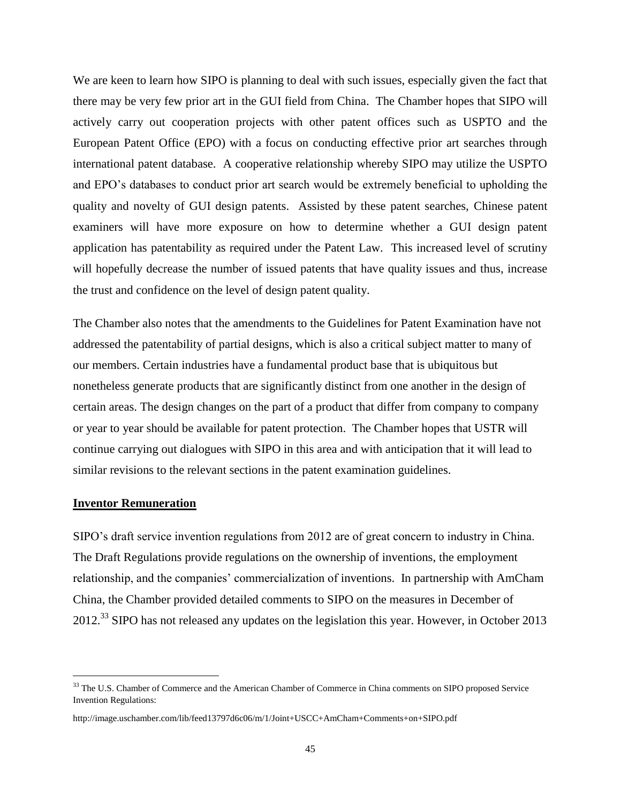We are keen to learn how SIPO is planning to deal with such issues, especially given the fact that there may be very few prior art in the GUI field from China. The Chamber hopes that SIPO will actively carry out cooperation projects with other patent offices such as USPTO and the European Patent Office (EPO) with a focus on conducting effective prior art searches through international patent database. A cooperative relationship whereby SIPO may utilize the USPTO and EPO's databases to conduct prior art search would be extremely beneficial to upholding the quality and novelty of GUI design patents. Assisted by these patent searches, Chinese patent examiners will have more exposure on how to determine whether a GUI design patent application has patentability as required under the Patent Law. This increased level of scrutiny will hopefully decrease the number of issued patents that have quality issues and thus, increase the trust and confidence on the level of design patent quality.

The Chamber also notes that the amendments to the Guidelines for Patent Examination have not addressed the patentability of partial designs, which is also a critical subject matter to many of our members. Certain industries have a fundamental product base that is ubiquitous but nonetheless generate products that are significantly distinct from one another in the design of certain areas. The design changes on the part of a product that differ from company to company or year to year should be available for patent protection. The Chamber hopes that USTR will continue carrying out dialogues with SIPO in this area and with anticipation that it will lead to similar revisions to the relevant sections in the patent examination guidelines.

# **Inventor Remuneration**

l

SIPO's draft service invention regulations from 2012 are of great concern to industry in China. The Draft Regulations provide regulations on the ownership of inventions, the employment relationship, and the companies' commercialization of inventions. In partnership with AmCham China, the Chamber provided detailed comments to SIPO on the measures in December of 2012.<sup>33</sup> SIPO has not released any updates on the legislation this year. However, in October 2013

<sup>&</sup>lt;sup>33</sup> The U.S. Chamber of Commerce and the American Chamber of Commerce in China comments on SIPO proposed Service Invention Regulations:

http://image.uschamber.com/lib/feed13797d6c06/m/1/Joint+USCC+AmCham+Comments+on+SIPO.pdf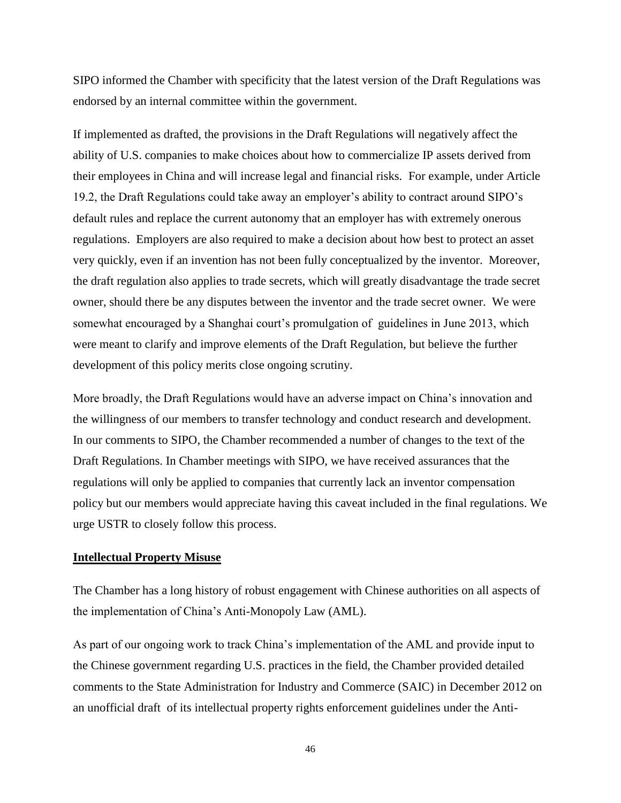SIPO informed the Chamber with specificity that the latest version of the Draft Regulations was endorsed by an internal committee within the government.

If implemented as drafted, the provisions in the Draft Regulations will negatively affect the ability of U.S. companies to make choices about how to commercialize IP assets derived from their employees in China and will increase legal and financial risks. For example, under Article 19.2, the Draft Regulations could take away an employer's ability to contract around SIPO's default rules and replace the current autonomy that an employer has with extremely onerous regulations. Employers are also required to make a decision about how best to protect an asset very quickly, even if an invention has not been fully conceptualized by the inventor. Moreover, the draft regulation also applies to trade secrets, which will greatly disadvantage the trade secret owner, should there be any disputes between the inventor and the trade secret owner. We were somewhat encouraged by a Shanghai court's promulgation of guidelines in June 2013, which were meant to clarify and improve elements of the Draft Regulation, but believe the further development of this policy merits close ongoing scrutiny.

More broadly, the Draft Regulations would have an adverse impact on China's innovation and the willingness of our members to transfer technology and conduct research and development. In our comments to SIPO, the Chamber recommended a number of changes to the text of the Draft Regulations. In Chamber meetings with SIPO, we have received assurances that the regulations will only be applied to companies that currently lack an inventor compensation policy but our members would appreciate having this caveat included in the final regulations. We urge USTR to closely follow this process.

# **Intellectual Property Misuse**

The Chamber has a long history of robust engagement with Chinese authorities on all aspects of the implementation of China's Anti-Monopoly Law (AML).

As part of our ongoing work to track China's implementation of the AML and provide input to the Chinese government regarding U.S. practices in the field, the Chamber provided detailed comments to the State Administration for Industry and Commerce (SAIC) in December 2012 on an unofficial draft of its intellectual property rights enforcement guidelines under the Anti-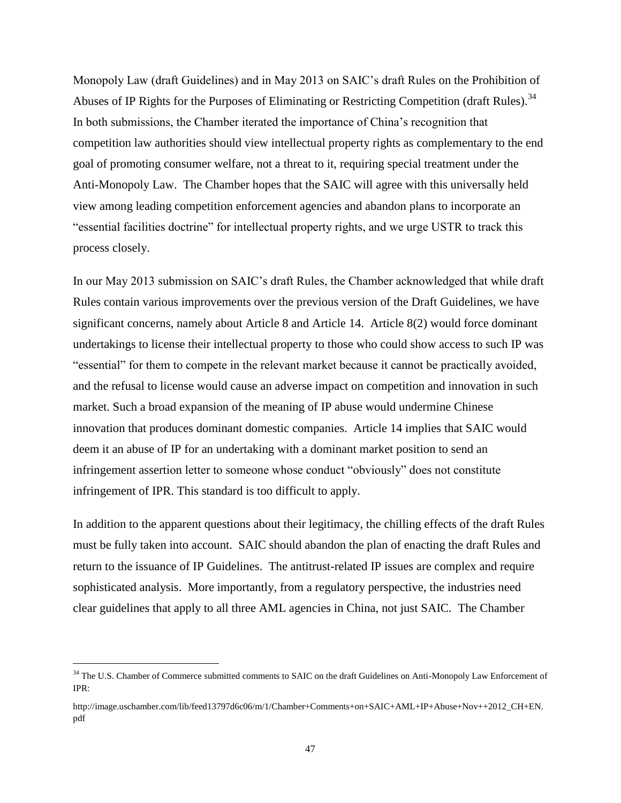Monopoly Law (draft Guidelines) and in May 2013 on SAIC's draft Rules on the Prohibition of Abuses of IP Rights for the Purposes of Eliminating or Restricting Competition (draft Rules).<sup>34</sup> In both submissions, the Chamber iterated the importance of China's recognition that competition law authorities should view intellectual property rights as complementary to the end goal of promoting consumer welfare, not a threat to it, requiring special treatment under the Anti-Monopoly Law. The Chamber hopes that the SAIC will agree with this universally held view among leading competition enforcement agencies and abandon plans to incorporate an "essential facilities doctrine" for intellectual property rights, and we urge USTR to track this process closely.

In our May 2013 submission on SAIC's draft Rules, the Chamber acknowledged that while draft Rules contain various improvements over the previous version of the Draft Guidelines, we have significant concerns, namely about Article 8 and Article 14. Article 8(2) would force dominant undertakings to license their intellectual property to those who could show access to such IP was "essential" for them to compete in the relevant market because it cannot be practically avoided, and the refusal to license would cause an adverse impact on competition and innovation in such market. Such a broad expansion of the meaning of IP abuse would undermine Chinese innovation that produces dominant domestic companies. Article 14 implies that SAIC would deem it an abuse of IP for an undertaking with a dominant market position to send an infringement assertion letter to someone whose conduct "obviously" does not constitute infringement of IPR. This standard is too difficult to apply.

In addition to the apparent questions about their legitimacy, the chilling effects of the draft Rules must be fully taken into account. SAIC should abandon the plan of enacting the draft Rules and return to the issuance of IP Guidelines. The antitrust-related IP issues are complex and require sophisticated analysis. More importantly, from a regulatory perspective, the industries need clear guidelines that apply to all three AML agencies in China, not just SAIC. The Chamber

l

<sup>&</sup>lt;sup>34</sup> The U.S. Chamber of Commerce submitted comments to SAIC on the draft Guidelines on Anti-Monopoly Law Enforcement of IPR:

http://image.uschamber.com/lib/feed13797d6c06/m/1/Chamber+Comments+on+SAIC+AML+IP+Abuse+Nov++2012\_CH+EN. pdf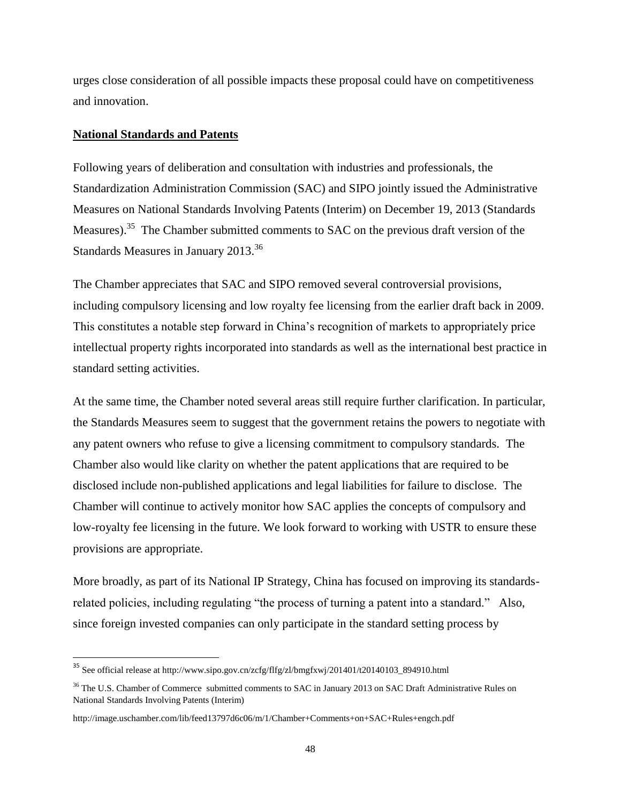urges close consideration of all possible impacts these proposal could have on competitiveness and innovation.

# **National Standards and Patents**

l

Following years of deliberation and consultation with industries and professionals, the Standardization Administration Commission (SAC) and SIPO jointly issued the Administrative Measures on National Standards Involving Patents (Interim) on December 19, 2013 (Standards Measures).<sup>35</sup> The Chamber submitted comments to SAC on the previous draft version of the Standards Measures in January 2013.<sup>36</sup>

The Chamber appreciates that SAC and SIPO removed several controversial provisions, including compulsory licensing and low royalty fee licensing from the earlier draft back in 2009. This constitutes a notable step forward in China's recognition of markets to appropriately price intellectual property rights incorporated into standards as well as the international best practice in standard setting activities.

At the same time, the Chamber noted several areas still require further clarification. In particular, the Standards Measures seem to suggest that the government retains the powers to negotiate with any patent owners who refuse to give a licensing commitment to compulsory standards. The Chamber also would like clarity on whether the patent applications that are required to be disclosed include non-published applications and legal liabilities for failure to disclose. The Chamber will continue to actively monitor how SAC applies the concepts of compulsory and low-royalty fee licensing in the future. We look forward to working with USTR to ensure these provisions are appropriate.

More broadly, as part of its National IP Strategy, China has focused on improving its standardsrelated policies, including regulating "the process of turning a patent into a standard." Also, since foreign invested companies can only participate in the standard setting process by

<sup>&</sup>lt;sup>35</sup> See official release at http://www.sipo.gov.cn/zcfg/flfg/zl/bmgfxwj/201401/t20140103\_894910.html

<sup>&</sup>lt;sup>36</sup> The U.S. Chamber of Commerce submitted comments to SAC in January 2013 on SAC Draft Administrative Rules on National Standards Involving Patents (Interim)

http://image.uschamber.com/lib/feed13797d6c06/m/1/Chamber+Comments+on+SAC+Rules+engch.pdf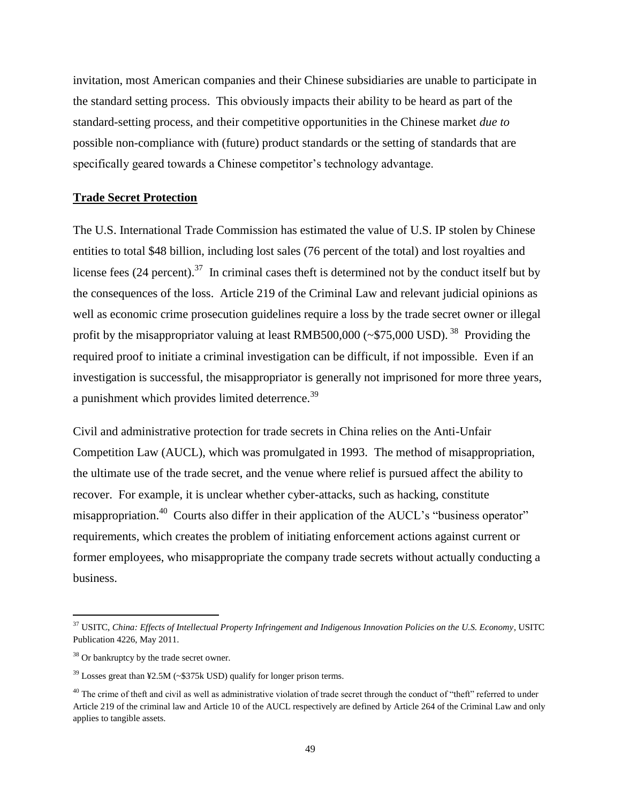invitation, most American companies and their Chinese subsidiaries are unable to participate in the standard setting process. This obviously impacts their ability to be heard as part of the standard-setting process, and their competitive opportunities in the Chinese market *due to*  possible non-compliance with (future) product standards or the setting of standards that are specifically geared towards a Chinese competitor's technology advantage.

# **Trade Secret Protection**

The U.S. International Trade Commission has estimated the value of U.S. IP stolen by Chinese entities to total \$48 billion, including lost sales (76 percent of the total) and lost royalties and license fees  $(24$  percent).<sup>37</sup> In criminal cases theft is determined not by the conduct itself but by the consequences of the loss. Article 219 of the Criminal Law and relevant judicial opinions as well as economic crime prosecution guidelines require a loss by the trade secret owner or illegal profit by the misappropriator valuing at least RMB500,000 ( $\sim$ \$75,000 USD).<sup>38</sup> Providing the required proof to initiate a criminal investigation can be difficult, if not impossible. Even if an investigation is successful, the misappropriator is generally not imprisoned for more three years, a punishment which provides limited deterrence.<sup>39</sup>

Civil and administrative protection for trade secrets in China relies on the Anti-Unfair Competition Law (AUCL), which was promulgated in 1993. The method of misappropriation, the ultimate use of the trade secret, and the venue where relief is pursued affect the ability to recover. For example, it is unclear whether cyber-attacks, such as hacking, constitute misappropriation.<sup>40</sup> Courts also differ in their application of the AUCL's "business operator" requirements, which creates the problem of initiating enforcement actions against current or former employees, who misappropriate the company trade secrets without actually conducting a business.

l

<sup>37</sup> USITC, *China: Effects of Intellectual Property Infringement and Indigenous Innovation Policies on the U.S. Economy*, USITC Publication 4226, May 2011.

<sup>&</sup>lt;sup>38</sup> Or bankruptcy by the trade secret owner.

 $39$  Losses great than ¥2.5M (~\$375k USD) qualify for longer prison terms.

 $^{40}$  The crime of theft and civil as well as administrative violation of trade secret through the conduct of "theft" referred to under Article 219 of the criminal law and Article 10 of the AUCL respectively are defined by Article 264 of the Criminal Law and only applies to tangible assets.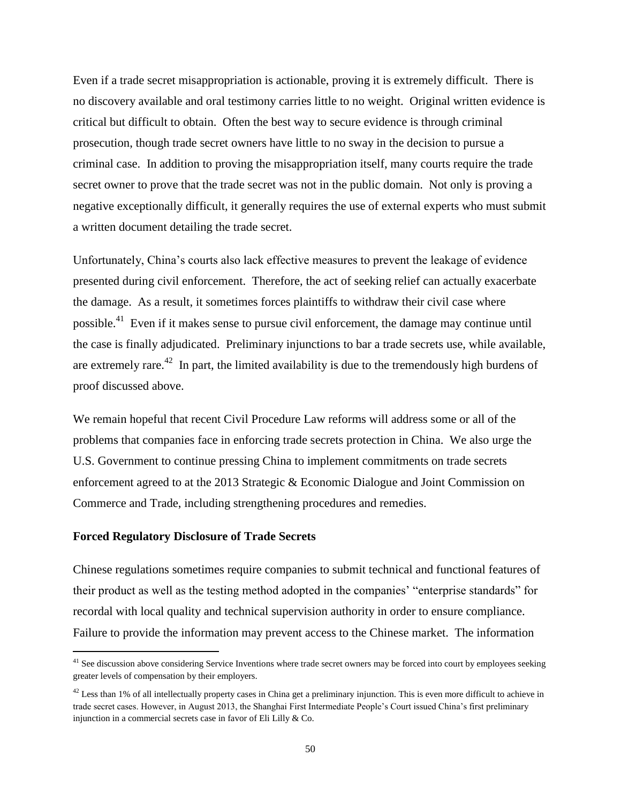Even if a trade secret misappropriation is actionable, proving it is extremely difficult. There is no discovery available and oral testimony carries little to no weight. Original written evidence is critical but difficult to obtain. Often the best way to secure evidence is through criminal prosecution, though trade secret owners have little to no sway in the decision to pursue a criminal case. In addition to proving the misappropriation itself, many courts require the trade secret owner to prove that the trade secret was not in the public domain. Not only is proving a negative exceptionally difficult, it generally requires the use of external experts who must submit a written document detailing the trade secret.

Unfortunately, China's courts also lack effective measures to prevent the leakage of evidence presented during civil enforcement. Therefore, the act of seeking relief can actually exacerbate the damage. As a result, it sometimes forces plaintiffs to withdraw their civil case where possible.<sup>41</sup> Even if it makes sense to pursue civil enforcement, the damage may continue until the case is finally adjudicated. Preliminary injunctions to bar a trade secrets use, while available, are extremely rare.<sup>42</sup> In part, the limited availability is due to the tremendously high burdens of proof discussed above.

We remain hopeful that recent Civil Procedure Law reforms will address some or all of the problems that companies face in enforcing trade secrets protection in China. We also urge the U.S. Government to continue pressing China to implement commitments on trade secrets enforcement agreed to at the 2013 Strategic & Economic Dialogue and Joint Commission on Commerce and Trade, including strengthening procedures and remedies.

### **Forced Regulatory Disclosure of Trade Secrets**

l

Chinese regulations sometimes require companies to submit technical and functional features of their product as well as the testing method adopted in the companies' "enterprise standards" for recordal with local quality and technical supervision authority in order to ensure compliance. Failure to provide the information may prevent access to the Chinese market. The information

 $41$  See discussion above considering Service Inventions where trade secret owners may be forced into court by employees seeking greater levels of compensation by their employers.

 $42$  Less than 1% of all intellectually property cases in China get a preliminary injunction. This is even more difficult to achieve in trade secret cases. However, in August 2013, the Shanghai First Intermediate People's Court issued China's first preliminary injunction in a commercial secrets case in favor of Eli Lilly & Co.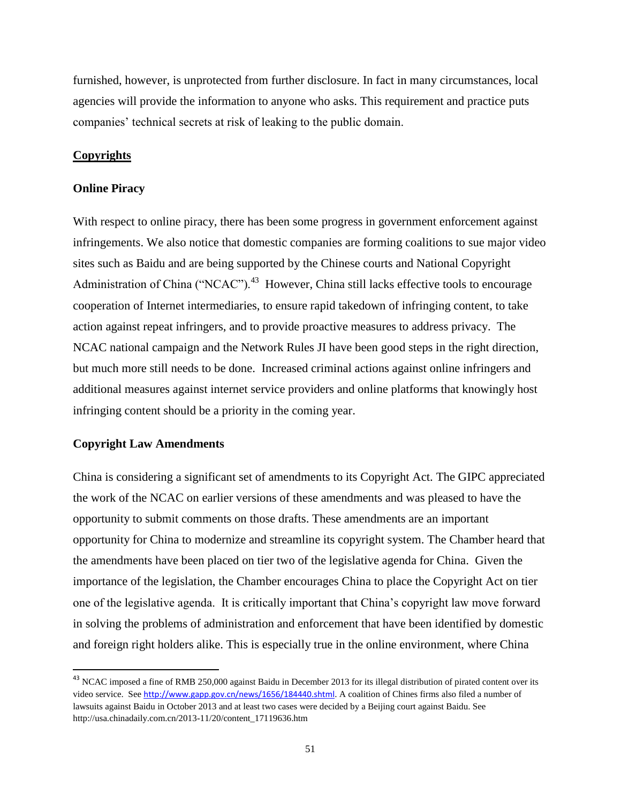furnished, however, is unprotected from further disclosure. In fact in many circumstances, local agencies will provide the information to anyone who asks. This requirement and practice puts companies' technical secrets at risk of leaking to the public domain.

# **Copyrights**

#### **Online Piracy**

With respect to online piracy, there has been some progress in government enforcement against infringements. We also notice that domestic companies are forming coalitions to sue major video sites such as Baidu and are being supported by the Chinese courts and National Copyright Administration of China ("NCAC").<sup>43</sup> However, China still lacks effective tools to encourage cooperation of Internet intermediaries, to ensure rapid takedown of infringing content, to take action against repeat infringers, and to provide proactive measures to address privacy. The NCAC national campaign and the Network Rules JI have been good steps in the right direction, but much more still needs to be done. Increased criminal actions against online infringers and additional measures against internet service providers and online platforms that knowingly host infringing content should be a priority in the coming year.

#### **Copyright Law Amendments**

l

China is considering a significant set of amendments to its Copyright Act. The GIPC appreciated the work of the NCAC on earlier versions of these amendments and was pleased to have the opportunity to submit comments on those drafts. These amendments are an important opportunity for China to modernize and streamline its copyright system. The Chamber heard that the amendments have been placed on tier two of the legislative agenda for China. Given the importance of the legislation, the Chamber encourages China to place the Copyright Act on tier one of the legislative agenda. It is critically important that China's copyright law move forward in solving the problems of administration and enforcement that have been identified by domestic and foreign right holders alike. This is especially true in the online environment, where China

<sup>&</sup>lt;sup>43</sup> NCAC imposed a fine of RMB 250,000 against Baidu in December 2013 for its illegal distribution of pirated content over its video service. See <http://www.gapp.gov.cn/news/1656/184440.shtml>. A coalition of Chines firms also filed a number of lawsuits against Baidu in October 2013 and at least two cases were decided by a Beijing court against Baidu. See http://usa.chinadaily.com.cn/2013-11/20/content\_17119636.htm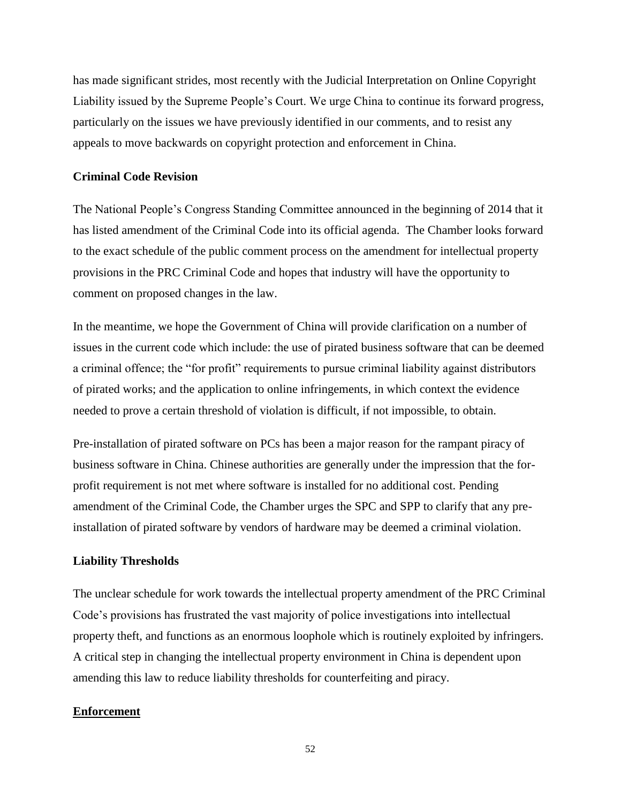has made significant strides, most recently with the Judicial Interpretation on Online Copyright Liability issued by the Supreme People's Court. We urge China to continue its forward progress, particularly on the issues we have previously identified in our comments, and to resist any appeals to move backwards on copyright protection and enforcement in China.

# **Criminal Code Revision**

The National People's Congress Standing Committee announced in the beginning of 2014 that it has listed amendment of the Criminal Code into its official agenda. The Chamber looks forward to the exact schedule of the public comment process on the amendment for intellectual property provisions in the PRC Criminal Code and hopes that industry will have the opportunity to comment on proposed changes in the law.

In the meantime, we hope the Government of China will provide clarification on a number of issues in the current code which include: the use of pirated business software that can be deemed a criminal offence; the "for profit" requirements to pursue criminal liability against distributors of pirated works; and the application to online infringements, in which context the evidence needed to prove a certain threshold of violation is difficult, if not impossible, to obtain.

Pre-installation of pirated software on PCs has been a major reason for the rampant piracy of business software in China. Chinese authorities are generally under the impression that the forprofit requirement is not met where software is installed for no additional cost. Pending amendment of the Criminal Code, the Chamber urges the SPC and SPP to clarify that any preinstallation of pirated software by vendors of hardware may be deemed a criminal violation.

# **Liability Thresholds**

The unclear schedule for work towards the intellectual property amendment of the PRC Criminal Code's provisions has frustrated the vast majority of police investigations into intellectual property theft, and functions as an enormous loophole which is routinely exploited by infringers. A critical step in changing the intellectual property environment in China is dependent upon amending this law to reduce liability thresholds for counterfeiting and piracy.

# **Enforcement**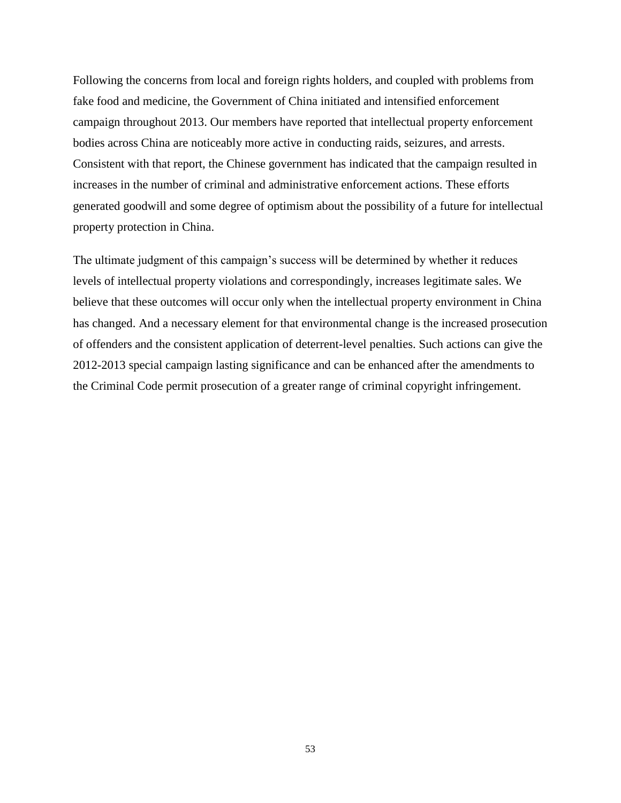Following the concerns from local and foreign rights holders, and coupled with problems from fake food and medicine, the Government of China initiated and intensified enforcement campaign throughout 2013. Our members have reported that intellectual property enforcement bodies across China are noticeably more active in conducting raids, seizures, and arrests. Consistent with that report, the Chinese government has indicated that the campaign resulted in increases in the number of criminal and administrative enforcement actions. These efforts generated goodwill and some degree of optimism about the possibility of a future for intellectual property protection in China.

The ultimate judgment of this campaign's success will be determined by whether it reduces levels of intellectual property violations and correspondingly, increases legitimate sales. We believe that these outcomes will occur only when the intellectual property environment in China has changed. And a necessary element for that environmental change is the increased prosecution of offenders and the consistent application of deterrent-level penalties. Such actions can give the 2012-2013 special campaign lasting significance and can be enhanced after the amendments to the Criminal Code permit prosecution of a greater range of criminal copyright infringement.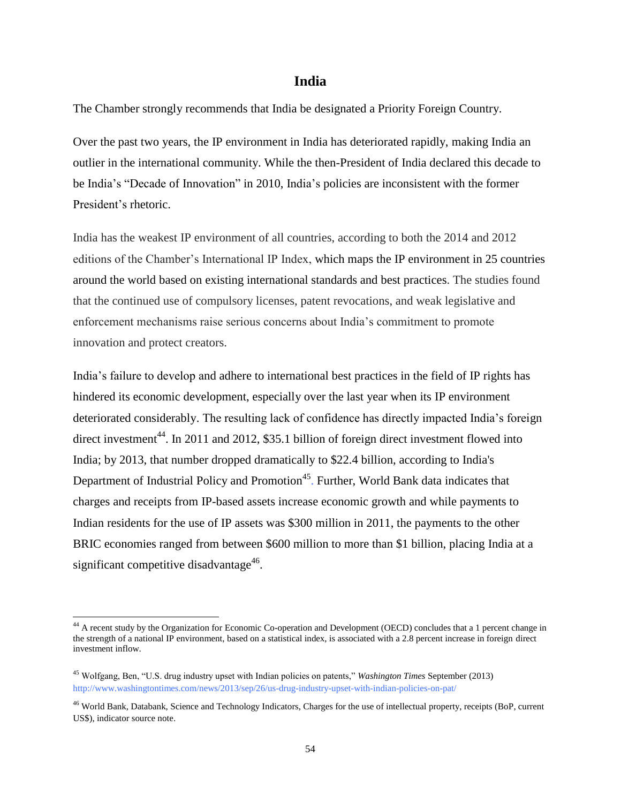# **India**

The Chamber strongly recommends that India be designated a Priority Foreign Country.

Over the past two years, the IP environment in India has deteriorated rapidly, making India an outlier in the international community. While the then-President of India declared this decade to be India's "Decade of Innovation" in 2010, India's policies are inconsistent with the former President's rhetoric.

India has the weakest IP environment of all countries, according to both the 2014 and 2012 editions of the Chamber's International IP Index, which maps the IP environment in 25 countries around the world based on existing international standards and best practices. The studies found that the continued use of compulsory licenses, patent revocations, and weak legislative and enforcement mechanisms raise serious concerns about India's commitment to promote innovation and protect creators.

India's failure to develop and adhere to international best practices in the field of IP rights has hindered its economic development, especially over the last year when its IP environment deteriorated considerably. The resulting lack of confidence has directly impacted India's foreign direct investment<sup>44</sup>. In 2011 and 2012, \$35.1 billion of foreign direct investment flowed into India; by 2013, that number dropped dramatically to \$22.4 billion, according to India's Department of Industrial Policy and Promotion<sup>45</sup>. Further, World Bank data indicates that charges and receipts from IP-based assets increase economic growth and while payments to Indian residents for the use of IP assets was \$300 million in 2011, the payments to the other BRIC economies ranged from between \$600 million to more than \$1 billion, placing India at a significant competitive disadvantage<sup>46</sup>.

l

<sup>&</sup>lt;sup>44</sup> A recent study by the Organization for Economic Co-operation and Development (OECD) concludes that a 1 percent change in the strength of a national IP environment, based on a statistical index, is associated with a 2.8 percent increase in foreign direct investment inflow.

<sup>45</sup> Wolfgang, Ben, "U.S. drug industry upset with Indian policies on patents," *Washington Times* September (2013) <http://www.washingtontimes.com/news/2013/sep/26/us-drug-industry-upset-with-indian-policies-on-pat/>

<sup>46</sup> World Bank, Databank, Science and Technology Indicators, Charges for the use of intellectual property, receipts (BoP, current US\$), indicator source note.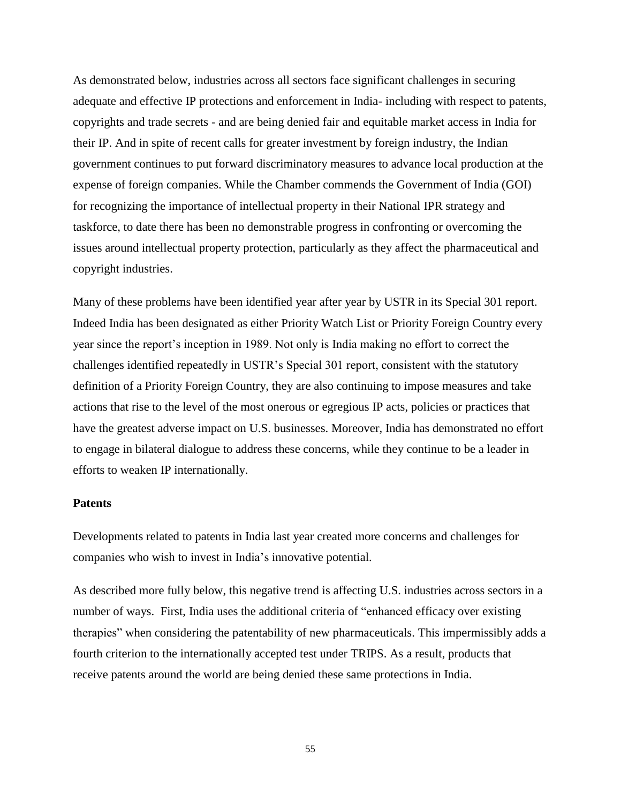As demonstrated below, industries across all sectors face significant challenges in securing adequate and effective IP protections and enforcement in India- including with respect to patents, copyrights and trade secrets - and are being denied fair and equitable market access in India for their IP. And in spite of recent calls for greater investment by foreign industry, the Indian government continues to put forward discriminatory measures to advance local production at the expense of foreign companies. While the Chamber commends the Government of India (GOI) for recognizing the importance of intellectual property in their National IPR strategy and taskforce, to date there has been no demonstrable progress in confronting or overcoming the issues around intellectual property protection, particularly as they affect the pharmaceutical and copyright industries.

Many of these problems have been identified year after year by USTR in its Special 301 report. Indeed India has been designated as either Priority Watch List or Priority Foreign Country every year since the report's inception in 1989. Not only is India making no effort to correct the challenges identified repeatedly in USTR's Special 301 report, consistent with the statutory definition of a Priority Foreign Country, they are also continuing to impose measures and take actions that rise to the level of the most onerous or egregious IP acts, policies or practices that have the greatest adverse impact on U.S. businesses. Moreover, India has demonstrated no effort to engage in bilateral dialogue to address these concerns, while they continue to be a leader in efforts to weaken IP internationally.

# **Patents**

Developments related to patents in India last year created more concerns and challenges for companies who wish to invest in India's innovative potential.

As described more fully below, this negative trend is affecting U.S. industries across sectors in a number of ways. First, India uses the additional criteria of "enhanced efficacy over existing therapies" when considering the patentability of new pharmaceuticals. This impermissibly adds a fourth criterion to the internationally accepted test under TRIPS. As a result, products that receive patents around the world are being denied these same protections in India.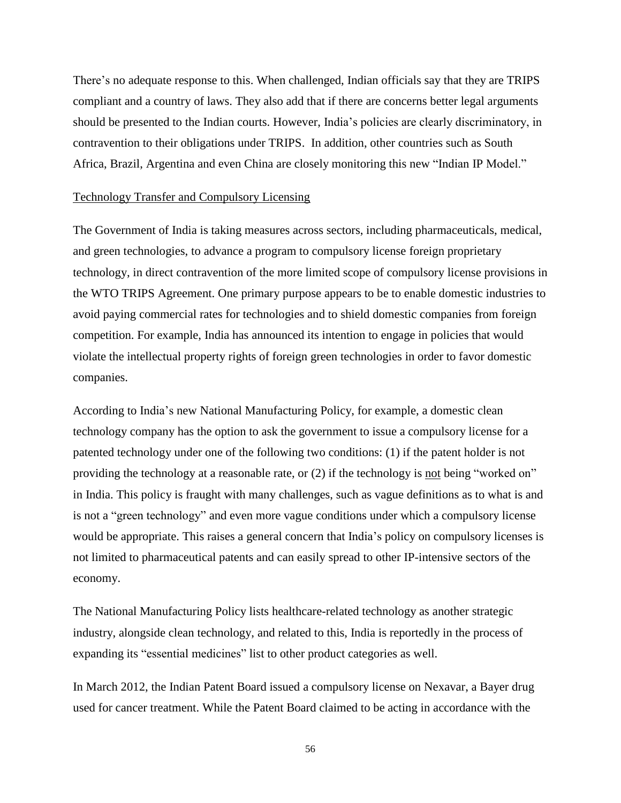There's no adequate response to this. When challenged, Indian officials say that they are TRIPS compliant and a country of laws. They also add that if there are concerns better legal arguments should be presented to the Indian courts. However, India's policies are clearly discriminatory, in contravention to their obligations under TRIPS. In addition, other countries such as South Africa, Brazil, Argentina and even China are closely monitoring this new "Indian IP Model."

# Technology Transfer and Compulsory Licensing

The Government of India is taking measures across sectors, including pharmaceuticals, medical, and green technologies, to advance a program to compulsory license foreign proprietary technology, in direct contravention of the more limited scope of compulsory license provisions in the WTO TRIPS Agreement. One primary purpose appears to be to enable domestic industries to avoid paying commercial rates for technologies and to shield domestic companies from foreign competition. For example, India has announced its intention to engage in policies that would violate the intellectual property rights of foreign green technologies in order to favor domestic companies.

According to India's new National Manufacturing Policy, for example, a domestic clean technology company has the option to ask the government to issue a compulsory license for a patented technology under one of the following two conditions: (1) if the patent holder is not providing the technology at a reasonable rate, or (2) if the technology is not being "worked on" in India. This policy is fraught with many challenges, such as vague definitions as to what is and is not a "green technology" and even more vague conditions under which a compulsory license would be appropriate. This raises a general concern that India's policy on compulsory licenses is not limited to pharmaceutical patents and can easily spread to other IP-intensive sectors of the economy.

The National Manufacturing Policy lists healthcare-related technology as another strategic industry, alongside clean technology, and related to this, India is reportedly in the process of expanding its "essential medicines" list to other product categories as well.

In March 2012, the Indian Patent Board issued a compulsory license on Nexavar, a Bayer drug used for cancer treatment. While the Patent Board claimed to be acting in accordance with the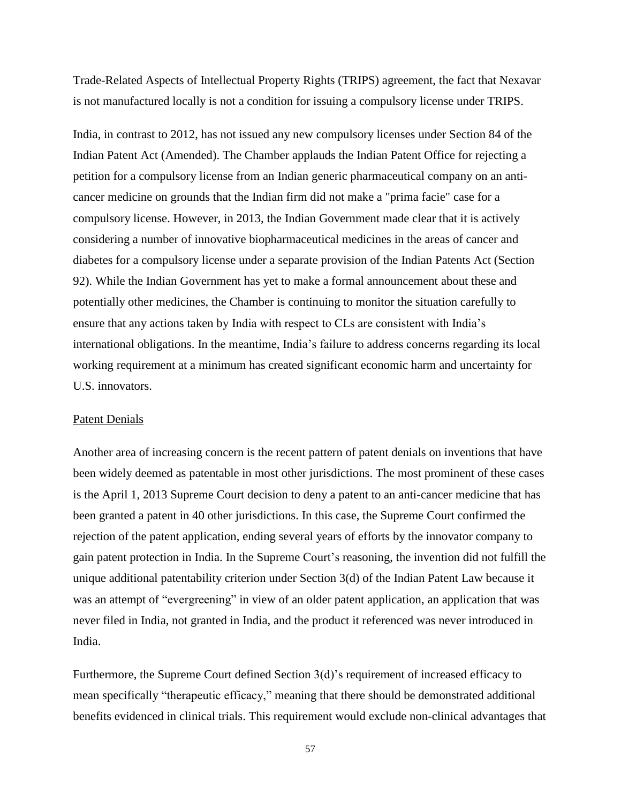Trade-Related Aspects of Intellectual Property Rights (TRIPS) agreement, the fact that Nexavar is not manufactured locally is not a condition for issuing a compulsory license under TRIPS.

India, in contrast to 2012, has not issued any new compulsory licenses under Section 84 of the Indian Patent Act (Amended). The Chamber applauds the Indian Patent Office for rejecting a petition for a compulsory license from an Indian generic pharmaceutical company on an anticancer medicine on grounds that the Indian firm did not make a "prima facie" case for a compulsory license. However, in 2013, the Indian Government made clear that it is actively considering a number of innovative biopharmaceutical medicines in the areas of cancer and diabetes for a compulsory license under a separate provision of the Indian Patents Act (Section 92). While the Indian Government has yet to make a formal announcement about these and potentially other medicines, the Chamber is continuing to monitor the situation carefully to ensure that any actions taken by India with respect to CLs are consistent with India's international obligations. In the meantime, India's failure to address concerns regarding its local working requirement at a minimum has created significant economic harm and uncertainty for U.S. innovators.

### Patent Denials

Another area of increasing concern is the recent pattern of patent denials on inventions that have been widely deemed as patentable in most other jurisdictions. The most prominent of these cases is the April 1, 2013 Supreme Court decision to deny a patent to an anti-cancer medicine that has been granted a patent in 40 other jurisdictions. In this case, the Supreme Court confirmed the rejection of the patent application, ending several years of efforts by the innovator company to gain patent protection in India. In the Supreme Court's reasoning, the invention did not fulfill the unique additional patentability criterion under Section 3(d) of the Indian Patent Law because it was an attempt of "evergreening" in view of an older patent application, an application that was never filed in India, not granted in India, and the product it referenced was never introduced in India.

Furthermore, the Supreme Court defined Section 3(d)'s requirement of increased efficacy to mean specifically "therapeutic efficacy," meaning that there should be demonstrated additional benefits evidenced in clinical trials. This requirement would exclude non-clinical advantages that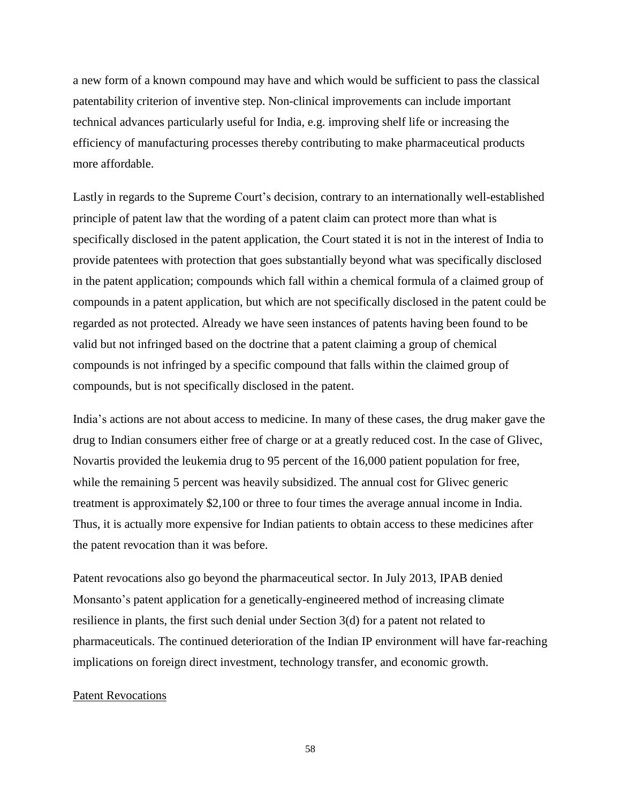a new form of a known compound may have and which would be sufficient to pass the classical patentability criterion of inventive step. Non-clinical improvements can include important technical advances particularly useful for India, e.g. improving shelf life or increasing the efficiency of manufacturing processes thereby contributing to make pharmaceutical products more affordable.

Lastly in regards to the Supreme Court's decision, contrary to an internationally well-established principle of patent law that the wording of a patent claim can protect more than what is specifically disclosed in the patent application, the Court stated it is not in the interest of India to provide patentees with protection that goes substantially beyond what was specifically disclosed in the patent application; compounds which fall within a chemical formula of a claimed group of compounds in a patent application, but which are not specifically disclosed in the patent could be regarded as not protected. Already we have seen instances of patents having been found to be valid but not infringed based on the doctrine that a patent claiming a group of chemical compounds is not infringed by a specific compound that falls within the claimed group of compounds, but is not specifically disclosed in the patent.

India's actions are not about access to medicine. In many of these cases, the drug maker gave the drug to Indian consumers either free of charge or at a greatly reduced cost. In the case of Glivec, Novartis provided the leukemia drug to 95 percent of the 16,000 patient population for free, while the remaining 5 percent was heavily subsidized. The annual cost for Glivec generic treatment is approximately \$2,100 or three to four times the average annual income in India. Thus, it is actually more expensive for Indian patients to obtain access to these medicines after the patent revocation than it was before.

Patent revocations also go beyond the pharmaceutical sector. In July 2013, IPAB denied Monsanto's patent application for a genetically-engineered method of increasing climate resilience in plants, the first such denial under Section 3(d) for a patent not related to pharmaceuticals. The continued deterioration of the Indian IP environment will have far-reaching implications on foreign direct investment, technology transfer, and economic growth.

#### Patent Revocations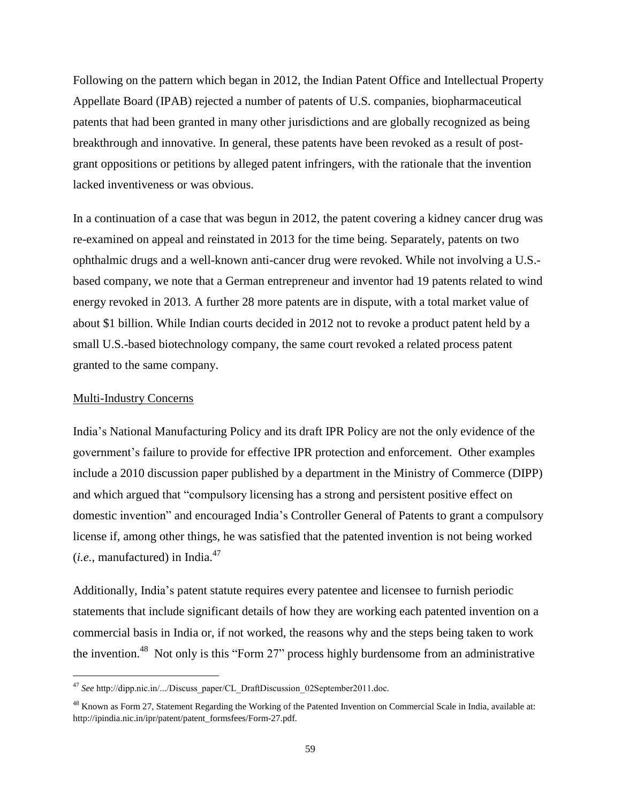Following on the pattern which began in 2012, the Indian Patent Office and Intellectual Property Appellate Board (IPAB) rejected a number of patents of U.S. companies, biopharmaceutical patents that had been granted in many other jurisdictions and are globally recognized as being breakthrough and innovative. In general, these patents have been revoked as a result of postgrant oppositions or petitions by alleged patent infringers, with the rationale that the invention lacked inventiveness or was obvious.

In a continuation of a case that was begun in 2012, the patent covering a kidney cancer drug was re-examined on appeal and reinstated in 2013 for the time being. Separately, patents on two ophthalmic drugs and a well-known anti-cancer drug were revoked. While not involving a U.S. based company, we note that a German entrepreneur and inventor had 19 patents related to wind energy revoked in 2013. A further 28 more patents are in dispute, with a total market value of about \$1 billion. While Indian courts decided in 2012 not to revoke a product patent held by a small U.S.-based biotechnology company, the same court revoked a related process patent granted to the same company.

### Multi-Industry Concerns

l

India's National Manufacturing Policy and its draft IPR Policy are not the only evidence of the government's failure to provide for effective IPR protection and enforcement. Other examples include a 2010 discussion paper published by a department in the Ministry of Commerce (DIPP) and which argued that "compulsory licensing has a strong and persistent positive effect on domestic invention" and encouraged India's Controller General of Patents to grant a compulsory license if, among other things, he was satisfied that the patented invention is not being worked  $(i.e.,$  manufactured) in India. $47$ 

Additionally, India's patent statute requires every patentee and licensee to furnish periodic statements that include significant details of how they are working each patented invention on a commercial basis in India or, if not worked, the reasons why and the steps being taken to work the invention.<sup>48</sup> Not only is this "Form 27" process highly burdensome from an administrative

<sup>47</sup> *See* http://dipp.nic.in/.../Discuss paper/CL DraftDiscussion 02September2011.doc.

<sup>&</sup>lt;sup>48</sup> Known as Form 27, Statement Regarding the Working of the Patented Invention on Commercial Scale in India, available at: http://ipindia.nic.in/ipr/patent/patent\_formsfees/Form-27.pdf.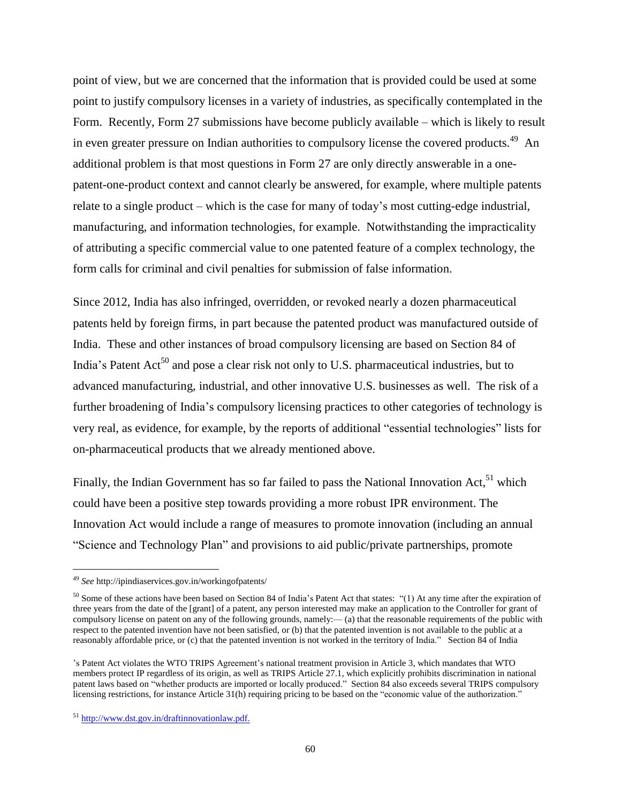point of view, but we are concerned that the information that is provided could be used at some point to justify compulsory licenses in a variety of industries, as specifically contemplated in the Form. Recently, Form 27 submissions have become publicly available – which is likely to result in even greater pressure on Indian authorities to compulsory license the covered products.<sup>49</sup> An additional problem is that most questions in Form 27 are only directly answerable in a onepatent-one-product context and cannot clearly be answered, for example, where multiple patents relate to a single product – which is the case for many of today's most cutting-edge industrial, manufacturing, and information technologies, for example. Notwithstanding the impracticality of attributing a specific commercial value to one patented feature of a complex technology, the form calls for criminal and civil penalties for submission of false information.

Since 2012, India has also infringed, overridden, or revoked nearly a dozen pharmaceutical patents held by foreign firms, in part because the patented product was manufactured outside of India. These and other instances of broad compulsory licensing are based on Section 84 of India's Patent  $Act^{50}$  and pose a clear risk not only to U.S. pharmaceutical industries, but to advanced manufacturing, industrial, and other innovative U.S. businesses as well. The risk of a further broadening of India's compulsory licensing practices to other categories of technology is very real, as evidence, for example, by the reports of additional "essential technologies" lists for on-pharmaceutical products that we already mentioned above.

Finally, the Indian Government has so far failed to pass the National Innovation Act,  $51$  which could have been a positive step towards providing a more robust IPR environment. The Innovation Act would include a range of measures to promote innovation (including an annual "Science and Technology Plan" and provisions to aid public/private partnerships, promote

 $\overline{\phantom{a}}$ 

<sup>49</sup> *See* http://ipindiaservices.gov.in/workingofpatents/

<sup>&</sup>lt;sup>50</sup> Some of these actions have been based on Section 84 of India's Patent Act that states: "(1) At any time after the expiration of three years from the date of the [grant] of a patent, any person interested may make an application to the Controller for grant of compulsory license on patent on any of the following grounds, namely:— (a) that the reasonable requirements of the public with respect to the patented invention have not been satisfied, or (b) that the patented invention is not available to the public at a reasonably affordable price, or (c) that the patented invention is not worked in the territory of India." Section 84 of India

<sup>&#</sup>x27;s Patent Act violates the WTO TRIPS Agreement's national treatment provision in Article 3, which mandates that WTO members protect IP regardless of its origin, as well as TRIPS Article 27.1, which explicitly prohibits discrimination in national patent laws based on "whether products are imported or locally produced." Section 84 also exceeds several TRIPS compulsory licensing restrictions, for instance Article 31(h) requiring pricing to be based on the "economic value of the authorization."

<sup>51</sup> [http://www.dst.gov.in/draftinnovationlaw.pdf.](http://www.dst.gov.in/draftinnovationlaw.pdf)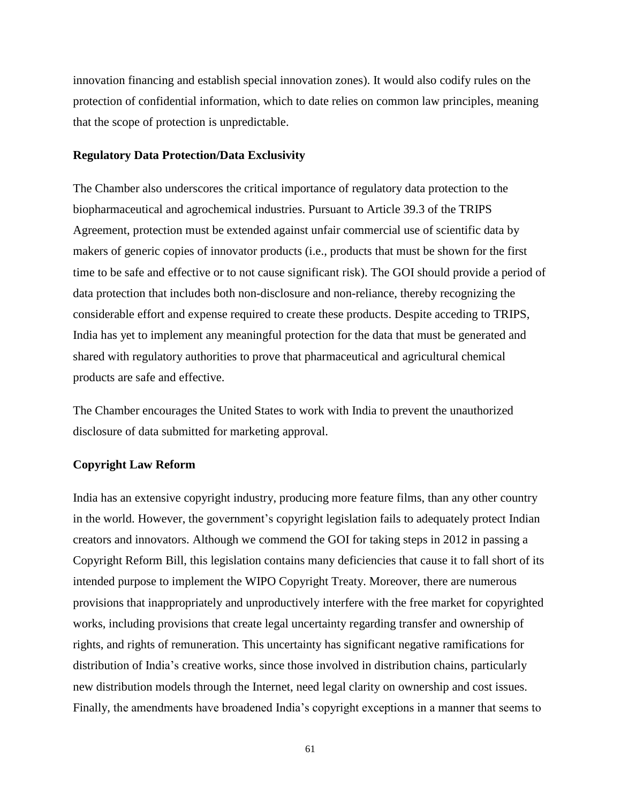innovation financing and establish special innovation zones). It would also codify rules on the protection of confidential information, which to date relies on common law principles, meaning that the scope of protection is unpredictable.

### **Regulatory Data Protection/Data Exclusivity**

The Chamber also underscores the critical importance of regulatory data protection to the biopharmaceutical and agrochemical industries. Pursuant to Article 39.3 of the TRIPS Agreement, protection must be extended against unfair commercial use of scientific data by makers of generic copies of innovator products (i.e., products that must be shown for the first time to be safe and effective or to not cause significant risk). The GOI should provide a period of data protection that includes both non-disclosure and non-reliance, thereby recognizing the considerable effort and expense required to create these products. Despite acceding to TRIPS, India has yet to implement any meaningful protection for the data that must be generated and shared with regulatory authorities to prove that pharmaceutical and agricultural chemical products are safe and effective.

The Chamber encourages the United States to work with India to prevent the unauthorized disclosure of data submitted for marketing approval.

# **Copyright Law Reform**

India has an extensive copyright industry, producing more feature films, than any other country in the world. However, the government's copyright legislation fails to adequately protect Indian creators and innovators. Although we commend the GOI for taking steps in 2012 in passing a Copyright Reform Bill, this legislation contains many deficiencies that cause it to fall short of its intended purpose to implement the WIPO Copyright Treaty. Moreover, there are numerous provisions that inappropriately and unproductively interfere with the free market for copyrighted works, including provisions that create legal uncertainty regarding transfer and ownership of rights, and rights of remuneration. This uncertainty has significant negative ramifications for distribution of India's creative works, since those involved in distribution chains, particularly new distribution models through the Internet, need legal clarity on ownership and cost issues. Finally, the amendments have broadened India's copyright exceptions in a manner that seems to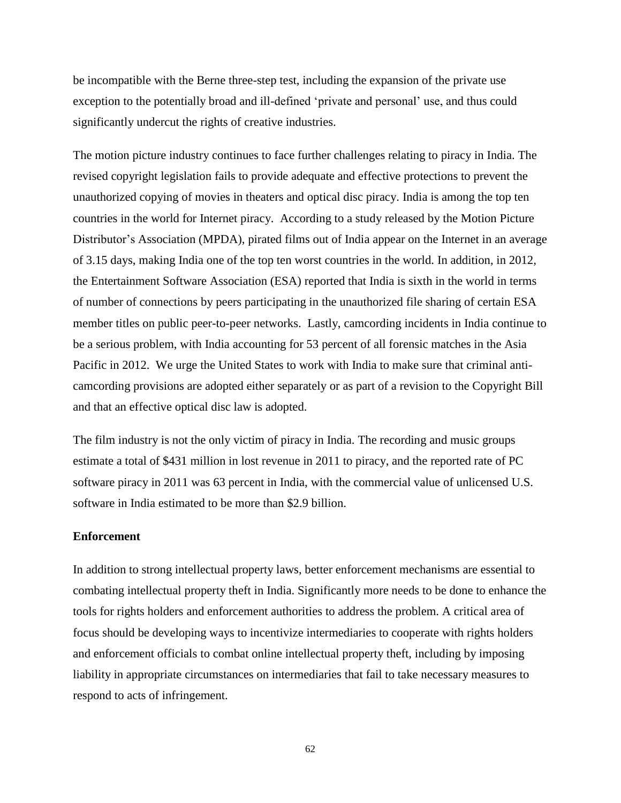be incompatible with the Berne three-step test, including the expansion of the private use exception to the potentially broad and ill-defined 'private and personal' use, and thus could significantly undercut the rights of creative industries.

The motion picture industry continues to face further challenges relating to piracy in India. The revised copyright legislation fails to provide adequate and effective protections to prevent the unauthorized copying of movies in theaters and optical disc piracy. India is among the top ten countries in the world for Internet piracy. According to a study released by the Motion Picture Distributor's Association (MPDA), pirated films out of India appear on the Internet in an average of 3.15 days, making India one of the top ten worst countries in the world. In addition, in 2012, the Entertainment Software Association (ESA) reported that India is sixth in the world in terms of number of connections by peers participating in the unauthorized file sharing of certain ESA member titles on public peer-to-peer networks. Lastly, camcording incidents in India continue to be a serious problem, with India accounting for 53 percent of all forensic matches in the Asia Pacific in 2012. We urge the United States to work with India to make sure that criminal anticamcording provisions are adopted either separately or as part of a revision to the Copyright Bill and that an effective optical disc law is adopted.

The film industry is not the only victim of piracy in India. The recording and music groups estimate a total of \$431 million in lost revenue in 2011 to piracy, and the reported rate of PC software piracy in 2011 was 63 percent in India, with the commercial value of unlicensed U.S. software in India estimated to be more than \$2.9 billion.

# **Enforcement**

In addition to strong intellectual property laws, better enforcement mechanisms are essential to combating intellectual property theft in India. Significantly more needs to be done to enhance the tools for rights holders and enforcement authorities to address the problem. A critical area of focus should be developing ways to incentivize intermediaries to cooperate with rights holders and enforcement officials to combat online intellectual property theft, including by imposing liability in appropriate circumstances on intermediaries that fail to take necessary measures to respond to acts of infringement.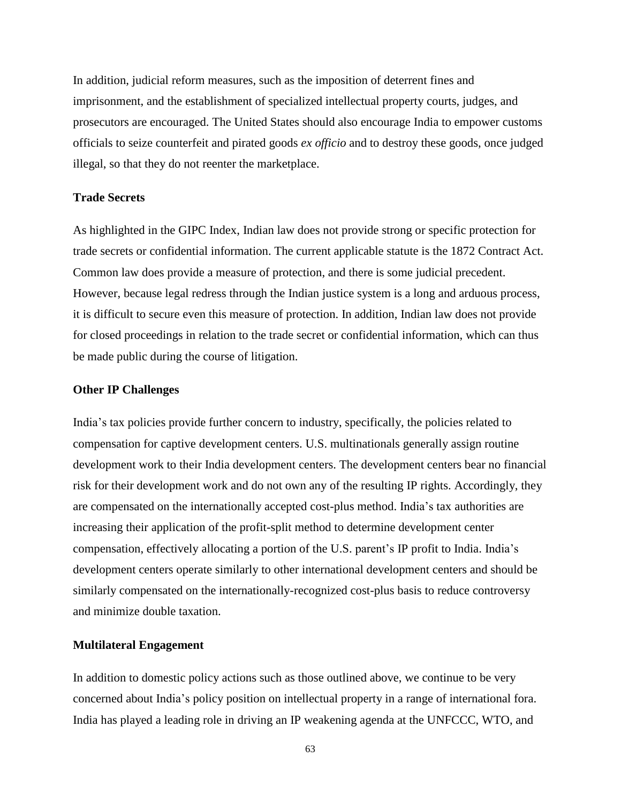In addition, judicial reform measures, such as the imposition of deterrent fines and imprisonment, and the establishment of specialized intellectual property courts, judges, and prosecutors are encouraged. The United States should also encourage India to empower customs officials to seize counterfeit and pirated goods *ex officio* and to destroy these goods, once judged illegal, so that they do not reenter the marketplace.

# **Trade Secrets**

As highlighted in the GIPC Index, Indian law does not provide strong or specific protection for trade secrets or confidential information. The current applicable statute is the 1872 Contract Act. Common law does provide a measure of protection, and there is some judicial precedent. However, because legal redress through the Indian justice system is a long and arduous process, it is difficult to secure even this measure of protection. In addition, Indian law does not provide for closed proceedings in relation to the trade secret or confidential information, which can thus be made public during the course of litigation.

## **Other IP Challenges**

India's tax policies provide further concern to industry, specifically, the policies related to compensation for captive development centers. U.S. multinationals generally assign routine development work to their India development centers. The development centers bear no financial risk for their development work and do not own any of the resulting IP rights. Accordingly, they are compensated on the internationally accepted cost-plus method. India's tax authorities are increasing their application of the profit-split method to determine development center compensation, effectively allocating a portion of the U.S. parent's IP profit to India. India's development centers operate similarly to other international development centers and should be similarly compensated on the internationally-recognized cost-plus basis to reduce controversy and minimize double taxation.

#### **Multilateral Engagement**

In addition to domestic policy actions such as those outlined above, we continue to be very concerned about India's policy position on intellectual property in a range of international fora. India has played a leading role in driving an IP weakening agenda at the UNFCCC, WTO, and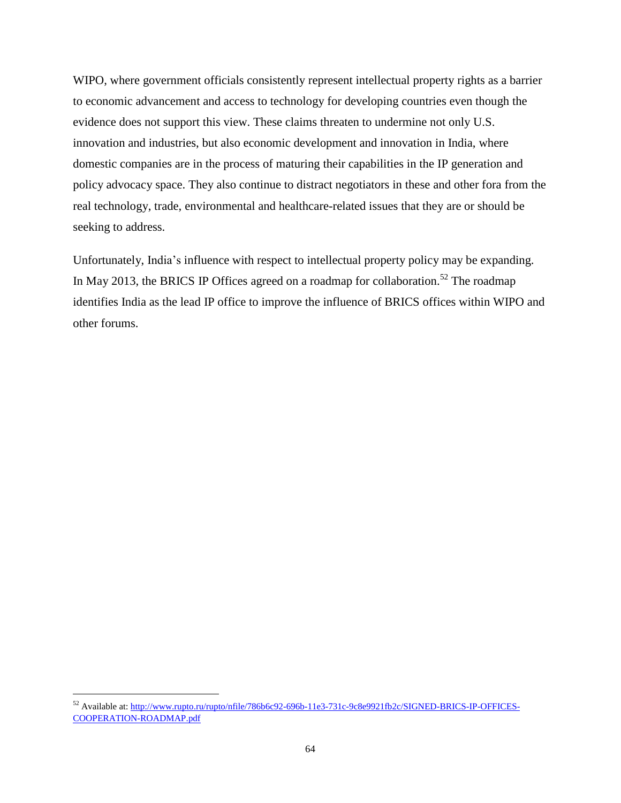WIPO, where government officials consistently represent intellectual property rights as a barrier to economic advancement and access to technology for developing countries even though the evidence does not support this view. These claims threaten to undermine not only U.S. innovation and industries, but also economic development and innovation in India, where domestic companies are in the process of maturing their capabilities in the IP generation and policy advocacy space. They also continue to distract negotiators in these and other fora from the real technology, trade, environmental and healthcare-related issues that they are or should be seeking to address.

Unfortunately, India's influence with respect to intellectual property policy may be expanding. In May 2013, the BRICS IP Offices agreed on a roadmap for collaboration.<sup>52</sup> The roadmap identifies India as the lead IP office to improve the influence of BRICS offices within WIPO and other forums.

l

<sup>52</sup> Available at: [http://www.rupto.ru/rupto/nfile/786b6c92-696b-11e3-731c-9c8e9921fb2c/SIGNED-BRICS-IP-OFFICES-](http://www.rupto.ru/rupto/nfile/786b6c92-696b-11e3-731c-9c8e9921fb2c/SIGNED-BRICS-IP-OFFICES-COOPERATION-ROADMAP.pdf)[COOPERATION-ROADMAP.pdf](http://www.rupto.ru/rupto/nfile/786b6c92-696b-11e3-731c-9c8e9921fb2c/SIGNED-BRICS-IP-OFFICES-COOPERATION-ROADMAP.pdf)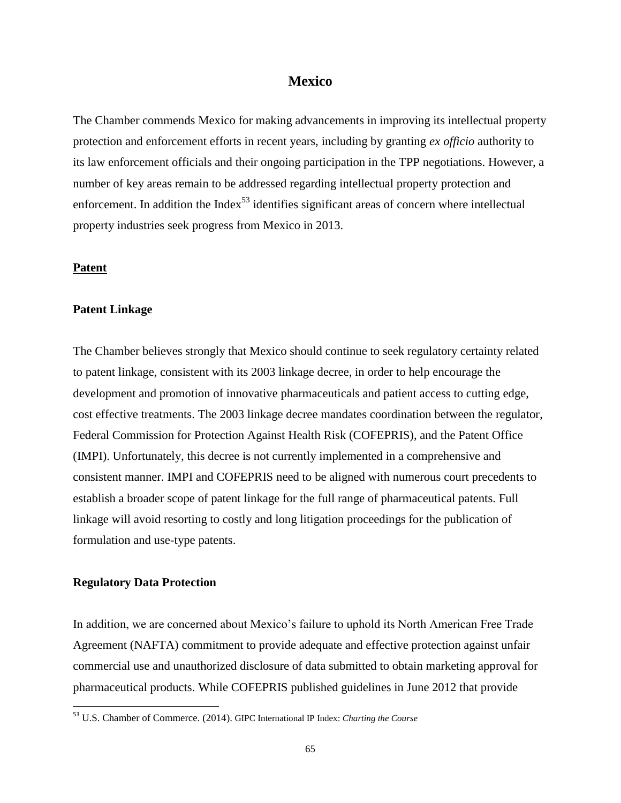# **Mexico**

The Chamber commends Mexico for making advancements in improving its intellectual property protection and enforcement efforts in recent years, including by granting *ex officio* authority to its law enforcement officials and their ongoing participation in the TPP negotiations. However, a number of key areas remain to be addressed regarding intellectual property protection and enforcement. In addition the Index<sup>53</sup> identifies significant areas of concern where intellectual property industries seek progress from Mexico in 2013.

## **Patent**

# **Patent Linkage**

The Chamber believes strongly that Mexico should continue to seek regulatory certainty related to patent linkage, consistent with its 2003 linkage decree, in order to help encourage the development and promotion of innovative pharmaceuticals and patient access to cutting edge, cost effective treatments. The 2003 linkage decree mandates coordination between the regulator, Federal Commission for Protection Against Health Risk (COFEPRIS), and the Patent Office (IMPI). Unfortunately, this decree is not currently implemented in a comprehensive and consistent manner. IMPI and COFEPRIS need to be aligned with numerous court precedents to establish a broader scope of patent linkage for the full range of pharmaceutical patents. Full linkage will avoid resorting to costly and long litigation proceedings for the publication of formulation and use-type patents.

# **Regulatory Data Protection**

l

In addition, we are concerned about Mexico's failure to uphold its North American Free Trade Agreement (NAFTA) commitment to provide adequate and effective protection against unfair commercial use and unauthorized disclosure of data submitted to obtain marketing approval for pharmaceutical products. While COFEPRIS published guidelines in June 2012 that provide

<sup>53</sup> U.S. Chamber of Commerce. (2014). GIPC International IP Index: *Charting the Course*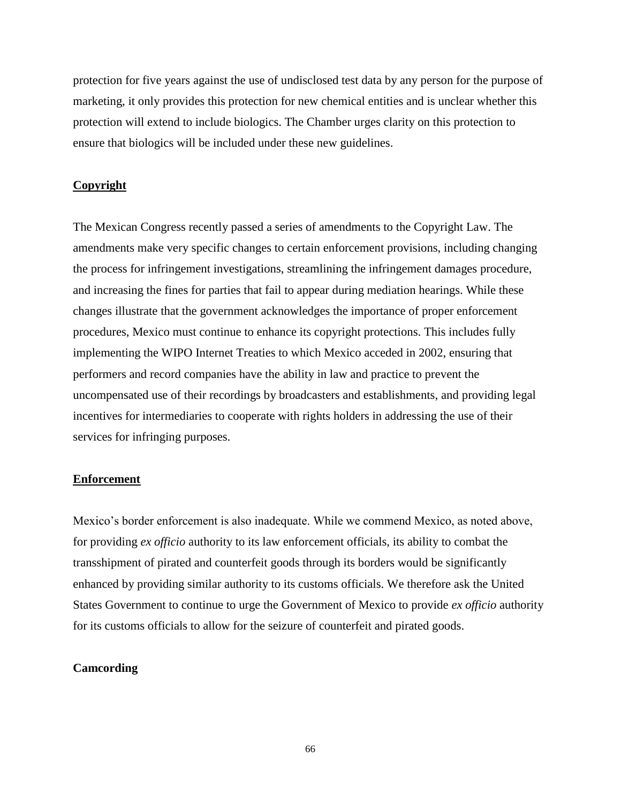protection for five years against the use of undisclosed test data by any person for the purpose of marketing, it only provides this protection for new chemical entities and is unclear whether this protection will extend to include biologics. The Chamber urges clarity on this protection to ensure that biologics will be included under these new guidelines.

### **Copyright**

The Mexican Congress recently passed a series of amendments to the Copyright Law. The amendments make very specific changes to certain enforcement provisions, including changing the process for infringement investigations, streamlining the infringement damages procedure, and increasing the fines for parties that fail to appear during mediation hearings. While these changes illustrate that the government acknowledges the importance of proper enforcement procedures, Mexico must continue to enhance its copyright protections. This includes fully implementing the WIPO Internet Treaties to which Mexico acceded in 2002, ensuring that performers and record companies have the ability in law and practice to prevent the uncompensated use of their recordings by broadcasters and establishments, and providing legal incentives for intermediaries to cooperate with rights holders in addressing the use of their services for infringing purposes.

# **Enforcement**

Mexico's border enforcement is also inadequate. While we commend Mexico, as noted above, for providing *ex officio* authority to its law enforcement officials, its ability to combat the transshipment of pirated and counterfeit goods through its borders would be significantly enhanced by providing similar authority to its customs officials. We therefore ask the United States Government to continue to urge the Government of Mexico to provide *ex officio* authority for its customs officials to allow for the seizure of counterfeit and pirated goods.

### **Camcording**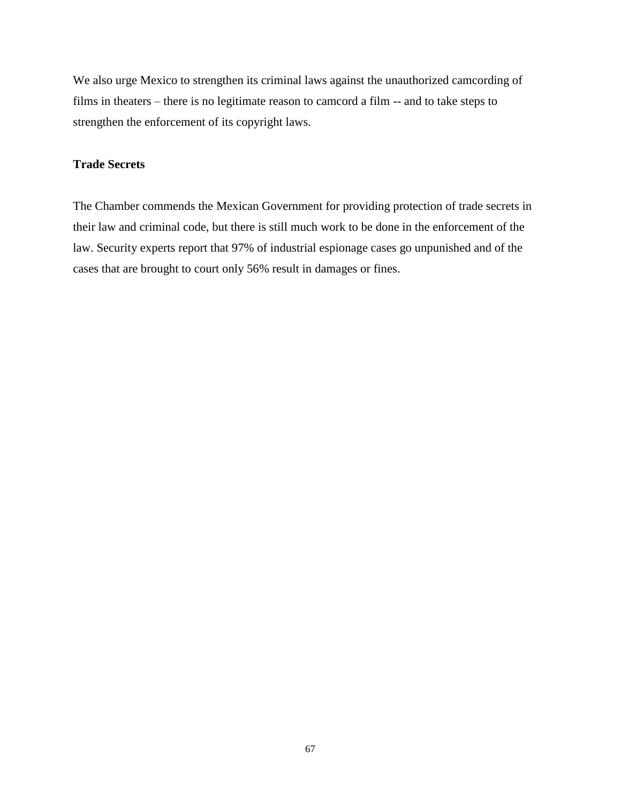We also urge Mexico to strengthen its criminal laws against the unauthorized camcording of films in theaters – there is no legitimate reason to camcord a film -- and to take steps to strengthen the enforcement of its copyright laws.

# **Trade Secrets**

The Chamber commends the Mexican Government for providing protection of trade secrets in their law and criminal code, but there is still much work to be done in the enforcement of the law. Security experts report that 97% of industrial espionage cases go unpunished and of the cases that are brought to court only 56% result in damages or fines.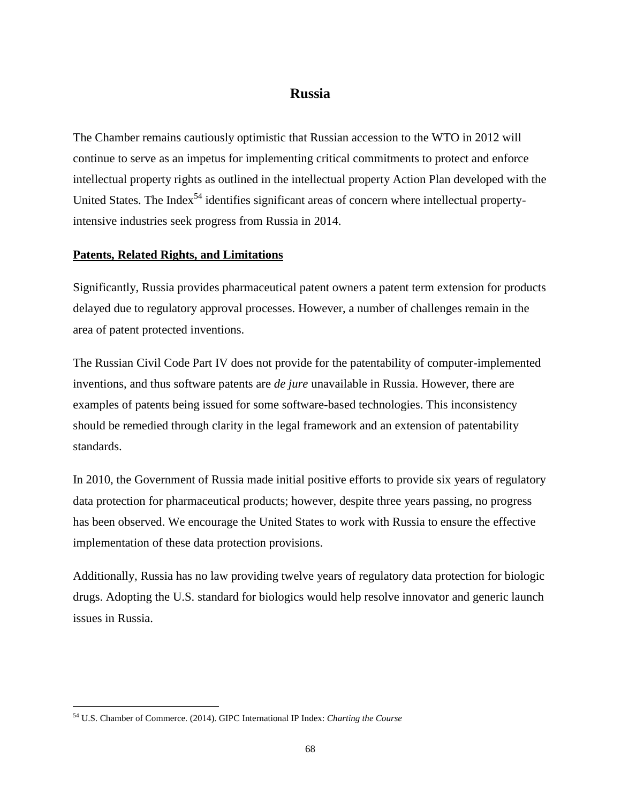# **Russia**

The Chamber remains cautiously optimistic that Russian accession to the WTO in 2012 will continue to serve as an impetus for implementing critical commitments to protect and enforce intellectual property rights as outlined in the intellectual property Action Plan developed with the United States. The Index<sup>54</sup> identifies significant areas of concern where intellectual propertyintensive industries seek progress from Russia in 2014.

# **Patents, Related Rights, and Limitations**

Significantly, Russia provides pharmaceutical patent owners a patent term extension for products delayed due to regulatory approval processes. However, a number of challenges remain in the area of patent protected inventions.

The Russian Civil Code Part IV does not provide for the patentability of computer-implemented inventions, and thus software patents are *de jure* unavailable in Russia. However, there are examples of patents being issued for some software-based technologies. This inconsistency should be remedied through clarity in the legal framework and an extension of patentability standards.

In 2010, the Government of Russia made initial positive efforts to provide six years of regulatory data protection for pharmaceutical products; however, despite three years passing, no progress has been observed. We encourage the United States to work with Russia to ensure the effective implementation of these data protection provisions.

Additionally, Russia has no law providing twelve years of regulatory data protection for biologic drugs. Adopting the U.S. standard for biologics would help resolve innovator and generic launch issues in Russia.

l

<sup>54</sup> U.S. Chamber of Commerce. (2014). GIPC International IP Index: *Charting the Course*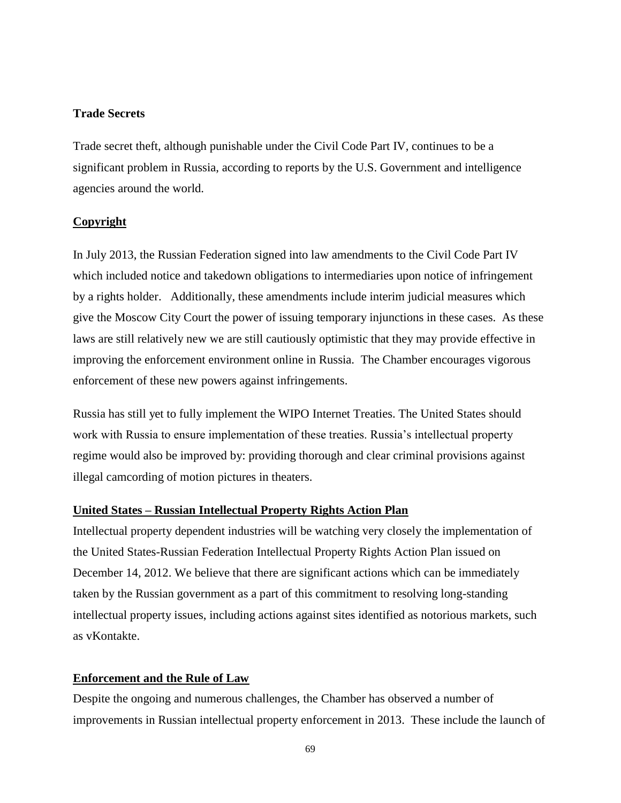# **Trade Secrets**

Trade secret theft, although punishable under the Civil Code Part IV, continues to be a significant problem in Russia, according to reports by the U.S. Government and intelligence agencies around the world.

### **Copyright**

In July 2013, the Russian Federation signed into law amendments to the Civil Code Part IV which included notice and takedown obligations to intermediaries upon notice of infringement by a rights holder. Additionally, these amendments include interim judicial measures which give the Moscow City Court the power of issuing temporary injunctions in these cases. As these laws are still relatively new we are still cautiously optimistic that they may provide effective in improving the enforcement environment online in Russia. The Chamber encourages vigorous enforcement of these new powers against infringements.

Russia has still yet to fully implement the WIPO Internet Treaties. The United States should work with Russia to ensure implementation of these treaties. Russia's intellectual property regime would also be improved by: providing thorough and clear criminal provisions against illegal camcording of motion pictures in theaters.

### **United States – Russian Intellectual Property Rights Action Plan**

Intellectual property dependent industries will be watching very closely the implementation of the United States-Russian Federation Intellectual Property Rights Action Plan issued on December 14, 2012. We believe that there are significant actions which can be immediately taken by the Russian government as a part of this commitment to resolving long-standing intellectual property issues, including actions against sites identified as notorious markets, such as vKontakte.

#### **Enforcement and the Rule of Law**

Despite the ongoing and numerous challenges, the Chamber has observed a number of improvements in Russian intellectual property enforcement in 2013. These include the launch of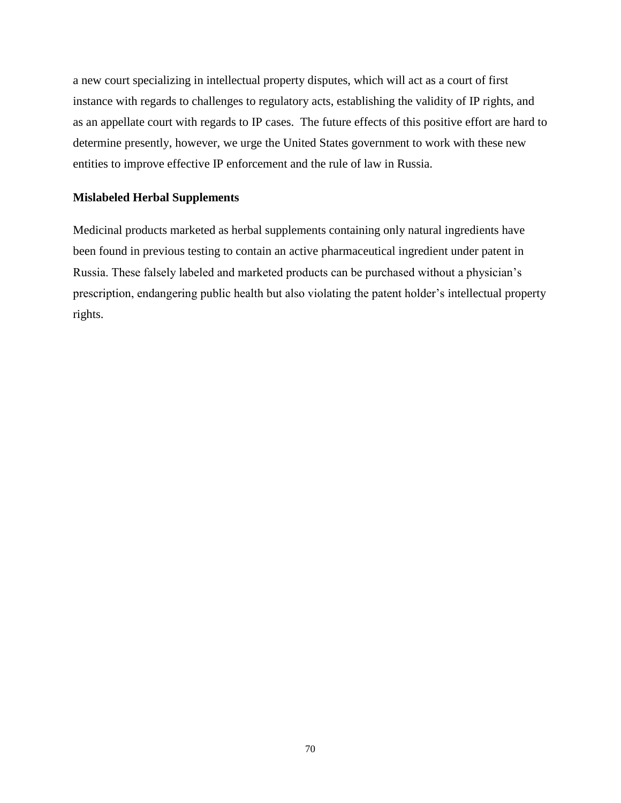a new court specializing in intellectual property disputes, which will act as a court of first instance with regards to challenges to regulatory acts, establishing the validity of IP rights, and as an appellate court with regards to IP cases. The future effects of this positive effort are hard to determine presently, however, we urge the United States government to work with these new entities to improve effective IP enforcement and the rule of law in Russia.

# **Mislabeled Herbal Supplements**

Medicinal products marketed as herbal supplements containing only natural ingredients have been found in previous testing to contain an active pharmaceutical ingredient under patent in Russia. These falsely labeled and marketed products can be purchased without a physician's prescription, endangering public health but also violating the patent holder's intellectual property rights.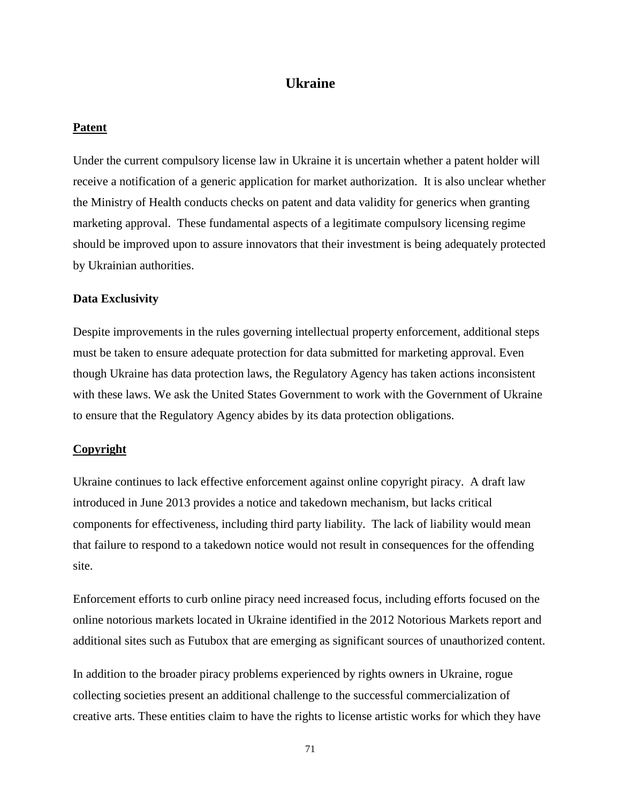# **Ukraine**

## **Patent**

Under the current compulsory license law in Ukraine it is uncertain whether a patent holder will receive a notification of a generic application for market authorization. It is also unclear whether the Ministry of Health conducts checks on patent and data validity for generics when granting marketing approval. These fundamental aspects of a legitimate compulsory licensing regime should be improved upon to assure innovators that their investment is being adequately protected by Ukrainian authorities.

#### **Data Exclusivity**

Despite improvements in the rules governing intellectual property enforcement, additional steps must be taken to ensure adequate protection for data submitted for marketing approval. Even though Ukraine has data protection laws, the Regulatory Agency has taken actions inconsistent with these laws. We ask the United States Government to work with the Government of Ukraine to ensure that the Regulatory Agency abides by its data protection obligations.

#### **Copyright**

Ukraine continues to lack effective enforcement against online copyright piracy. A draft law introduced in June 2013 provides a notice and takedown mechanism, but lacks critical components for effectiveness, including third party liability. The lack of liability would mean that failure to respond to a takedown notice would not result in consequences for the offending site.

Enforcement efforts to curb online piracy need increased focus, including efforts focused on the online notorious markets located in Ukraine identified in the 2012 Notorious Markets report and additional sites such as Futubox that are emerging as significant sources of unauthorized content.

In addition to the broader piracy problems experienced by rights owners in Ukraine, rogue collecting societies present an additional challenge to the successful commercialization of creative arts. These entities claim to have the rights to license artistic works for which they have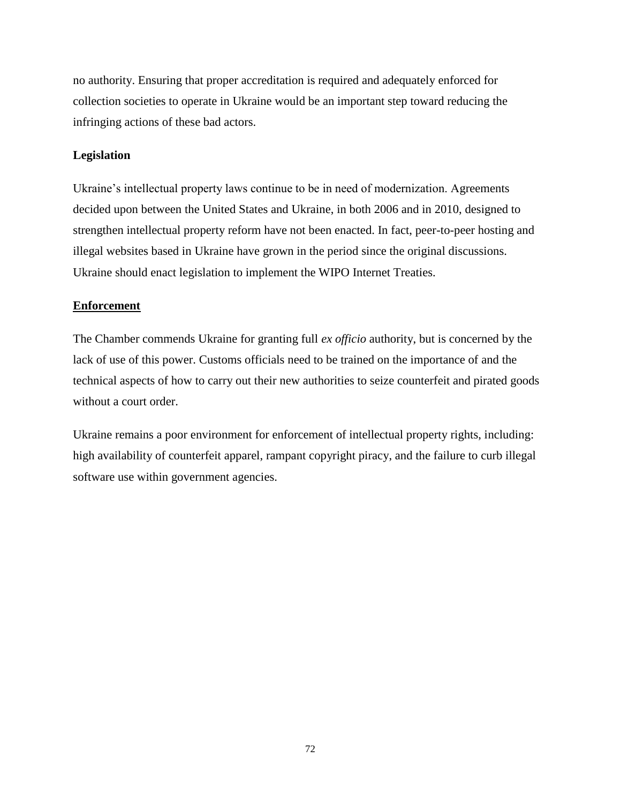no authority. Ensuring that proper accreditation is required and adequately enforced for collection societies to operate in Ukraine would be an important step toward reducing the infringing actions of these bad actors.

# **Legislation**

Ukraine's intellectual property laws continue to be in need of modernization. Agreements decided upon between the United States and Ukraine, in both 2006 and in 2010, designed to strengthen intellectual property reform have not been enacted. In fact, peer-to-peer hosting and illegal websites based in Ukraine have grown in the period since the original discussions. Ukraine should enact legislation to implement the WIPO Internet Treaties.

# **Enforcement**

The Chamber commends Ukraine for granting full *ex officio* authority, but is concerned by the lack of use of this power. Customs officials need to be trained on the importance of and the technical aspects of how to carry out their new authorities to seize counterfeit and pirated goods without a court order.

Ukraine remains a poor environment for enforcement of intellectual property rights, including: high availability of counterfeit apparel, rampant copyright piracy, and the failure to curb illegal software use within government agencies.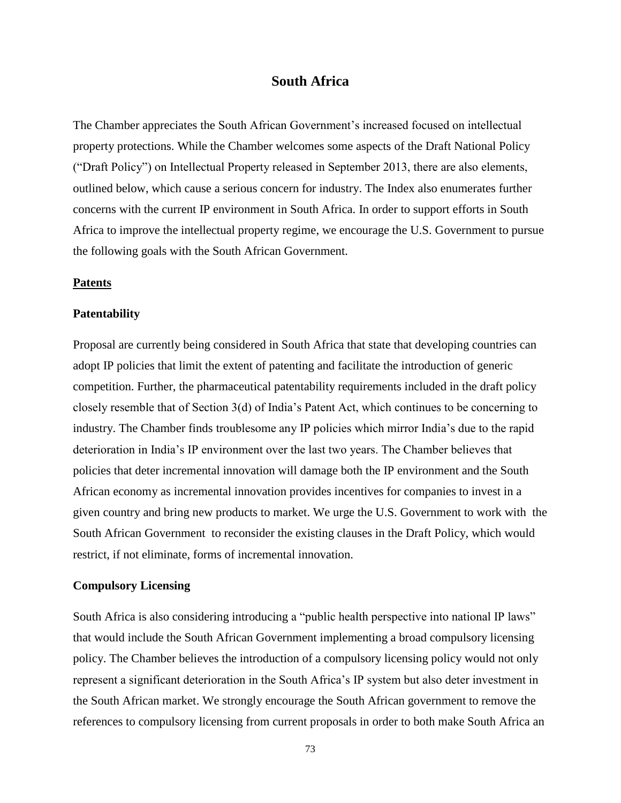# **South Africa**

The Chamber appreciates the South African Government's increased focused on intellectual property protections. While the Chamber welcomes some aspects of the Draft National Policy ("Draft Policy") on Intellectual Property released in September 2013, there are also elements, outlined below, which cause a serious concern for industry. The Index also enumerates further concerns with the current IP environment in South Africa. In order to support efforts in South Africa to improve the intellectual property regime, we encourage the U.S. Government to pursue the following goals with the South African Government.

#### **Patents**

### **Patentability**

Proposal are currently being considered in South Africa that state that developing countries can adopt IP policies that limit the extent of patenting and facilitate the introduction of generic competition. Further, the pharmaceutical patentability requirements included in the draft policy closely resemble that of Section 3(d) of India's Patent Act, which continues to be concerning to industry. The Chamber finds troublesome any IP policies which mirror India's due to the rapid deterioration in India's IP environment over the last two years. The Chamber believes that policies that deter incremental innovation will damage both the IP environment and the South African economy as incremental innovation provides incentives for companies to invest in a given country and bring new products to market. We urge the U.S. Government to work with the South African Government to reconsider the existing clauses in the Draft Policy, which would restrict, if not eliminate, forms of incremental innovation.

# **Compulsory Licensing**

South Africa is also considering introducing a "public health perspective into national IP laws" that would include the South African Government implementing a broad compulsory licensing policy. The Chamber believes the introduction of a compulsory licensing policy would not only represent a significant deterioration in the South Africa's IP system but also deter investment in the South African market. We strongly encourage the South African government to remove the references to compulsory licensing from current proposals in order to both make South Africa an